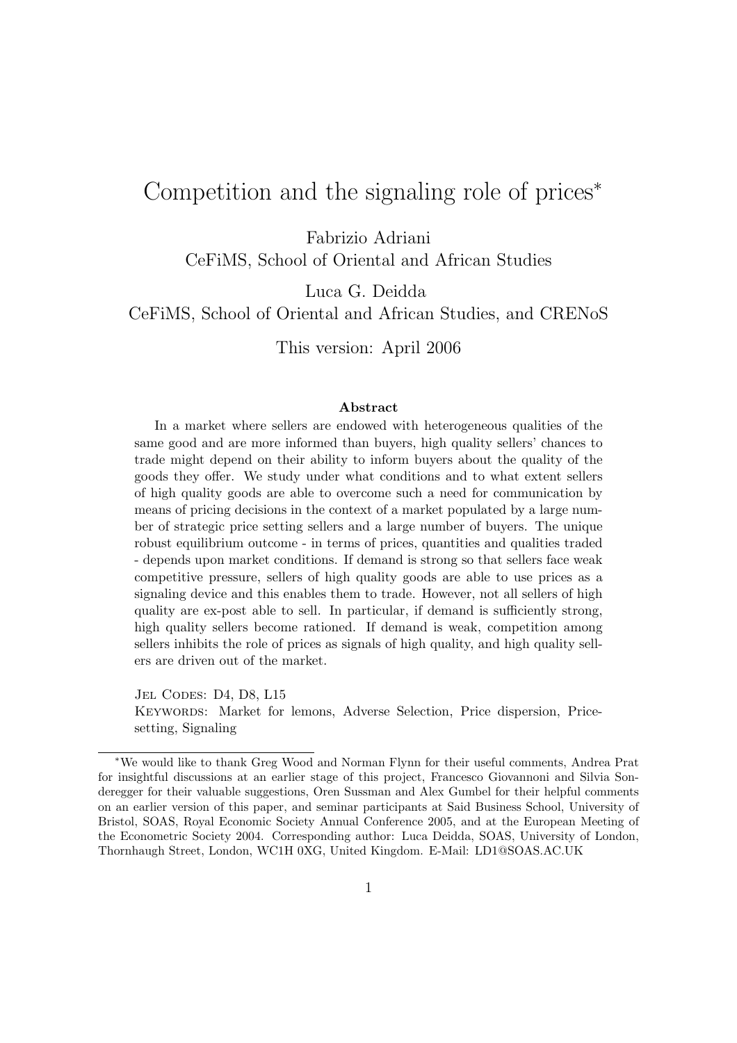# Competition and the signaling role of prices<sup>∗</sup>

Fabrizio Adriani

CeFiMS, School of Oriental and African Studies

Luca G. Deidda

CeFiMS, School of Oriental and African Studies, and CRENoS

This version: April 2006

#### **Abstract**

In a market where sellers are endowed with heterogeneous qualities of the same good and are more informed than buyers, high quality sellers' chances to trade might depend on their ability to inform buyers about the quality of the goods they offer. We study under what conditions and to what extent sellers of high quality goods are able to overcome such a need for communication by means of pricing decisions in the context of a market populated by a large number of strategic price setting sellers and a large number of buyers. The unique robust equilibrium outcome - in terms of prices, quantities and qualities traded - depends upon market conditions. If demand is strong so that sellers face weak competitive pressure, sellers of high quality goods are able to use prices as a signaling device and this enables them to trade. However, not all sellers of high quality are ex-post able to sell. In particular, if demand is sufficiently strong, high quality sellers become rationed. If demand is weak, competition among sellers inhibits the role of prices as signals of high quality, and high quality sellers are driven out of the market.

JEL CODES: D4, D8, L15 Keywords: Market for lemons, Adverse Selection, Price dispersion, Pricesetting, Signaling

<sup>∗</sup>We would like to thank Greg Wood and Norman Flynn for their useful comments, Andrea Prat for insightful discussions at an earlier stage of this project, Francesco Giovannoni and Silvia Sonderegger for their valuable suggestions, Oren Sussman and Alex Gumbel for their helpful comments on an earlier version of this paper, and seminar participants at Said Business School, University of Bristol, SOAS, Royal Economic Society Annual Conference 2005, and at the European Meeting of the Econometric Society 2004. Corresponding author: Luca Deidda, SOAS, University of London, Thornhaugh Street, London, WC1H 0XG, United Kingdom. E-Mail: LD1@SOAS.AC.UK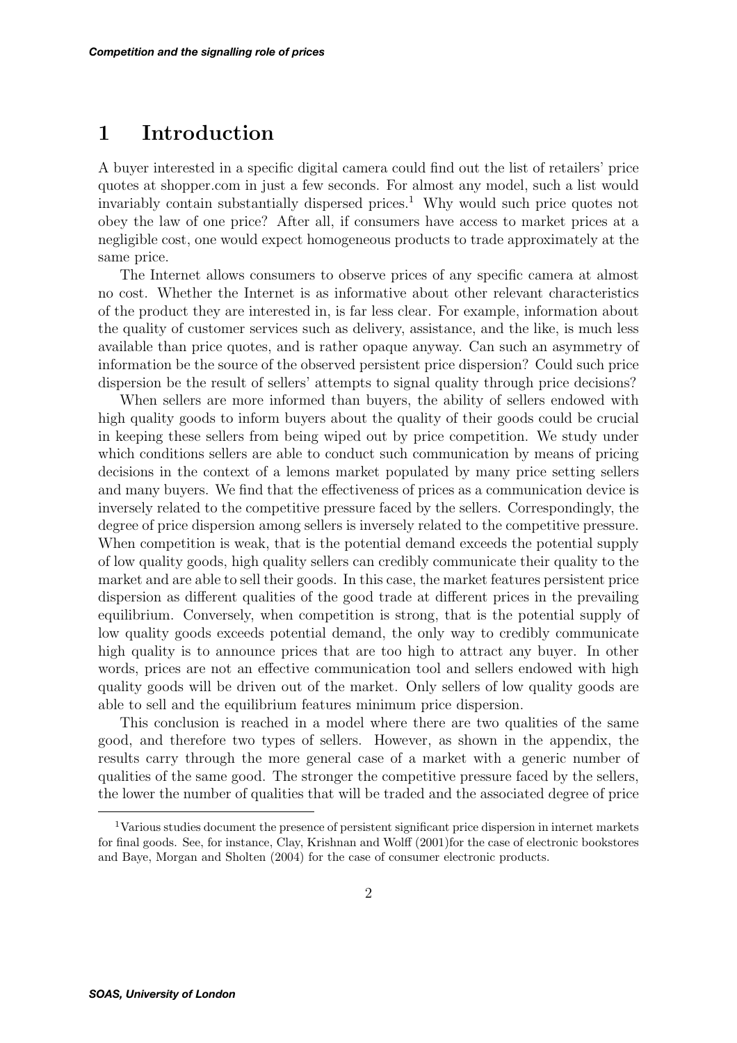# **1 Introduction**

A buyer interested in a specific digital camera could find out the list of retailers' price quotes at shopper.com in just a few seconds. For almost any model, such a list would invariably contain substantially dispersed prices.<sup>1</sup> Why would such price quotes not obey the law of one price? After all, if consumers have access to market prices at a negligible cost, one would expect homogeneous products to trade approximately at the same price.

The Internet allows consumers to observe prices of any specific camera at almost no cost. Whether the Internet is as informative about other relevant characteristics of the product they are interested in, is far less clear. For example, information about the quality of customer services such as delivery, assistance, and the like, is much less available than price quotes, and is rather opaque anyway. Can such an asymmetry of information be the source of the observed persistent price dispersion? Could such price dispersion be the result of sellers' attempts to signal quality through price decisions?

When sellers are more informed than buyers, the ability of sellers endowed with high quality goods to inform buyers about the quality of their goods could be crucial in keeping these sellers from being wiped out by price competition. We study under which conditions sellers are able to conduct such communication by means of pricing decisions in the context of a lemons market populated by many price setting sellers and many buyers. We find that the effectiveness of prices as a communication device is inversely related to the competitive pressure faced by the sellers. Correspondingly, the degree of price dispersion among sellers is inversely related to the competitive pressure. When competition is weak, that is the potential demand exceeds the potential supply of low quality goods, high quality sellers can credibly communicate their quality to the market and are able to sell their goods. In this case, the market features persistent price dispersion as different qualities of the good trade at different prices in the prevailing equilibrium. Conversely, when competition is strong, that is the potential supply of low quality goods exceeds potential demand, the only way to credibly communicate high quality is to announce prices that are too high to attract any buyer. In other words, prices are not an effective communication tool and sellers endowed with high quality goods will be driven out of the market. Only sellers of low quality goods are able to sell and the equilibrium features minimum price dispersion.

This conclusion is reached in a model where there are two qualities of the same good, and therefore two types of sellers. However, as shown in the appendix, the results carry through the more general case of a market with a generic number of qualities of the same good. The stronger the competitive pressure faced by the sellers, the lower the number of qualities that will be traded and the associated degree of price

<sup>1</sup>Various studies document the presence of persistent significant price dispersion in internet markets for final goods. See, for instance, Clay, Krishnan and Wolff (2001)for the case of electronic bookstores and Baye, Morgan and Sholten (2004) for the case of consumer electronic products.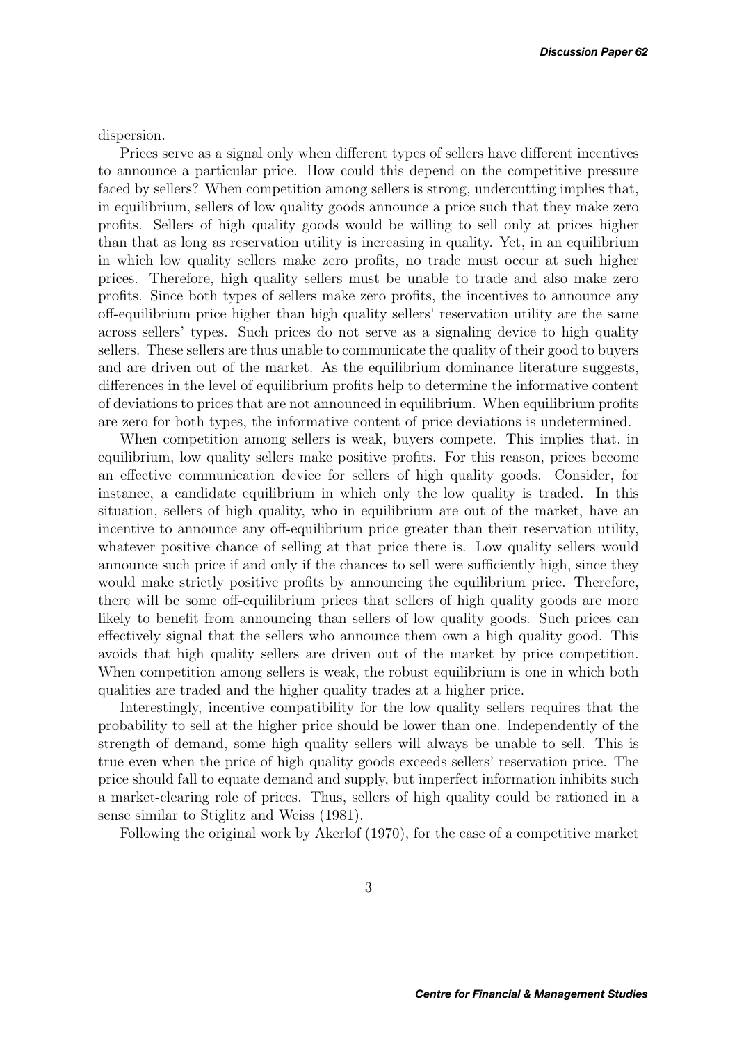dispersion.

Prices serve as a signal only when different types of sellers have different incentives to announce a particular price. How could this depend on the competitive pressure faced by sellers? When competition among sellers is strong, undercutting implies that, in equilibrium, sellers of low quality goods announce a price such that they make zero profits. Sellers of high quality goods would be willing to sell only at prices higher than that as long as reservation utility is increasing in quality. Yet, in an equilibrium in which low quality sellers make zero profits, no trade must occur at such higher prices. Therefore, high quality sellers must be unable to trade and also make zero profits. Since both types of sellers make zero profits, the incentives to announce any off-equilibrium price higher than high quality sellers' reservation utility are the same across sellers' types. Such prices do not serve as a signaling device to high quality sellers. These sellers are thus unable to communicate the quality of their good to buyers and are driven out of the market. As the equilibrium dominance literature suggests, differences in the level of equilibrium profits help to determine the informative content of deviations to prices that are not announced in equilibrium. When equilibrium profits are zero for both types, the informative content of price deviations is undetermined.

When competition among sellers is weak, buyers compete. This implies that, in equilibrium, low quality sellers make positive profits. For this reason, prices become an effective communication device for sellers of high quality goods. Consider, for instance, a candidate equilibrium in which only the low quality is traded. In this situation, sellers of high quality, who in equilibrium are out of the market, have an incentive to announce any off-equilibrium price greater than their reservation utility, whatever positive chance of selling at that price there is. Low quality sellers would announce such price if and only if the chances to sell were sufficiently high, since they would make strictly positive profits by announcing the equilibrium price. Therefore, there will be some off-equilibrium prices that sellers of high quality goods are more likely to benefit from announcing than sellers of low quality goods. Such prices can effectively signal that the sellers who announce them own a high quality good. This avoids that high quality sellers are driven out of the market by price competition. When competition among sellers is weak, the robust equilibrium is one in which both qualities are traded and the higher quality trades at a higher price.

Interestingly, incentive compatibility for the low quality sellers requires that the probability to sell at the higher price should be lower than one. Independently of the strength of demand, some high quality sellers will always be unable to sell. This is true even when the price of high quality goods exceeds sellers' reservation price. The price should fall to equate demand and supply, but imperfect information inhibits such a market-clearing role of prices. Thus, sellers of high quality could be rationed in a sense similar to Stiglitz and Weiss (1981).

Following the original work by Akerlof (1970), for the case of a competitive market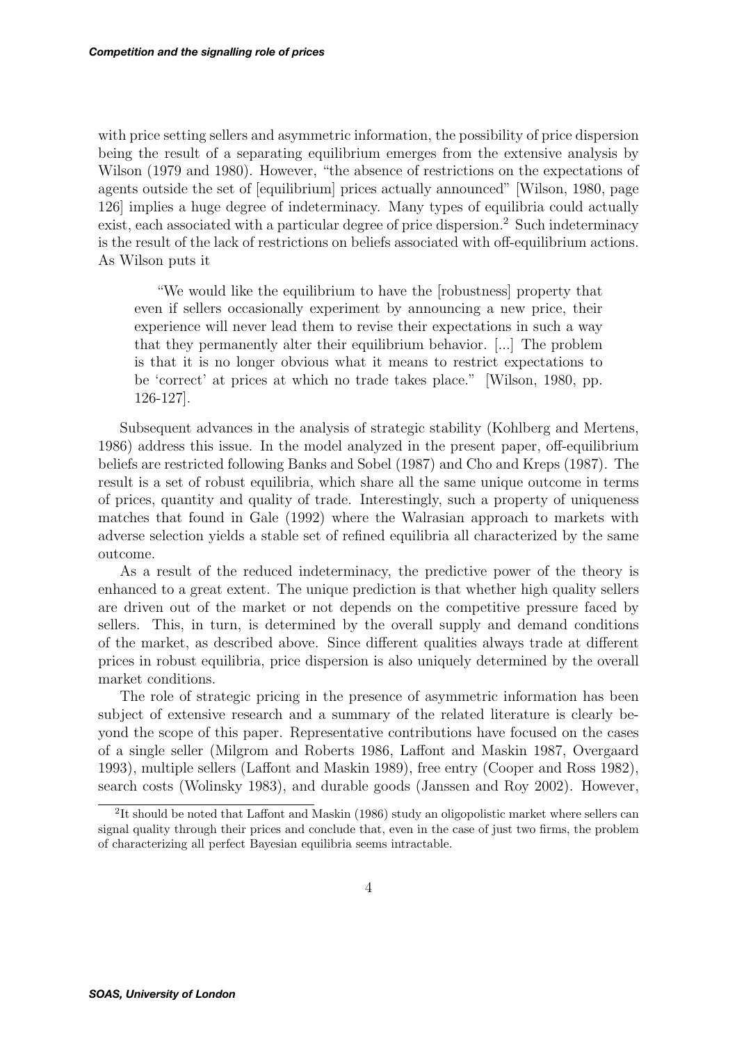with price setting sellers and asymmetric information, the possibility of price dispersion being the result of a separating equilibrium emerges from the extensive analysis by Wilson (1979 and 1980). However, "the absence of restrictions on the expectations of agents outside the set of [equilibrium] prices actually announced" [Wilson, 1980, page 126] implies a huge degree of indeterminacy. Many types of equilibria could actually exist, each associated with a particular degree of price dispersion.<sup>2</sup> Such indeterminacy is the result of the lack of restrictions on beliefs associated with off-equilibrium actions. As Wilson puts it

"We would like the equilibrium to have the [robustness] property that even if sellers occasionally experiment by announcing a new price, their experience will never lead them to revise their expectations in such a way that they permanently alter their equilibrium behavior. [...] The problem is that it is no longer obvious what it means to restrict expectations to be 'correct' at prices at which no trade takes place." [Wilson, 1980, pp. 126-127].

Subsequent advances in the analysis of strategic stability (Kohlberg and Mertens, 1986) address this issue. In the model analyzed in the present paper, off-equilibrium beliefs are restricted following Banks and Sobel (1987) and Cho and Kreps (1987). The result is a set of robust equilibria, which share all the same unique outcome in terms of prices, quantity and quality of trade. Interestingly, such a property of uniqueness matches that found in Gale (1992) where the Walrasian approach to markets with adverse selection yields a stable set of refined equilibria all characterized by the same outcome.

As a result of the reduced indeterminacy, the predictive power of the theory is enhanced to a great extent. The unique prediction is that whether high quality sellers are driven out of the market or not depends on the competitive pressure faced by sellers. This, in turn, is determined by the overall supply and demand conditions of the market, as described above. Since different qualities always trade at different prices in robust equilibria, price dispersion is also uniquely determined by the overall market conditions.

The role of strategic pricing in the presence of asymmetric information has been subject of extensive research and a summary of the related literature is clearly beyond the scope of this paper. Representative contributions have focused on the cases of a single seller (Milgrom and Roberts 1986, Laffont and Maskin 1987, Overgaard 1993), multiple sellers (Laffont and Maskin 1989), free entry (Cooper and Ross 1982), search costs (Wolinsky 1983), and durable goods (Janssen and Roy 2002). However,

<sup>&</sup>lt;sup>2</sup>It should be noted that Laffont and Maskin (1986) study an oligopolistic market where sellers can signal quality through their prices and conclude that, even in the case of just two firms, the problem of characterizing all perfect Bayesian equilibria seems intractable.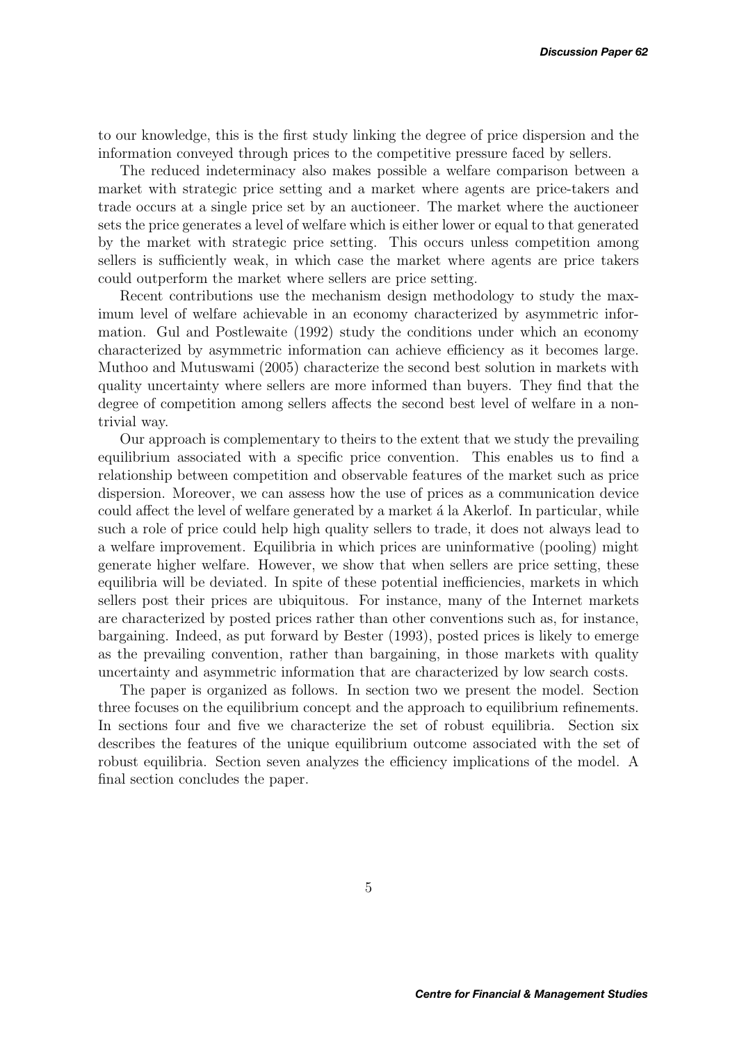to our knowledge, this is the first study linking the degree of price dispersion and the information conveyed through prices to the competitive pressure faced by sellers.

The reduced indeterminacy also makes possible a welfare comparison between a market with strategic price setting and a market where agents are price-takers and trade occurs at a single price set by an auctioneer. The market where the auctioneer sets the price generates a level of welfare which is either lower or equal to that generated by the market with strategic price setting. This occurs unless competition among sellers is sufficiently weak, in which case the market where agents are price takers could outperform the market where sellers are price setting.

Recent contributions use the mechanism design methodology to study the maximum level of welfare achievable in an economy characterized by asymmetric information. Gul and Postlewaite (1992) study the conditions under which an economy characterized by asymmetric information can achieve efficiency as it becomes large. Muthoo and Mutuswami (2005) characterize the second best solution in markets with quality uncertainty where sellers are more informed than buyers. They find that the degree of competition among sellers affects the second best level of welfare in a nontrivial way.

Our approach is complementary to theirs to the extent that we study the prevailing equilibrium associated with a specific price convention. This enables us to find a relationship between competition and observable features of the market such as price dispersion. Moreover, we can assess how the use of prices as a communication device could affect the level of welfare generated by a market a la Akerlof. In particular, while such a role of price could help high quality sellers to trade, it does not always lead to a welfare improvement. Equilibria in which prices are uninformative (pooling) might generate higher welfare. However, we show that when sellers are price setting, these equilibria will be deviated. In spite of these potential inefficiencies, markets in which sellers post their prices are ubiquitous. For instance, many of the Internet markets are characterized by posted prices rather than other conventions such as, for instance, bargaining. Indeed, as put forward by Bester (1993), posted prices is likely to emerge as the prevailing convention, rather than bargaining, in those markets with quality uncertainty and asymmetric information that are characterized by low search costs.

The paper is organized as follows. In section two we present the model. Section three focuses on the equilibrium concept and the approach to equilibrium refinements. In sections four and five we characterize the set of robust equilibria. Section six describes the features of the unique equilibrium outcome associated with the set of robust equilibria. Section seven analyzes the efficiency implications of the model. A final section concludes the paper.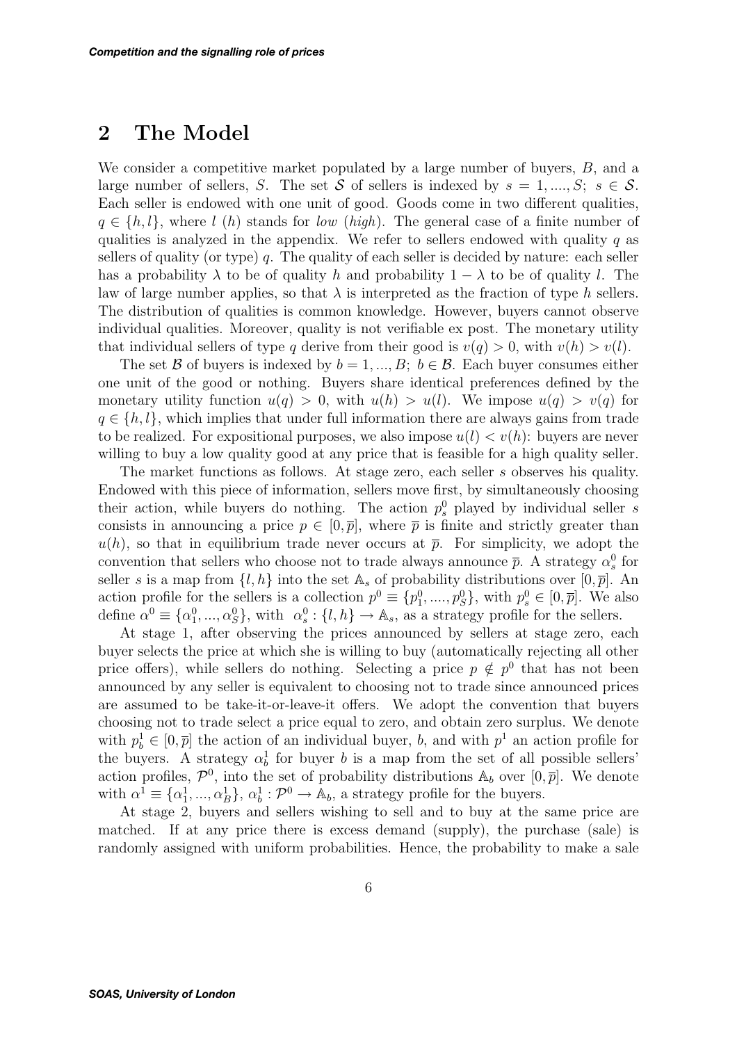## **2 The Model**

We consider a competitive market populated by a large number of buyers, B, and a large number of sellers, S. The set S of sellers is indexed by  $s = 1, ..., S; s \in S$ . Each seller is endowed with one unit of good. Goods come in two different qualities,  $q \in \{h, l\}$ , where l (h) stands for low (high). The general case of a finite number of qualities is analyzed in the appendix. We refer to sellers endowed with quality  $q$  as sellers of quality (or type)  $q$ . The quality of each seller is decided by nature: each seller has a probability  $\lambda$  to be of quality h and probability  $1 - \lambda$  to be of quality l. The law of large number applies, so that  $\lambda$  is interpreted as the fraction of type h sellers. The distribution of qualities is common knowledge. However, buyers cannot observe individual qualities. Moreover, quality is not verifiable ex post. The monetary utility that individual sellers of type q derive from their good is  $v(q) > 0$ , with  $v(h) > v(l)$ .

The set B of buyers is indexed by  $b = 1, ..., B; b \in \mathcal{B}$ . Each buyer consumes either one unit of the good or nothing. Buyers share identical preferences defined by the monetary utility function  $u(q) > 0$ , with  $u(h) > u(l)$ . We impose  $u(q) > v(q)$  for  $q \in \{h, l\}$ , which implies that under full information there are always gains from trade to be realized. For expositional purposes, we also impose  $u(l) < v(h)$ : buyers are never willing to buy a low quality good at any price that is feasible for a high quality seller.

The market functions as follows. At stage zero, each seller s observes his quality. Endowed with this piece of information, sellers move first, by simultaneously choosing their action, while buyers do nothing. The action  $p_s^0$  played by individual seller s consists in announcing a price  $p \in [0, \bar{p}]$ , where  $\bar{p}$  is finite and strictly greater than  $u(h)$ , so that in equilibrium trade never occurs at  $\bar{p}$ . For simplicity, we adopt the convention that sellers who choose not to trade always announce  $\bar{p}$ . A strategy  $\alpha_s^0$  for seller s is a map from  $\{l, h\}$  into the set  $\mathbb{A}_s$  of probability distributions over  $[0, \overline{p}]$ . An action profile for the sellers is a collection  $p^0 \equiv \{p_1^0, \ldots, p_S^0\}$ , with  $p_s^0 \in [0, \overline{p}]$ . We also define  $\alpha^0 \equiv {\alpha_1^0, ..., \alpha_S^0}$ , with  $\alpha_s^0: \{l, h\} \to \mathbb{A}_s$ , as a strategy profile for the sellers.

At stage 1, after observing the prices announced by sellers at stage zero, each buyer selects the price at which she is willing to buy (automatically rejecting all other price offers), while sellers do nothing. Selecting a price  $p \notin p^0$  that has not been announced by any seller is equivalent to choosing not to trade since announced prices are assumed to be take-it-or-leave-it offers. We adopt the convention that buyers choosing not to trade select a price equal to zero, and obtain zero surplus. We denote with  $p_b^1 \in [0, \overline{p}]$  the action of an individual buyer, b, and with  $p^1$  an action profile for the buyers. A strategy  $\alpha_b^1$  for buyer b is a map from the set of all possible sellers' action profiles,  $\mathcal{P}^0$ , into the set of probability distributions  $\mathbb{A}_b$  over  $[0, \overline{p}]$ . We denote with  $\alpha^{\overline{1}} \equiv {\alpha_1^1, ..., \alpha_B^1}$ ,  $\alpha_b^1 : \mathcal{P}^0 \to \mathbb{A}_b$ , a strategy profile for the buyers.

At stage 2, buyers and sellers wishing to sell and to buy at the same price are matched. If at any price there is excess demand (supply), the purchase (sale) is randomly assigned with uniform probabilities. Hence, the probability to make a sale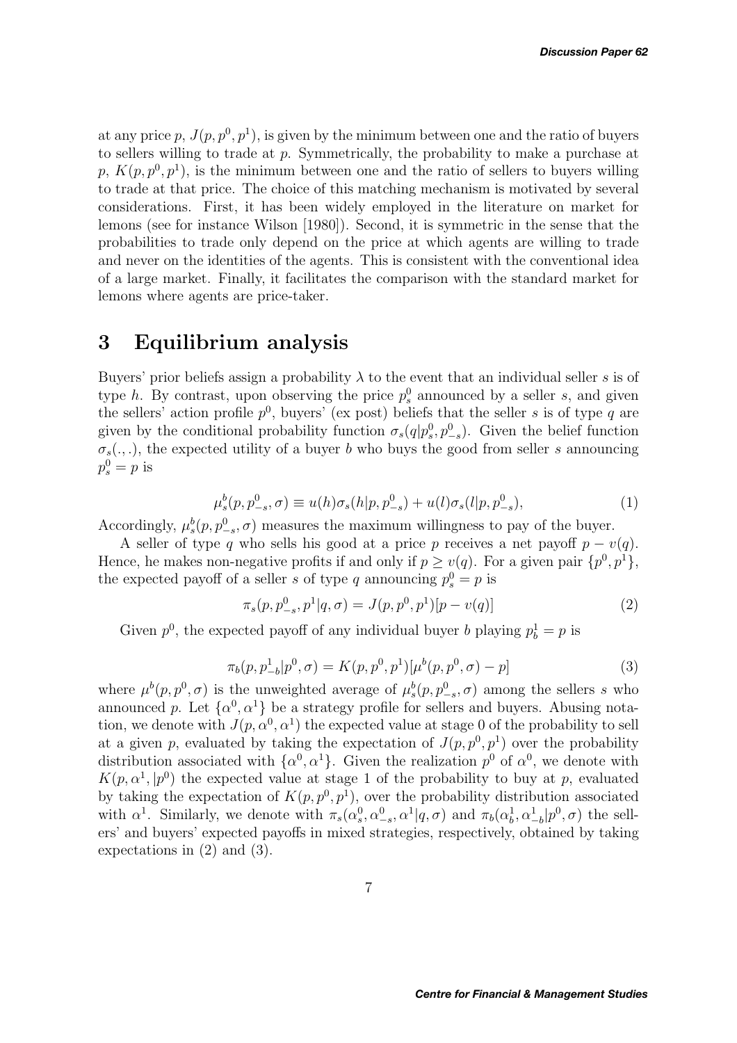at any price p,  $J(p, p^0, p^1)$ , is given by the minimum between one and the ratio of buyers to sellers willing to trade at p. Symmetrically, the probability to make a purchase at p,  $K(p, p^0, p^1)$ , is the minimum between one and the ratio of sellers to buyers willing to trade at that price. The choice of this matching mechanism is motivated by several considerations. First, it has been widely employed in the literature on market for lemons (see for instance Wilson [1980]). Second, it is symmetric in the sense that the probabilities to trade only depend on the price at which agents are willing to trade and never on the identities of the agents. This is consistent with the conventional idea of a large market. Finally, it facilitates the comparison with the standard market for lemons where agents are price-taker.

## **3 Equilibrium analysis**

Buyers' prior beliefs assign a probability  $\lambda$  to the event that an individual seller s is of type h. By contrast, upon observing the price  $p_s^0$  announced by a seller s, and given the sellers' action profile  $p^0$ , buyers' (ex post) beliefs that the seller s is of type q are given by the conditional probability function  $\sigma_s(q|p_s^0, p_{-s}^0)$ . Given the belief function  $\sigma_s(.,.),$  the expected utility of a buyer b who buys the good from seller s announcing  $p_s^0 = p$  is

$$
\mu_s^b(p, p_{-s}^0, \sigma) \equiv u(h)\sigma_s(h|p, p_{-s}^0) + u(l)\sigma_s(l|p, p_{-s}^0),\tag{1}
$$

Accordingly,  $\mu_s^b(p, p_{-s}^0, \sigma)$  measures the maximum willingness to pay of the buyer.

A seller of type q who sells his good at a price p receives a net payoff  $p - v(q)$ . Hence, he makes non-negative profits if and only if  $p \ge v(q)$ . For a given pair  $\{p^0, p^1\}$ , the expected payoff of a seller s of type q announcing  $p_s^0 = p$  is

$$
\pi_s(p, p_{-s}^0, p^1 | q, \sigma) = J(p, p^0, p^1)[p - v(q)] \tag{2}
$$

Given  $p^0$ , the expected payoff of any individual buyer b playing  $p_b^1 = p$  is

$$
\pi_b(p, p_{-b}^1 | p^0, \sigma) = K(p, p^0, p^1) [\mu^b(p, p^0, \sigma) - p]
$$
\n(3)

where  $\mu^b(p, p^0, \sigma)$  is the unweighted average of  $\mu^b_s(p, p^0_{-s}, \sigma)$  among the sellers s who announced p. Let  $\{\alpha^0, \alpha^1\}$  be a strategy profile for sellers and buyers. Abusing notation, we denote with  $J(p, \alpha^0, \alpha^1)$  the expected value at stage 0 of the probability to sell at a given p, evaluated by taking the expectation of  $J(p, p^0, p^1)$  over the probability distribution associated with  $\{\alpha^0, \alpha^1\}$ . Given the realization  $p^0$  of  $\alpha^0$ , we denote with  $K(p, \alpha^1, |p^0)$  the expected value at stage 1 of the probability to buy at p, evaluated by taking the expectation of  $K(p, p^0, p^1)$ , over the probability distribution associated with  $\alpha^1$ . Similarly, we denote with  $\pi_s(\alpha_s^0, \alpha_{-s}^0, \alpha^1 | q, \sigma)$  and  $\pi_b(\alpha_b^1, \alpha_{-b}^1 | p^0, \sigma)$  the sellers' and buyers' expected payoffs in mixed strategies, respectively, obtained by taking expectations in (2) and (3).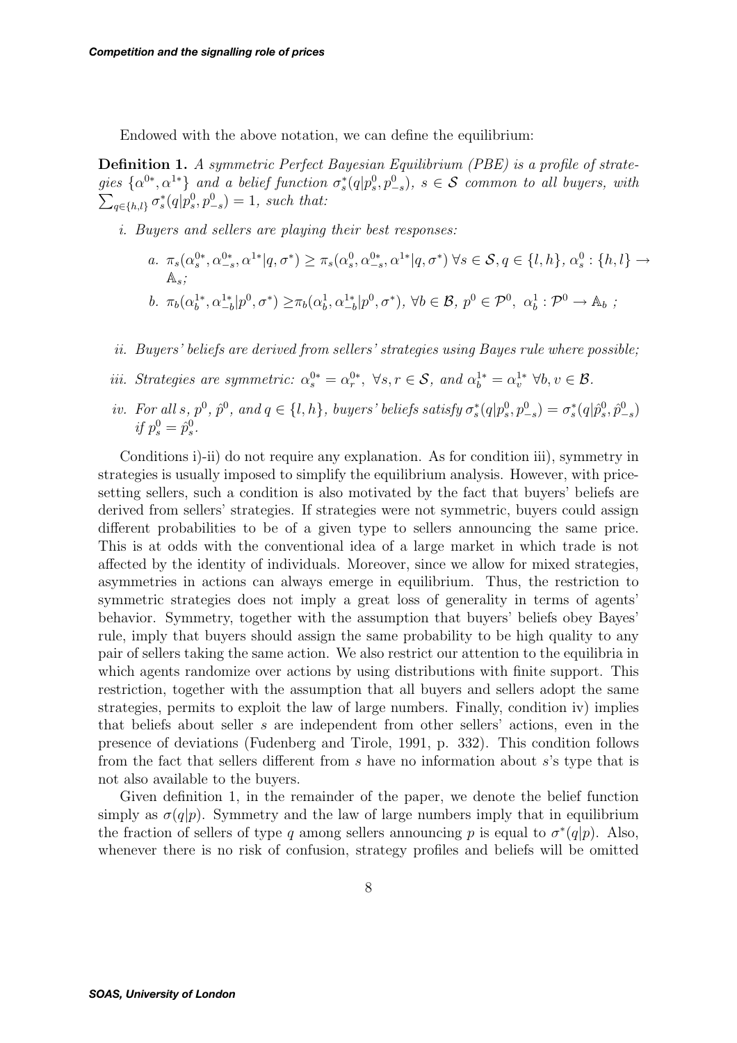Endowed with the above notation, we can define the equilibrium:

**Definition 1.** *A symmetric Perfect Bayesian Equilibrium (PBE) is a profile of strate* $gies\ \{\alpha^{0*}, \alpha^{1*}\}\$  and a belief function  $\sigma_s^*(q|p_s^0, p_{-s}^0)$ ,  $s \in S$  common to all buyers, with  $\sum_{q \in \{h,l\}} \sigma_s^*(q|p_s^0, p_{-s}^0) = 1$ , such that:

- *i. Buyers and sellers are playing their best responses:*
	- *a.*  $\pi_s(\alpha_s^{0*}, \alpha_{-s}^{0*}, \alpha^{1*}|q, \sigma^*) \ge \pi_s(\alpha_s^0, \alpha_{-s}^{0*}, \alpha^{1*}|q, \sigma^*) \ \forall s \in \mathcal{S}, q \in \{l, h\}, \alpha_s^0: \{h, l\} \to$ As*; b*.  $\pi_b(\alpha_b^{1*}, \alpha_{-b}^{1*}|p^0, \sigma^*) \geq \pi_b(\alpha_b^{1}, \alpha_{-b}^{1*}|p^0, \sigma^*)$ ,  $\forall b \in \mathcal{B}, p^0 \in \mathcal{P}^0$ ,  $\alpha_b^{1} : \mathcal{P}^0 \to \mathbb{A}_b$ ;
- *ii. Buyers' beliefs are derived from sellers' strategies using Bayes rule where possible;*
- *iii. Strategies are symmetric:*  $\alpha_s^{0*} = \alpha_r^{0*}$ ,  $\forall s, r \in S$ , and  $\alpha_b^{1*} = \alpha_v^{1*} \forall b, v \in \mathcal{B}$ .
- *iv.* For all s,  $p^0$ ,  $\hat{p}^0$ , and  $q \in \{l, h\}$ , buyers' beliefs satisfy  $\sigma_s^*(q|p_s^0, p_{-s}^0) = \sigma_s^*(q|p_s^0, \hat{p}_{-s}^0)$ *if*  $p_s^0 = \hat{p}_s^0$ .

Conditions i)-ii) do not require any explanation. As for condition iii), symmetry in strategies is usually imposed to simplify the equilibrium analysis. However, with pricesetting sellers, such a condition is also motivated by the fact that buyers' beliefs are derived from sellers' strategies. If strategies were not symmetric, buyers could assign different probabilities to be of a given type to sellers announcing the same price. This is at odds with the conventional idea of a large market in which trade is not affected by the identity of individuals. Moreover, since we allow for mixed strategies, asymmetries in actions can always emerge in equilibrium. Thus, the restriction to symmetric strategies does not imply a great loss of generality in terms of agents' behavior. Symmetry, together with the assumption that buyers' beliefs obey Bayes' rule, imply that buyers should assign the same probability to be high quality to any pair of sellers taking the same action. We also restrict our attention to the equilibria in which agents randomize over actions by using distributions with finite support. This restriction, together with the assumption that all buyers and sellers adopt the same strategies, permits to exploit the law of large numbers. Finally, condition iv) implies that beliefs about seller s are independent from other sellers' actions, even in the presence of deviations (Fudenberg and Tirole, 1991, p. 332). This condition follows from the fact that sellers different from s have no information about s's type that is not also available to the buyers.

Given definition 1, in the remainder of the paper, we denote the belief function simply as  $\sigma(q|p)$ . Symmetry and the law of large numbers imply that in equilibrium the fraction of sellers of type q among sellers announcing p is equal to  $\sigma^*(q|p)$ . Also, whenever there is no risk of confusion, strategy profiles and beliefs will be omitted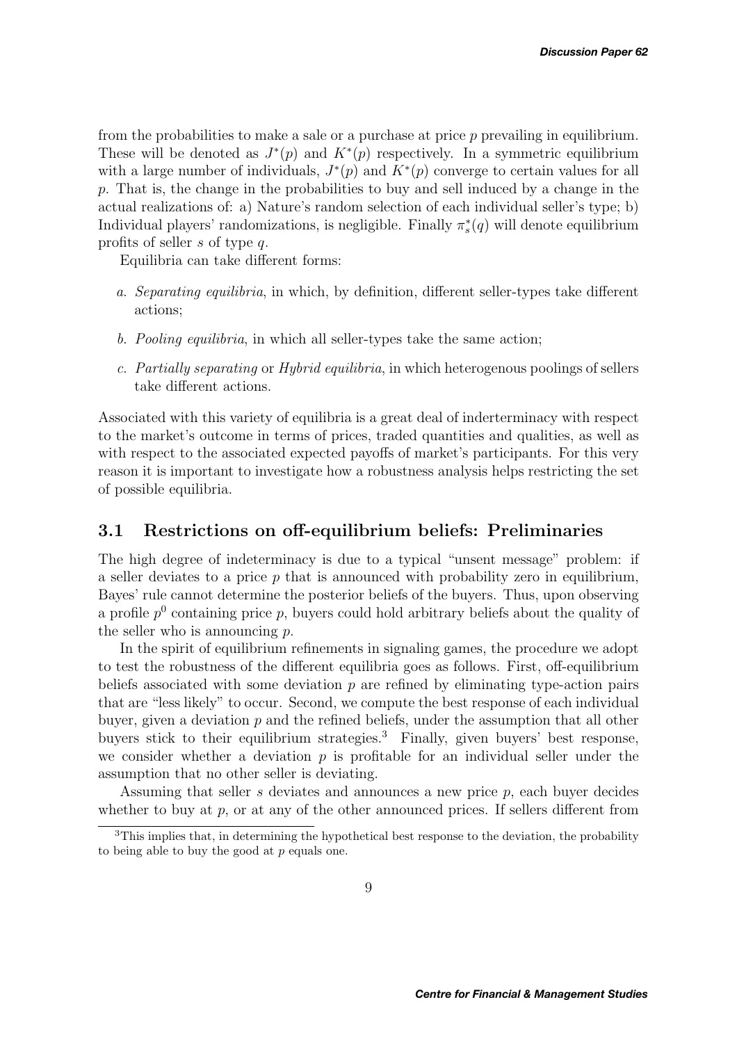from the probabilities to make a sale or a purchase at price  $p$  prevailing in equilibrium. These will be denoted as  $J^*(p)$  and  $K^*(p)$  respectively. In a symmetric equilibrium with a large number of individuals,  $J^*(p)$  and  $K^*(p)$  converge to certain values for all p. That is, the change in the probabilities to buy and sell induced by a change in the actual realizations of: a) Nature's random selection of each individual seller's type; b) Individual players' randomizations, is negligible. Finally  $\pi_s^*(q)$  will denote equilibrium profits of seller s of type q.

Equilibria can take different forms:

- *a*. *Separating equilibria*, in which, by definition, different seller-types take different actions;
- *b*. *Pooling equilibria*, in which all seller-types take the same action;
- *c*. *Partially separating* or *Hybrid equilibria*, in which heterogenous poolings of sellers take different actions.

Associated with this variety of equilibria is a great deal of inderterminacy with respect to the market's outcome in terms of prices, traded quantities and qualities, as well as with respect to the associated expected payoffs of market's participants. For this very reason it is important to investigate how a robustness analysis helps restricting the set of possible equilibria.

## **3.1 Restrictions on off-equilibrium beliefs: Preliminaries**

The high degree of indeterminacy is due to a typical "unsent message" problem: if a seller deviates to a price  $p$  that is announced with probability zero in equilibrium, Bayes' rule cannot determine the posterior beliefs of the buyers. Thus, upon observing a profile  $p^0$  containing price p, buyers could hold arbitrary beliefs about the quality of the seller who is announcing  $p$ .

In the spirit of equilibrium refinements in signaling games, the procedure we adopt to test the robustness of the different equilibria goes as follows. First, off-equilibrium beliefs associated with some deviation  $p$  are refined by eliminating type-action pairs that are "less likely" to occur. Second, we compute the best response of each individual buyer, given a deviation  $p$  and the refined beliefs, under the assumption that all other buyers stick to their equilibrium strategies.<sup>3</sup> Finally, given buyers' best response, we consider whether a deviation  $p$  is profitable for an individual seller under the assumption that no other seller is deviating.

Assuming that seller s deviates and announces a new price p, each buyer decides whether to buy at p, or at any of the other announced prices. If sellers different from

 $3$ This implies that, in determining the hypothetical best response to the deviation, the probability to being able to buy the good at  $p$  equals one.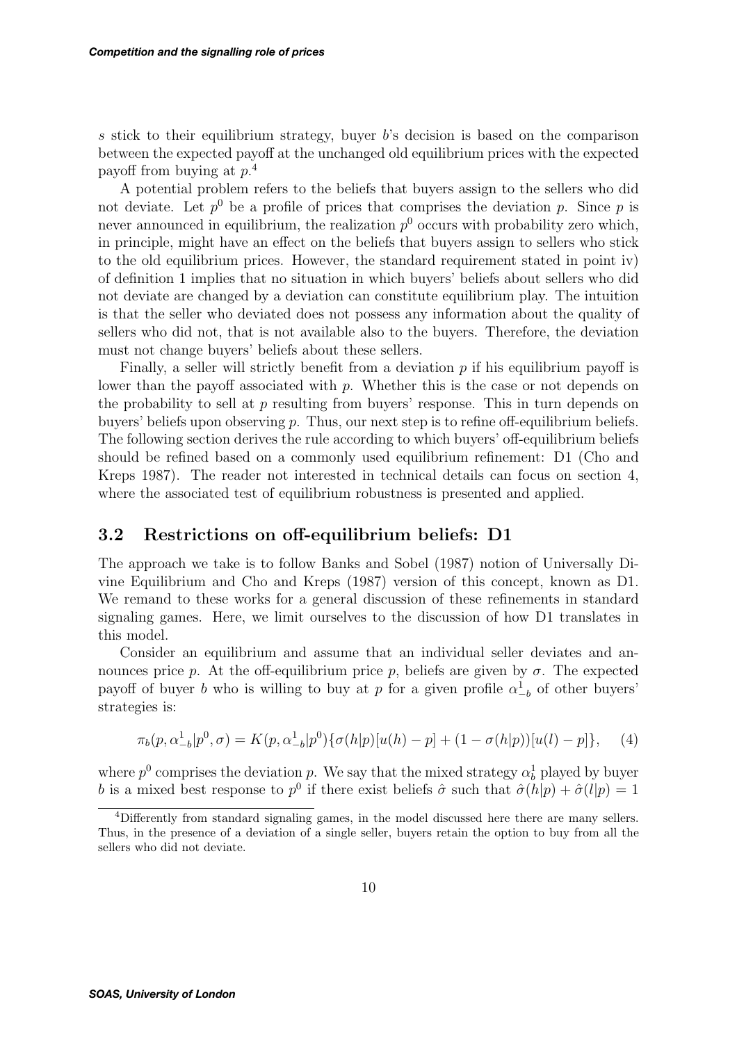s stick to their equilibrium strategy, buyer  $b$ 's decision is based on the comparison between the expected payoff at the unchanged old equilibrium prices with the expected payoff from buying at p. 4

A potential problem refers to the beliefs that buyers assign to the sellers who did not deviate. Let  $p^0$  be a profile of prices that comprises the deviation p. Since p is never announced in equilibrium, the realization  $p<sup>0</sup>$  occurs with probability zero which, in principle, might have an effect on the beliefs that buyers assign to sellers who stick to the old equilibrium prices. However, the standard requirement stated in point iv) of definition 1 implies that no situation in which buyers' beliefs about sellers who did not deviate are changed by a deviation can constitute equilibrium play. The intuition is that the seller who deviated does not possess any information about the quality of sellers who did not, that is not available also to the buyers. Therefore, the deviation must not change buyers' beliefs about these sellers.

Finally, a seller will strictly benefit from a deviation  $p$  if his equilibrium payoff is lower than the payoff associated with  $p$ . Whether this is the case or not depends on the probability to sell at  $p$  resulting from buyers' response. This in turn depends on buyers' beliefs upon observing  $p$ . Thus, our next step is to refine off-equilibrium beliefs. The following section derives the rule according to which buyers' off-equilibrium beliefs should be refined based on a commonly used equilibrium refinement: D1 (Cho and Kreps 1987). The reader not interested in technical details can focus on section 4, where the associated test of equilibrium robustness is presented and applied.

### **3.2 Restrictions on off-equilibrium beliefs: D1**

The approach we take is to follow Banks and Sobel (1987) notion of Universally Divine Equilibrium and Cho and Kreps (1987) version of this concept, known as D1. We remand to these works for a general discussion of these refinements in standard signaling games. Here, we limit ourselves to the discussion of how D1 translates in this model.

Consider an equilibrium and assume that an individual seller deviates and announces price p. At the off-equilibrium price p, beliefs are given by  $\sigma$ . The expected payoff of buyer b who is willing to buy at p for a given profile  $\alpha_{-b}^1$  of other buyers' strategies is:

$$
\pi_b(p, \alpha_{-b}^1 | p^0, \sigma) = K(p, \alpha_{-b}^1 | p^0) \{ \sigma(h|p) [u(h) - p] + (1 - \sigma(h|p)) [u(l) - p] \}, \quad (4)
$$

where  $p^0$  comprises the deviation p. We say that the mixed strategy  $\alpha_b^1$  played by buyer b is a mixed best response to p<sup>0</sup> if there exist beliefs  $\hat{\sigma}$  such that  $\hat{\sigma}(h|p)+\hat{\sigma}(l|p)=1$ 

<sup>4</sup>Differently from standard signaling games, in the model discussed here there are many sellers. Thus, in the presence of a deviation of a single seller, buyers retain the option to buy from all the sellers who did not deviate.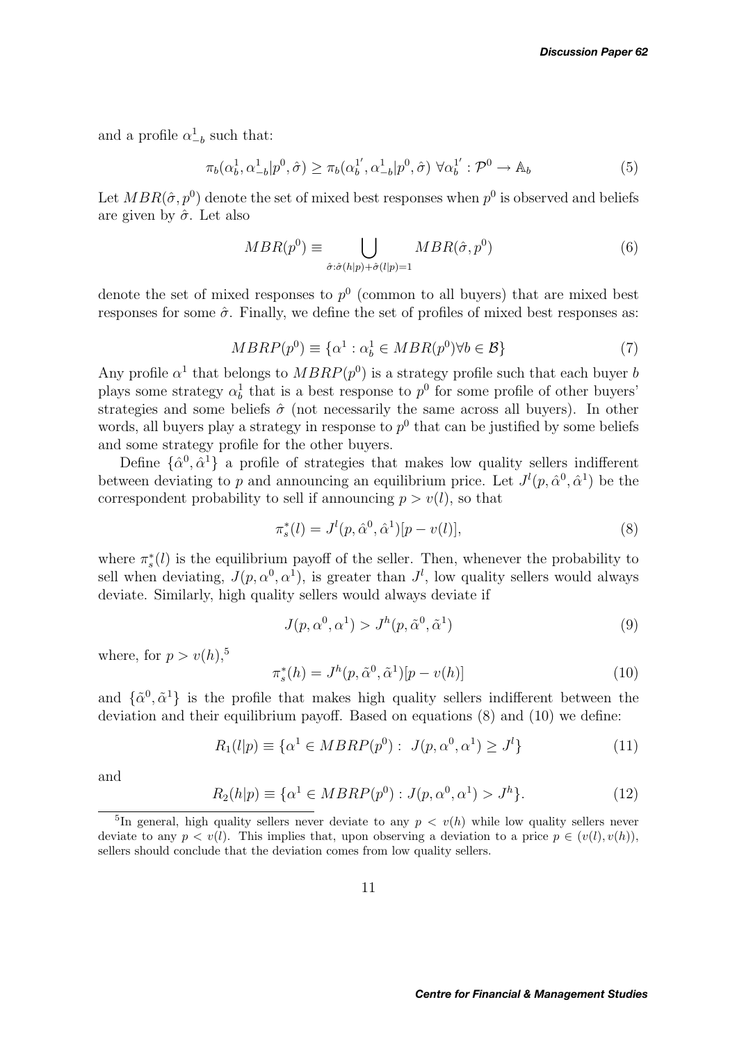and a profile  $\alpha_{-b}^1$  such that:

$$
\pi_b(\alpha_b^1, \alpha_{-b}^1 | p^0, \hat{\sigma}) \ge \pi_b(\alpha_b^{1'}, \alpha_{-b}^1 | p^0, \hat{\sigma}) \ \forall \alpha_b^{1'} : \mathcal{P}^0 \to \mathbb{A}_b \tag{5}
$$

Let  $MBR(\hat{\sigma}, p^0)$  denote the set of mixed best responses when  $p^0$  is observed and beliefs are given by  $\hat{\sigma}$ . Let also

$$
MBR(p^0) \equiv \bigcup_{\hat{\sigma}:\hat{\sigma}(h|p) + \hat{\sigma}(l|p) = 1} MBR(\hat{\sigma}, p^0)
$$
 (6)

denote the set of mixed responses to  $p^0$  (common to all buyers) that are mixed best responses for some  $\hat{\sigma}$ . Finally, we define the set of profiles of mixed best responses as:

$$
MBRP(p^0) \equiv \{ \alpha^1 : \alpha^1_b \in MBR(p^0) \forall b \in \mathcal{B} \}
$$
\n<sup>(7)</sup>

Any profile  $\alpha^1$  that belongs to  $MBRP(p^0)$  is a strategy profile such that each buyer b plays some strategy  $\alpha_b^1$  that is a best response to  $p^0$  for some profile of other buyers' strategies and some beliefs  $\hat{\sigma}$  (not necessarily the same across all buyers). In other words, all buyers play a strategy in response to  $p^0$  that can be justified by some beliefs and some strategy profile for the other buyers.

Define  $\{\hat{\alpha}^0, \hat{\alpha}^1\}$  a profile of strategies that makes low quality sellers indifferent between deviating to p and announcing an equilibrium price. Let  $J^l(p, \hat{\alpha}^0, \hat{\alpha}^1)$  be the correspondent probability to sell if announcing  $p > v(l)$ , so that

$$
\pi_s^*(l) = J^l(p, \hat{\alpha}^0, \hat{\alpha}^1)[p - v(l)],\tag{8}
$$

where  $\pi_s^*(l)$  is the equilibrium payoff of the seller. Then, whenever the probability to sell when deviating,  $J(p, \alpha^0, \alpha^1)$ , is greater than  $J^l$ , low quality sellers would always deviate. Similarly, high quality sellers would always deviate if

$$
J(p, \alpha^0, \alpha^1) > J^h(p, \tilde{\alpha}^0, \tilde{\alpha}^1)
$$
\n(9)

where, for  $p>v(h)$ ,<sup>5</sup>

$$
\pi_s^*(h) = J^h(p, \tilde{\alpha}^0, \tilde{\alpha}^1)[p - v(h)] \tag{10}
$$

and  $\{\tilde{\alpha}^0, \tilde{\alpha}^1\}$  is the profile that makes high quality sellers indifferent between the deviation and their equilibrium payoff. Based on equations (8) and (10) we define:

$$
R_1(l|p) \equiv \{ \alpha^1 \in MBRP(p^0) : J(p, \alpha^0, \alpha^1) \ge J^l \}
$$
\n(11)

and

$$
R_2(h|p) \equiv \{ \alpha^1 \in MBRP(p^0) : J(p, \alpha^0, \alpha^1) > J^h \}. \tag{12}
$$

<sup>&</sup>lt;sup>5</sup>In general, high quality sellers never deviate to any  $p \lt v(h)$  while low quality sellers never deviate to any  $p < v(l)$ . This implies that, upon observing a deviation to a price  $p \in (v(l), v(h)),$ sellers should conclude that the deviation comes from low quality sellers.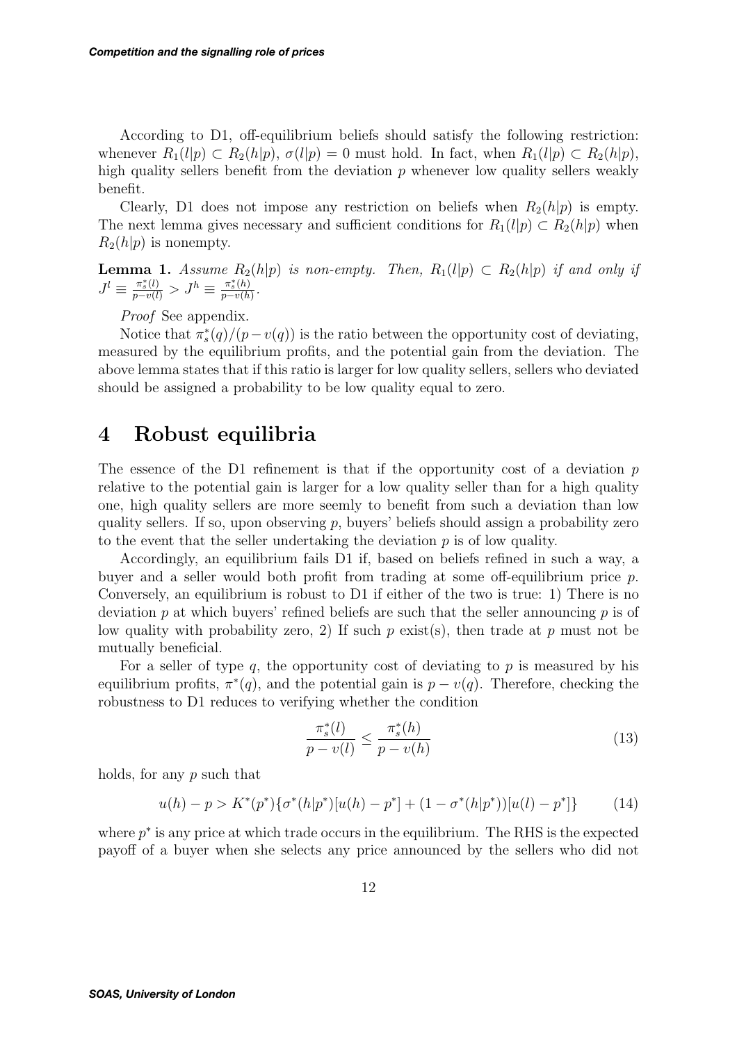According to D1, off-equilibrium beliefs should satisfy the following restriction: whenever  $R_1(l|p) \subset R_2(h|p)$ ,  $\sigma(l|p) = 0$  must hold. In fact, when  $R_1(l|p) \subset R_2(h|p)$ , high quality sellers benefit from the deviation  $p$  whenever low quality sellers weakly benefit.

Clearly, D1 does not impose any restriction on beliefs when  $R_2(h|p)$  is empty. The next lemma gives necessary and sufficient conditions for  $R_1(l|p) \subset R_2(h|p)$  when  $R_2(h|p)$  is nonempty.

**Lemma 1.** *Assume*  $R_2(h|p)$  *is non-empty. Then,*  $R_1(l|p) \subset R_2(h|p)$  *if and only if*  $J^{l} \equiv \frac{\pi_{s}^{*}(l)}{p - v(l)} > J^{h} \equiv \frac{\pi_{s}^{*}(h)}{p - v(h)}$ .

*Proof* See appendix.

Notice that  $\pi_s^*(q)/(p-v(q))$  is the ratio between the opportunity cost of deviating, measured by the equilibrium profits, and the potential gain from the deviation. The above lemma states that if this ratio is larger for low quality sellers, sellers who deviated should be assigned a probability to be low quality equal to zero.

## **4 Robust equilibria**

The essence of the D1 refinement is that if the opportunity cost of a deviation  $p$ relative to the potential gain is larger for a low quality seller than for a high quality one, high quality sellers are more seemly to benefit from such a deviation than low quality sellers. If so, upon observing  $p$ , buyers' beliefs should assign a probability zero to the event that the seller undertaking the deviation  $p$  is of low quality.

Accordingly, an equilibrium fails D1 if, based on beliefs refined in such a way, a buyer and a seller would both profit from trading at some off-equilibrium price p. Conversely, an equilibrium is robust to D1 if either of the two is true: 1) There is no deviation p at which buyers' refined beliefs are such that the seller announcing p is of low quality with probability zero, 2) If such  $p$  exist(s), then trade at  $p$  must not be mutually beneficial.

For a seller of type  $q$ , the opportunity cost of deviating to  $p$  is measured by his equilibrium profits,  $\pi^*(q)$ , and the potential gain is  $p - v(q)$ . Therefore, checking the robustness to D1 reduces to verifying whether the condition

$$
\frac{\pi_s^*(l)}{p - v(l)} \le \frac{\pi_s^*(h)}{p - v(h)}\tag{13}
$$

holds, for any p such that

$$
u(h) - p > K^*(p^*)\{\sigma^*(h|p^*)[u(h) - p^*] + (1 - \sigma^*(h|p^*))[u(l) - p^*]\}\tag{14}
$$

where  $p^*$  is any price at which trade occurs in the equilibrium. The RHS is the expected payoff of a buyer when she selects any price announced by the sellers who did not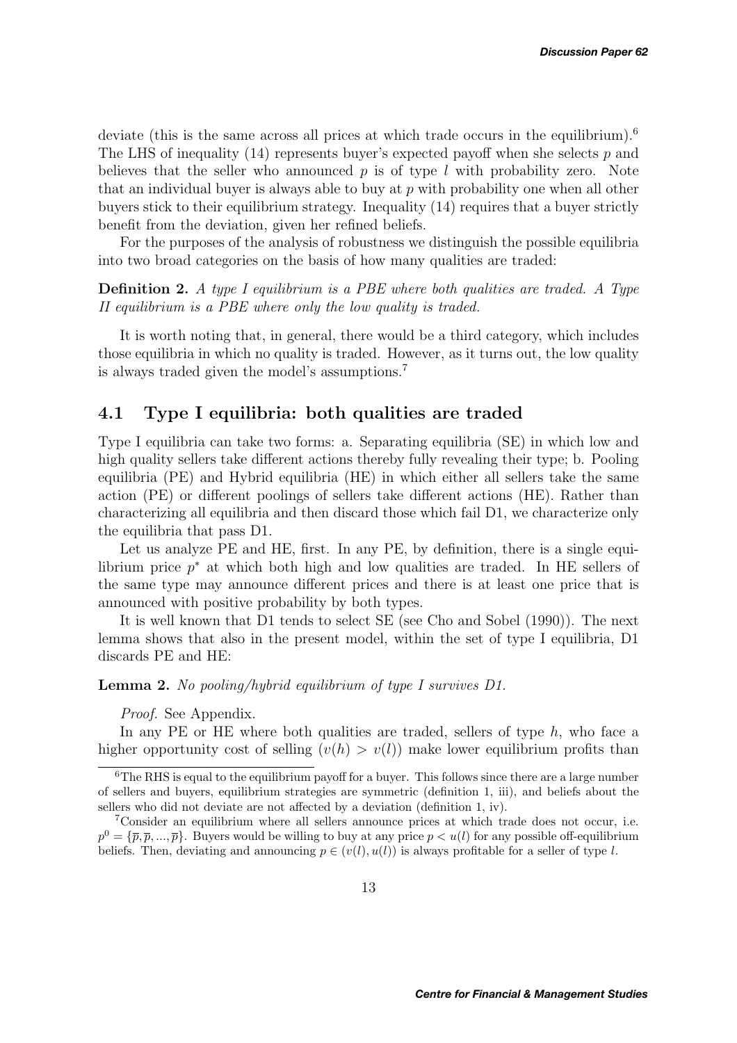deviate (this is the same across all prices at which trade occurs in the equilibrium).<sup>6</sup> The LHS of inequality  $(14)$  represents buyer's expected payoff when she selects p and believes that the seller who announced  $p$  is of type l with probability zero. Note that an individual buyer is always able to buy at  $p$  with probability one when all other buyers stick to their equilibrium strategy. Inequality (14) requires that a buyer strictly benefit from the deviation, given her refined beliefs.

For the purposes of the analysis of robustness we distinguish the possible equilibria into two broad categories on the basis of how many qualities are traded:

**Definition 2.** *A type I equilibrium is a PBE where both qualities are traded. A Type II equilibrium is a PBE where only the low quality is traded.*

It is worth noting that, in general, there would be a third category, which includes those equilibria in which no quality is traded. However, as it turns out, the low quality is always traded given the model's assumptions.<sup>7</sup>

### **4.1 Type I equilibria: both qualities are traded**

Type I equilibria can take two forms: a. Separating equilibria (SE) in which low and high quality sellers take different actions thereby fully revealing their type; b. Pooling equilibria (PE) and Hybrid equilibria (HE) in which either all sellers take the same action (PE) or different poolings of sellers take different actions (HE). Rather than characterizing all equilibria and then discard those which fail D1, we characterize only the equilibria that pass D1.

Let us analyze PE and HE, first. In any PE, by definition, there is a single equilibrium price p<sup>∗</sup> at which both high and low qualities are traded. In HE sellers of the same type may announce different prices and there is at least one price that is announced with positive probability by both types.

It is well known that D1 tends to select SE (see Cho and Sobel (1990)). The next lemma shows that also in the present model, within the set of type I equilibria, D1 discards PE and HE:

**Lemma 2.** *No pooling/hybrid equilibrium of type I survives D1.*

*Proof.* See Appendix.

In any PE or HE where both qualities are traded, sellers of type  $h$ , who face a higher opportunity cost of selling  $(v(h) > v(l))$  make lower equilibrium profits than

 $6$ The RHS is equal to the equilibrium payoff for a buyer. This follows since there are a large number of sellers and buyers, equilibrium strategies are symmetric (definition 1, iii), and beliefs about the sellers who did not deviate are not affected by a deviation (definition 1, iv).

<sup>7</sup>Consider an equilibrium where all sellers announce prices at which trade does not occur, i.e.  $p^0 = {\overline{\rho}, \overline{p}, ..., \overline{p}}$ . Buyers would be willing to buy at any price  $p < u(l)$  for any possible off-equilibrium beliefs. Then, deviating and announcing  $p \in (v(l), u(l))$  is always profitable for a seller of type l.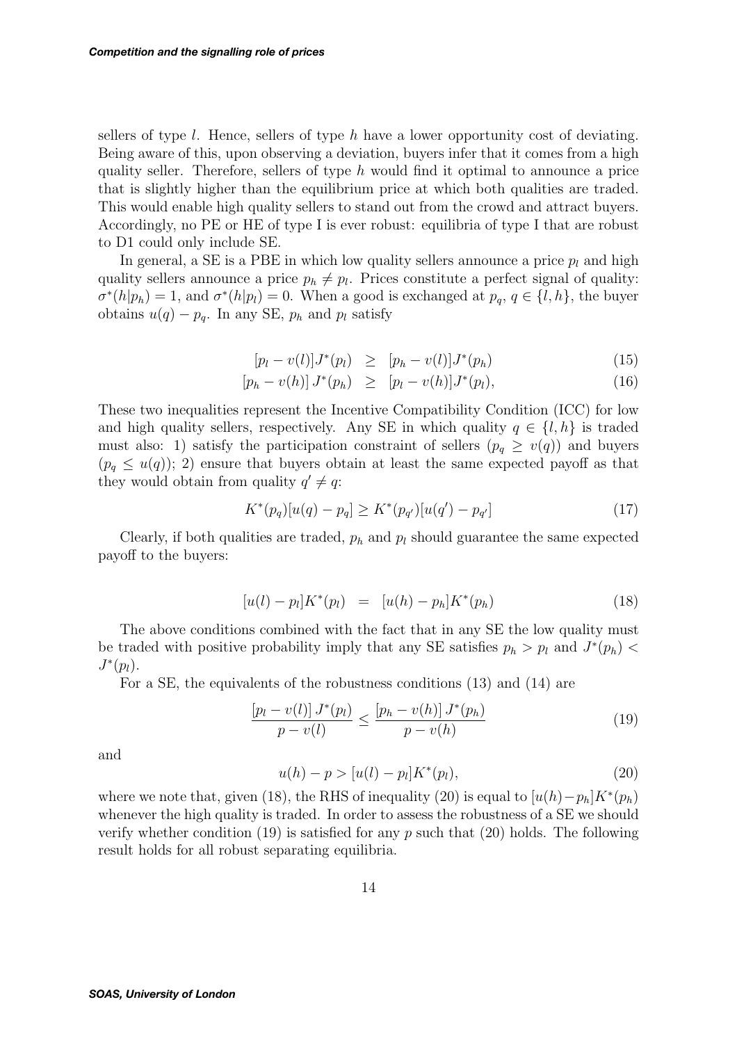sellers of type  $l$ . Hence, sellers of type  $h$  have a lower opportunity cost of deviating. Being aware of this, upon observing a deviation, buyers infer that it comes from a high quality seller. Therefore, sellers of type  $h$  would find it optimal to announce a price that is slightly higher than the equilibrium price at which both qualities are traded. This would enable high quality sellers to stand out from the crowd and attract buyers. Accordingly, no PE or HE of type I is ever robust: equilibria of type I that are robust to D1 could only include SE.

In general, a SE is a PBE in which low quality sellers announce a price  $p_l$  and high quality sellers announce a price  $p_h \neq p_l$ . Prices constitute a perfect signal of quality:  $\sigma^*(h|p_h) = 1$ , and  $\sigma^*(h|p_l) = 0$ . When a good is exchanged at  $p_q, q \in \{l, h\}$ , the buyer obtains  $u(q) - p_q$ . In any SE,  $p_h$  and  $p_l$  satisfy

$$
[p_l - v(l)]J^*(p_l) \geq [p_h - v(l)]J^*(p_h)
$$
\n(15)

$$
[p_h - v(h)] J^*(p_h) \geq [p_l - v(h)] J^*(p_l), \qquad (16)
$$

These two inequalities represent the Incentive Compatibility Condition (ICC) for low and high quality sellers, respectively. Any SE in which quality  $q \in \{l, h\}$  is traded must also: 1) satisfy the participation constraint of sellers  $(p_q \ge v(q))$  and buyers  $(p_q \leq u(q))$ ; 2) ensure that buyers obtain at least the same expected payoff as that they would obtain from quality  $q' \neq q$ :

$$
K^*(p_q)[u(q) - p_q] \ge K^*(p_{q'})[u(q') - p_{q'}]
$$
\n(17)

Clearly, if both qualities are traded,  $p_h$  and  $p_l$  should guarantee the same expected payoff to the buyers:

$$
[u(l) - p_l]K^*(p_l) = [u(h) - p_h]K^*(p_h)
$$
\n(18)

The above conditions combined with the fact that in any SE the low quality must be traded with positive probability imply that any SE satisfies  $p_h > p_l$  and  $J^*(p_h)$  $J^*(p_l)$ .

For a SE, the equivalents of the robustness conditions (13) and (14) are

$$
\frac{[p_l - v(l)] J^*(p_l)}{p - v(l)} \le \frac{[p_h - v(h)] J^*(p_h)}{p - v(h)}\tag{19}
$$

and

$$
u(h) - p > [u(l) - p_l]K^*(p_l),
$$
\n(20)

where we note that, given (18), the RHS of inequality (20) is equal to  $[u(h)-p_h]K^*(p_h)$ whenever the high quality is traded. In order to assess the robustness of a SE we should verify whether condition  $(19)$  is satisfied for any p such that  $(20)$  holds. The following result holds for all robust separating equilibria.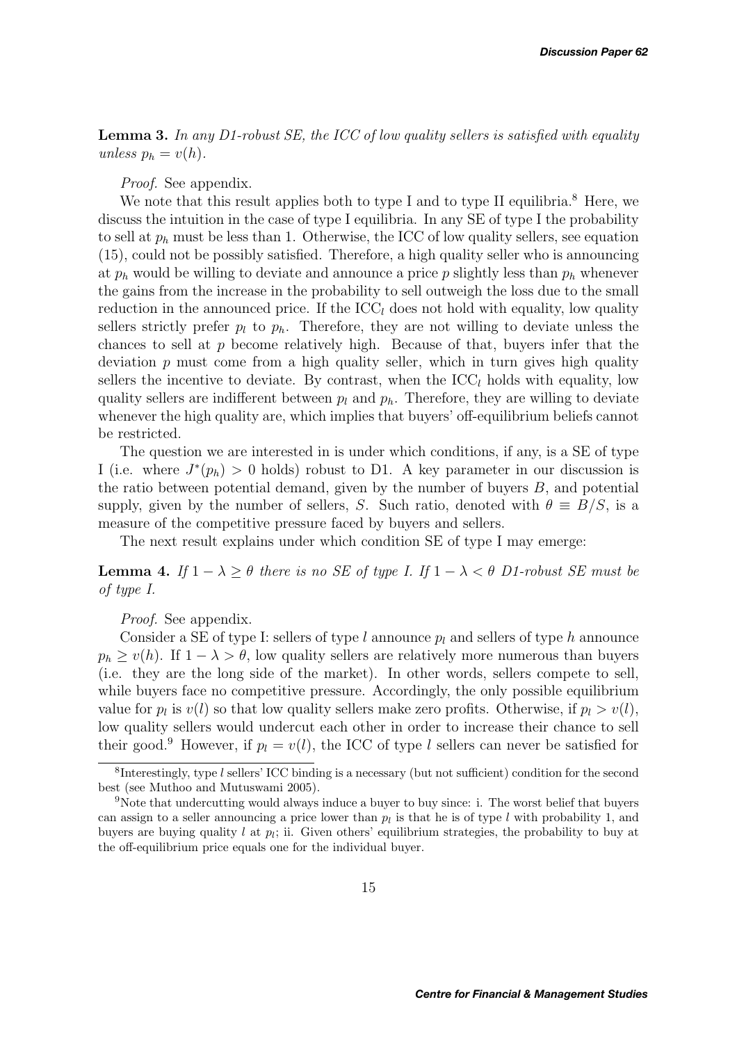**Lemma 3.** *In any D1-robust SE, the ICC of low quality sellers is satisfied with equality unless*  $p_h = v(h)$ *.* 

### *Proof.* See appendix.

We note that this result applies both to type I and to type II equilibria.<sup>8</sup> Here, we discuss the intuition in the case of type I equilibria. In any SE of type I the probability to sell at  $p_h$  must be less than 1. Otherwise, the ICC of low quality sellers, see equation (15), could not be possibly satisfied. Therefore, a high quality seller who is announcing at  $p_h$  would be willing to deviate and announce a price p slightly less than  $p_h$  whenever the gains from the increase in the probability to sell outweigh the loss due to the small reduction in the announced price. If the  $\text{ICC}_l$  does not hold with equality, low quality sellers strictly prefer  $p_l$  to  $p_h$ . Therefore, they are not willing to deviate unless the chances to sell at  $p$  become relatively high. Because of that, buyers infer that the deviation  $p$  must come from a high quality seller, which in turn gives high quality sellers the incentive to deviate. By contrast, when the  $\text{ICC}_l$  holds with equality, low quality sellers are indifferent between  $p_l$  and  $p_h$ . Therefore, they are willing to deviate whenever the high quality are, which implies that buyers' off-equilibrium beliefs cannot be restricted.

The question we are interested in is under which conditions, if any, is a SE of type I (i.e. where  $J^*(p_h) > 0$  holds) robust to D1. A key parameter in our discussion is the ratio between potential demand, given by the number of buyers  $B$ , and potential supply, given by the number of sellers, S. Such ratio, denoted with  $\theta \equiv B/S$ , is a measure of the competitive pressure faced by buyers and sellers.

The next result explains under which condition SE of type I may emerge:

**Lemma 4.** *If*  $1 - \lambda \ge \theta$  *there is no SE of type I. If*  $1 - \lambda < \theta$  *D1-robust SE must be of type I.*

### *Proof.* See appendix.

Consider a SE of type I: sellers of type l announce  $p_l$  and sellers of type h announce  $p_h \geq v(h)$ . If  $1 - \lambda > \theta$ , low quality sellers are relatively more numerous than buyers (i.e. they are the long side of the market). In other words, sellers compete to sell, while buyers face no competitive pressure. Accordingly, the only possible equilibrium value for  $p_l$  is  $v(l)$  so that low quality sellers make zero profits. Otherwise, if  $p_l > v(l)$ , low quality sellers would undercut each other in order to increase their chance to sell their good.<sup>9</sup> However, if  $p_l = v(l)$ , the ICC of type l sellers can never be satisfied for

<sup>&</sup>lt;sup>8</sup>Interestingly, type  $l$  sellers' ICC binding is a necessary (but not sufficient) condition for the second best (see Muthoo and Mutuswami 2005).

<sup>9</sup>Note that undercutting would always induce a buyer to buy since: i. The worst belief that buyers can assign to a seller announcing a price lower than  $p_l$  is that he is of type l with probability 1, and buyers are buying quality l at p*l*; ii. Given others' equilibrium strategies, the probability to buy at the off-equilibrium price equals one for the individual buyer.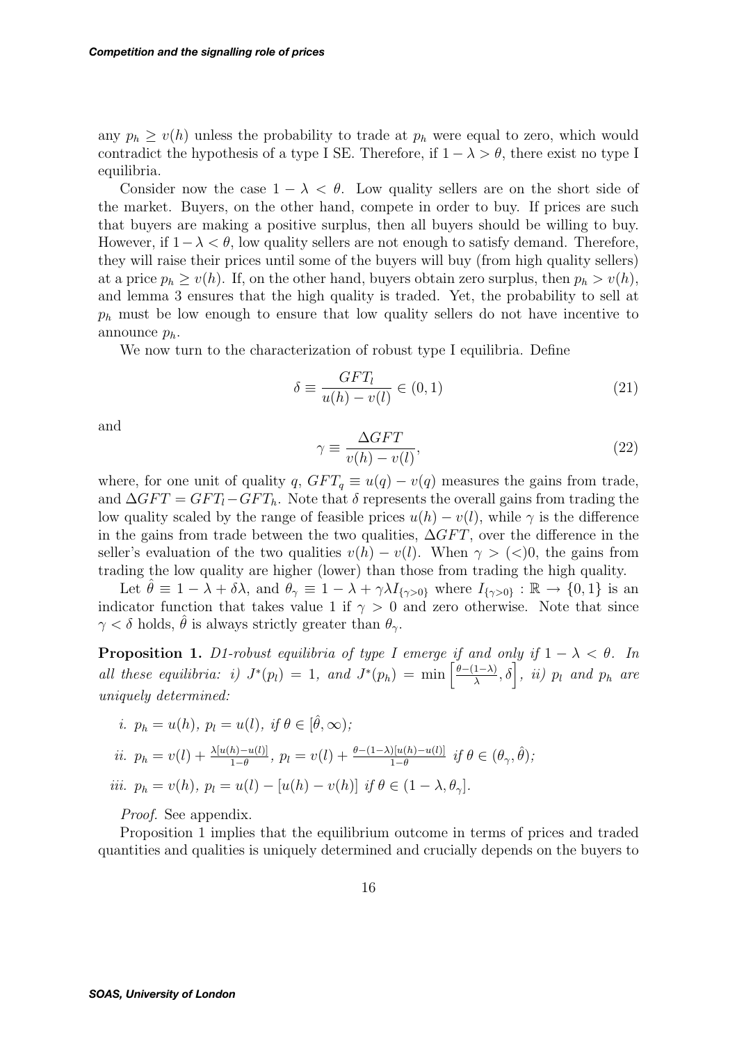any  $p_h \geq v(h)$  unless the probability to trade at  $p_h$  were equal to zero, which would contradict the hypothesis of a type I SE. Therefore, if  $1 - \lambda > \theta$ , there exist no type I equilibria.

Consider now the case  $1 - \lambda < \theta$ . Low quality sellers are on the short side of the market. Buyers, on the other hand, compete in order to buy. If prices are such that buyers are making a positive surplus, then all buyers should be willing to buy. However, if  $1-\lambda < \theta$ , low quality sellers are not enough to satisfy demand. Therefore, they will raise their prices until some of the buyers will buy (from high quality sellers) at a price  $p_h \ge v(h)$ . If, on the other hand, buyers obtain zero surplus, then  $p_h > v(h)$ , and lemma 3 ensures that the high quality is traded. Yet, the probability to sell at  $p_h$  must be low enough to ensure that low quality sellers do not have incentive to announce  $p_h$ .

We now turn to the characterization of robust type I equilibria. Define

$$
\delta \equiv \frac{GFT_l}{u(h) - v(l)} \in (0, 1)
$$
\n(21)

and

$$
\gamma \equiv \frac{\Delta GFT}{v(h) - v(l)},\tag{22}
$$

where, for one unit of quality q,  $GFT_q \equiv u(q) - v(q)$  measures the gains from trade, and  $\Delta GFT = GFT_l - GFT_h$ . Note that  $\delta$  represents the overall gains from trading the low quality scaled by the range of feasible prices  $u(h) - v(l)$ , while  $\gamma$  is the difference in the gains from trade between the two qualities,  $\Delta GFT$ , over the difference in the seller's evaluation of the two qualities  $v(h) - v(l)$ . When  $\gamma > (<0$ , the gains from trading the low quality are higher (lower) than those from trading the high quality.

Let  $\theta \equiv 1 - \lambda + \delta \lambda$ , and  $\theta_{\gamma} \equiv 1 - \lambda + \gamma \lambda I_{\{\gamma > 0\}}$  where  $I_{\{\gamma > 0\}} : \mathbb{R} \to \{0, 1\}$  is an indicator function that takes value 1 if  $\gamma > 0$  and zero otherwise. Note that since  $\gamma < \delta$  holds,  $\hat{\theta}$  is always strictly greater than  $\theta_{\gamma}$ .

**Proposition 1.** *D1-robust equilibria of type I emerge if and only if*  $1 - \lambda < \theta$ *. In all these equilibria: i)*  $J^*(p_l) = 1$ *, and*  $J^*(p_h) = \min\left[\frac{\theta-(1-\lambda)}{\lambda}, \delta\right]$ *, ii)*  $p_l$  *and*  $p_h$  *are uniquely determined:*

*i.* 
$$
p_h = u(h), p_l = u(l), \text{ if } \theta \in [\hat{\theta}, \infty);
$$
  
\n*ii.*  $p_h = v(l) + \frac{\lambda[u(h) - u(l)]}{1 - \theta}, p_l = v(l) + \frac{\theta - (1 - \lambda)[u(h) - u(l)]}{1 - \theta} \text{ if } \theta \in (\theta_\gamma, \hat{\theta});$   
\n*iii.*  $p_h = v(h), p_l = u(l) - [u(h) - v(h)] \text{ if } \theta \in (1 - \lambda, \theta_\gamma].$ 

#### *Proof.* See appendix.

Proposition 1 implies that the equilibrium outcome in terms of prices and traded quantities and qualities is uniquely determined and crucially depends on the buyers to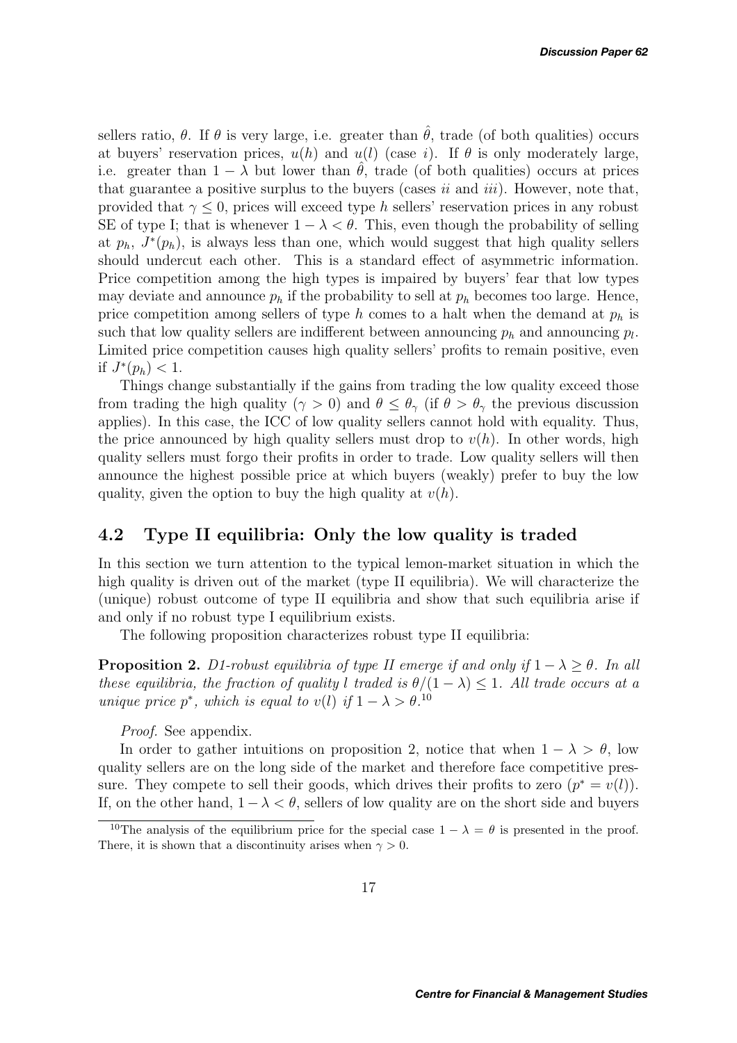sellers ratio,  $\theta$ . If  $\theta$  is very large, i.e. greater than  $\hat{\theta}$ , trade (of both qualities) occurs at buyers' reservation prices,  $u(h)$  and  $u(l)$  (case *i*). If  $\theta$  is only moderately large, i.e. greater than  $1 - \lambda$  but lower than  $\hat{\theta}$ , trade (of both qualities) occurs at prices that guarantee a positive surplus to the buyers (cases *ii* and *iii*). However, note that, provided that  $\gamma \leq 0$ , prices will exceed type h sellers' reservation prices in any robust SE of type I; that is whenever  $1 - \lambda < \theta$ . This, even though the probability of selling at  $p_h$ ,  $J^*(p_h)$ , is always less than one, which would suggest that high quality sellers should undercut each other. This is a standard effect of asymmetric information. Price competition among the high types is impaired by buyers' fear that low types may deviate and announce  $p_h$  if the probability to sell at  $p_h$  becomes too large. Hence, price competition among sellers of type h comes to a halt when the demand at  $p_h$  is such that low quality sellers are indifferent between announcing  $p_h$  and announcing  $p_l$ . Limited price competition causes high quality sellers' profits to remain positive, even if  $J^*(p_h) < 1$ .

Things change substantially if the gains from trading the low quality exceed those from trading the high quality ( $\gamma > 0$ ) and  $\theta \leq \theta_{\gamma}$  (if  $\theta > \theta_{\gamma}$  the previous discussion applies). In this case, the ICC of low quality sellers cannot hold with equality. Thus, the price announced by high quality sellers must drop to  $v(h)$ . In other words, high quality sellers must forgo their profits in order to trade. Low quality sellers will then announce the highest possible price at which buyers (weakly) prefer to buy the low quality, given the option to buy the high quality at  $v(h)$ .

### **4.2 Type II equilibria: Only the low quality is traded**

In this section we turn attention to the typical lemon-market situation in which the high quality is driven out of the market (type II equilibria). We will characterize the (unique) robust outcome of type II equilibria and show that such equilibria arise if and only if no robust type I equilibrium exists.

The following proposition characterizes robust type II equilibria:

**Proposition 2.** *D1-robust equilibria of type II emerge if and only if*  $1 - \lambda \ge \theta$ *. In all these equilibria, the fraction of quality* l *traded is*  $\theta/(1 - \lambda) \leq 1$ *. All trade occurs at a unique price*  $p^*$ *, which is equal to*  $v(l)$  *if*  $1 - \lambda > \theta$ <sup>10</sup>

*Proof.* See appendix.

In order to gather intuitions on proposition 2, notice that when  $1 - \lambda > \theta$ , low quality sellers are on the long side of the market and therefore face competitive pressure. They compete to sell their goods, which drives their profits to zero  $(p^* = v(l))$ . If, on the other hand,  $1-\lambda < \theta$ , sellers of low quality are on the short side and buyers

<sup>&</sup>lt;sup>10</sup>The analysis of the equilibrium price for the special case  $1 - \lambda = \theta$  is presented in the proof. There, it is shown that a discontinuity arises when  $\gamma > 0$ .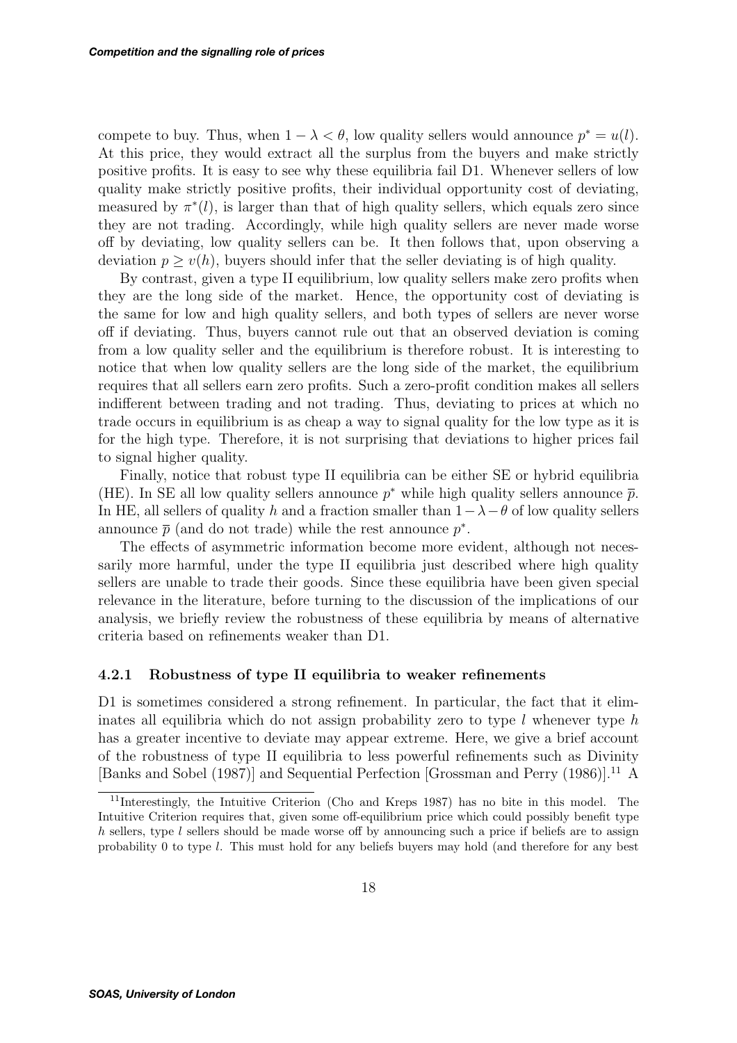compete to buy. Thus, when  $1 - \lambda < \theta$ , low quality sellers would announce  $p^* = u(l)$ . At this price, they would extract all the surplus from the buyers and make strictly positive profits. It is easy to see why these equilibria fail D1. Whenever sellers of low quality make strictly positive profits, their individual opportunity cost of deviating, measured by  $\pi^*(l)$ , is larger than that of high quality sellers, which equals zero since they are not trading. Accordingly, while high quality sellers are never made worse off by deviating, low quality sellers can be. It then follows that, upon observing a deviation  $p \geq v(h)$ , buyers should infer that the seller deviating is of high quality.

By contrast, given a type II equilibrium, low quality sellers make zero profits when they are the long side of the market. Hence, the opportunity cost of deviating is the same for low and high quality sellers, and both types of sellers are never worse off if deviating. Thus, buyers cannot rule out that an observed deviation is coming from a low quality seller and the equilibrium is therefore robust. It is interesting to notice that when low quality sellers are the long side of the market, the equilibrium requires that all sellers earn zero profits. Such a zero-profit condition makes all sellers indifferent between trading and not trading. Thus, deviating to prices at which no trade occurs in equilibrium is as cheap a way to signal quality for the low type as it is for the high type. Therefore, it is not surprising that deviations to higher prices fail to signal higher quality.

Finally, notice that robust type II equilibria can be either SE or hybrid equilibria (HE). In SE all low quality sellers announce  $p^*$  while high quality sellers announce  $\bar{p}$ . In HE, all sellers of quality h and a fraction smaller than  $1-\lambda-\theta$  of low quality sellers announce  $\bar{p}$  (and do not trade) while the rest announce  $p^*$ .

The effects of asymmetric information become more evident, although not necessarily more harmful, under the type II equilibria just described where high quality sellers are unable to trade their goods. Since these equilibria have been given special relevance in the literature, before turning to the discussion of the implications of our analysis, we briefly review the robustness of these equilibria by means of alternative criteria based on refinements weaker than D1.

### **4.2.1 Robustness of type II equilibria to weaker refinements**

D1 is sometimes considered a strong refinement. In particular, the fact that it eliminates all equilibria which do not assign probability zero to type  $l$  whenever type  $h$ has a greater incentive to deviate may appear extreme. Here, we give a brief account of the robustness of type II equilibria to less powerful refinements such as Divinity [Banks and Sobel (1987)] and Sequential Perfection [Grossman and Perry (1986)].<sup>11</sup> A

<sup>11</sup>Interestingly, the Intuitive Criterion (Cho and Kreps 1987) has no bite in this model. The Intuitive Criterion requires that, given some off-equilibrium price which could possibly benefit type  $h$  sellers, type  $l$  sellers should be made worse off by announcing such a price if beliefs are to assign probability 0 to type l. This must hold for any beliefs buyers may hold (and therefore for any best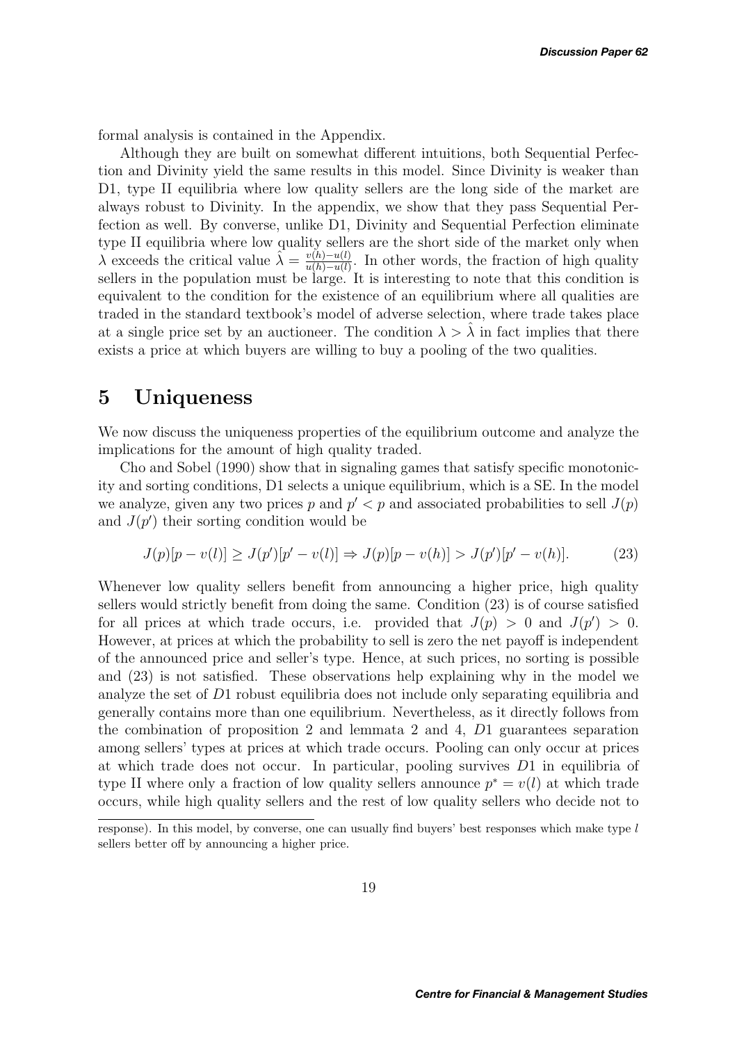formal analysis is contained in the Appendix.

Although they are built on somewhat different intuitions, both Sequential Perfection and Divinity yield the same results in this model. Since Divinity is weaker than D1, type II equilibria where low quality sellers are the long side of the market are always robust to Divinity. In the appendix, we show that they pass Sequential Perfection as well. By converse, unlike D1, Divinity and Sequential Perfection eliminate type II equilibria where low quality sellers are the short side of the market only when  $\lambda$  exceeds the critical value  $\hat{\lambda} = \frac{v(h) - u(l)}{u(h) - u(l)}$ . In other words, the fraction of high quality sellers in the population must be large. It is interesting to note that this condition is equivalent to the condition for the existence of an equilibrium where all qualities are traded in the standard textbook's model of adverse selection, where trade takes place at a single price set by an auctioneer. The condition  $\lambda > \hat{\lambda}$  in fact implies that there exists a price at which buyers are willing to buy a pooling of the two qualities.

## **5 Uniqueness**

We now discuss the uniqueness properties of the equilibrium outcome and analyze the implications for the amount of high quality traded.

Cho and Sobel (1990) show that in signaling games that satisfy specific monotonicity and sorting conditions, D1 selects a unique equilibrium, which is a SE. In the model we analyze, given any two prices p and  $p' < p$  and associated probabilities to sell  $J(p)$ and  $J(p')$  their sorting condition would be

$$
J(p)[p - v(l)] \ge J(p')[p' - v(l)] \Rightarrow J(p)[p - v(h)] > J(p')[p' - v(h)].
$$
\n(23)

Whenever low quality sellers benefit from announcing a higher price, high quality sellers would strictly benefit from doing the same. Condition (23) is of course satisfied for all prices at which trade occurs, i.e. provided that  $J(p) > 0$  and  $J(p') > 0$ . However, at prices at which the probability to sell is zero the net payoff is independent of the announced price and seller's type. Hence, at such prices, no sorting is possible and (23) is not satisfied. These observations help explaining why in the model we analyze the set of D1 robust equilibria does not include only separating equilibria and generally contains more than one equilibrium. Nevertheless, as it directly follows from the combination of proposition 2 and lemmata 2 and 4, D1 guarantees separation among sellers' types at prices at which trade occurs. Pooling can only occur at prices at which trade does not occur. In particular, pooling survives D1 in equilibria of type II where only a fraction of low quality sellers announce  $p^* = v(l)$  at which trade occurs, while high quality sellers and the rest of low quality sellers who decide not to

response). In this model, by converse, one can usually find buyers' best responses which make type  $l$ sellers better off by announcing a higher price.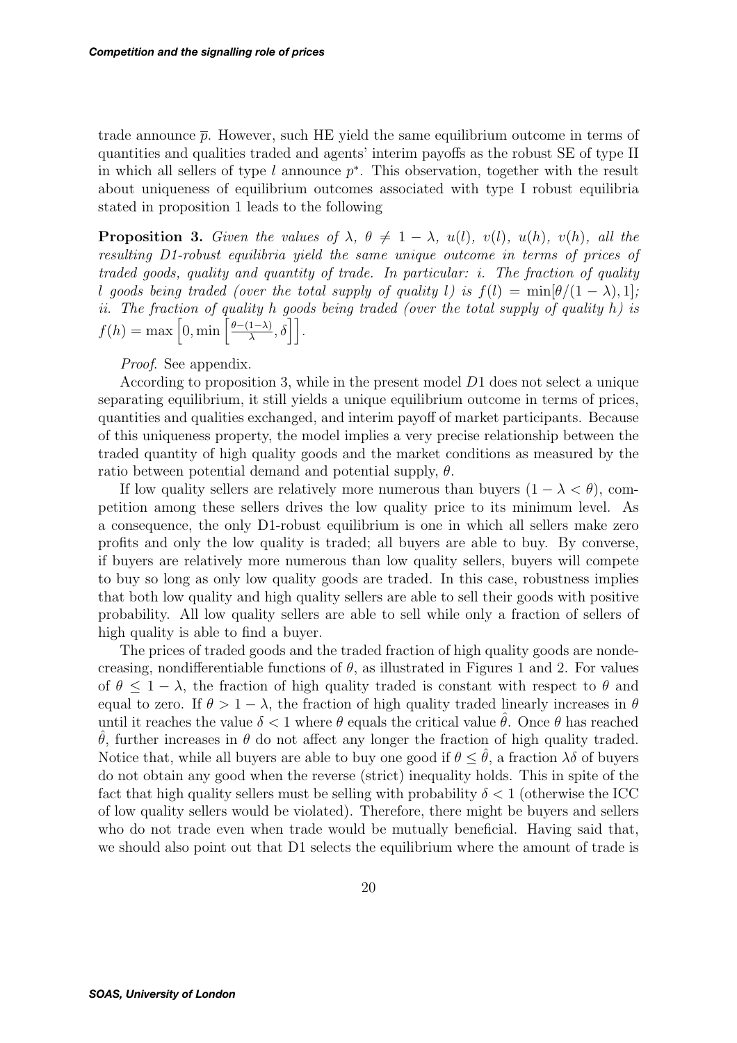trade announce  $\bar{p}$ . However, such HE yield the same equilibrium outcome in terms of quantities and qualities traded and agents' interim payoffs as the robust SE of type II in which all sellers of type l announce  $p^*$ . This observation, together with the result about uniqueness of equilibrium outcomes associated with type I robust equilibria stated in proposition 1 leads to the following

**Proposition 3.** *Given the values of*  $\lambda$ ,  $\theta \neq 1 - \lambda$ ,  $u(l)$ ,  $v(l)$ ,  $u(h)$ ,  $v(h)$ , all the *resulting D1-robust equilibria yield the same unique outcome in terms of prices of traded goods, quality and quantity of trade. In particular: i. The fraction of quality* l goods being traded (over the total supply of quality l) is  $f(l) = \min[\theta/(1 - \lambda), 1]$ ; *ii. The fraction of quality* h *goods being traded (over the total supply of quality* h*) is*  $f(h) = \max\left[0, \min\left[\frac{\theta-(1-\lambda)}{\lambda}, \delta\right]\right].$ 

*Proof*. See appendix.

According to proposition 3, while in the present model D1 does not select a unique separating equilibrium, it still yields a unique equilibrium outcome in terms of prices, quantities and qualities exchanged, and interim payoff of market participants. Because of this uniqueness property, the model implies a very precise relationship between the traded quantity of high quality goods and the market conditions as measured by the ratio between potential demand and potential supply,  $\theta$ .

If low quality sellers are relatively more numerous than buyers  $(1 - \lambda < \theta)$ , competition among these sellers drives the low quality price to its minimum level. As a consequence, the only D1-robust equilibrium is one in which all sellers make zero profits and only the low quality is traded; all buyers are able to buy. By converse, if buyers are relatively more numerous than low quality sellers, buyers will compete to buy so long as only low quality goods are traded. In this case, robustness implies that both low quality and high quality sellers are able to sell their goods with positive probability. All low quality sellers are able to sell while only a fraction of sellers of high quality is able to find a buyer.

The prices of traded goods and the traded fraction of high quality goods are nondecreasing, nondifferentiable functions of  $\theta$ , as illustrated in Figures 1 and 2. For values of  $\theta \leq 1 - \lambda$ , the fraction of high quality traded is constant with respect to  $\theta$  and equal to zero. If  $\theta > 1 - \lambda$ , the fraction of high quality traded linearly increases in  $\theta$ until it reaches the value  $\delta < 1$  where  $\theta$  equals the critical value  $\hat{\theta}$ . Once  $\theta$  has reached  $\hat{\theta}$ , further increases in  $\theta$  do not affect any longer the fraction of high quality traded. Notice that, while all buyers are able to buy one good if  $\theta \leq \theta$ , a fraction  $\lambda \delta$  of buyers do not obtain any good when the reverse (strict) inequality holds. This in spite of the fact that high quality sellers must be selling with probability  $\delta < 1$  (otherwise the ICC of low quality sellers would be violated). Therefore, there might be buyers and sellers who do not trade even when trade would be mutually beneficial. Having said that, we should also point out that D1 selects the equilibrium where the amount of trade is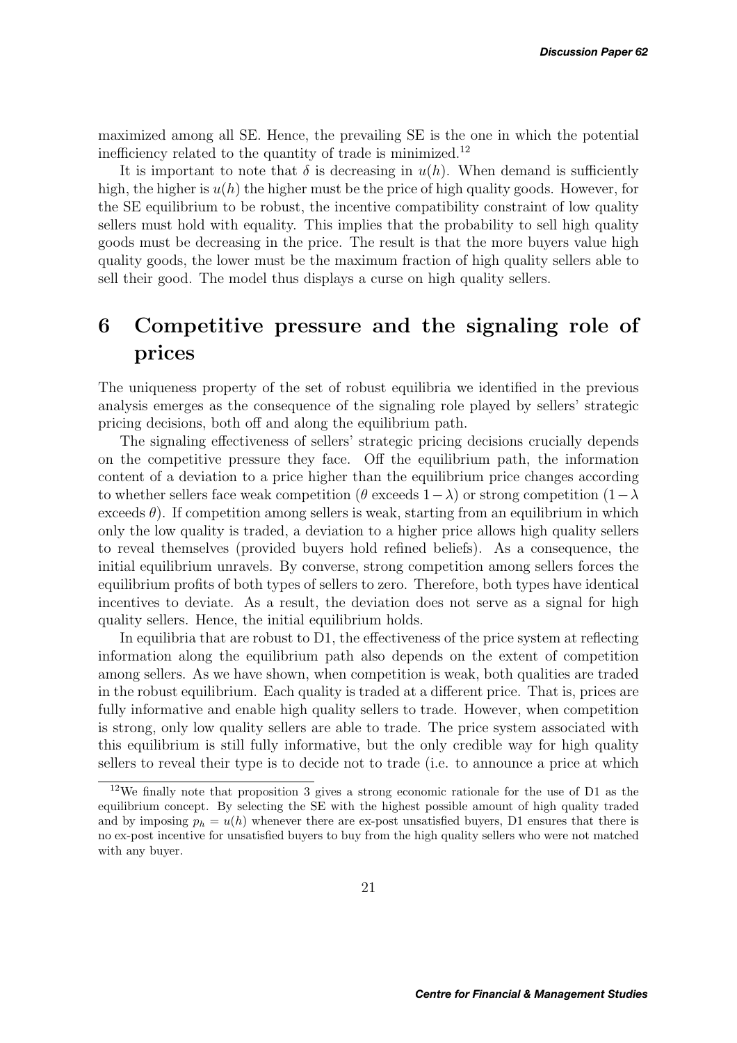maximized among all SE. Hence, the prevailing SE is the one in which the potential inefficiency related to the quantity of trade is minimized.<sup>12</sup>

It is important to note that  $\delta$  is decreasing in  $u(h)$ . When demand is sufficiently high, the higher is  $u(h)$  the higher must be the price of high quality goods. However, for the SE equilibrium to be robust, the incentive compatibility constraint of low quality sellers must hold with equality. This implies that the probability to sell high quality goods must be decreasing in the price. The result is that the more buyers value high quality goods, the lower must be the maximum fraction of high quality sellers able to sell their good. The model thus displays a curse on high quality sellers.

# **6 Competitive pressure and the signaling role of prices**

The uniqueness property of the set of robust equilibria we identified in the previous analysis emerges as the consequence of the signaling role played by sellers' strategic pricing decisions, both off and along the equilibrium path.

The signaling effectiveness of sellers' strategic pricing decisions crucially depends on the competitive pressure they face. Off the equilibrium path, the information content of a deviation to a price higher than the equilibrium price changes according to whether sellers face weak competition ( $\theta$  exceeds  $1-\lambda$ ) or strong competition ( $1-\lambda$ ) exceeds  $\theta$ ). If competition among sellers is weak, starting from an equilibrium in which only the low quality is traded, a deviation to a higher price allows high quality sellers to reveal themselves (provided buyers hold refined beliefs). As a consequence, the initial equilibrium unravels. By converse, strong competition among sellers forces the equilibrium profits of both types of sellers to zero. Therefore, both types have identical incentives to deviate. As a result, the deviation does not serve as a signal for high quality sellers. Hence, the initial equilibrium holds.

In equilibria that are robust to D1, the effectiveness of the price system at reflecting information along the equilibrium path also depends on the extent of competition among sellers. As we have shown, when competition is weak, both qualities are traded in the robust equilibrium. Each quality is traded at a different price. That is, prices are fully informative and enable high quality sellers to trade. However, when competition is strong, only low quality sellers are able to trade. The price system associated with this equilibrium is still fully informative, but the only credible way for high quality sellers to reveal their type is to decide not to trade (i.e. to announce a price at which

<sup>12</sup>We finally note that proposition 3 gives a strong economic rationale for the use of D1 as the equilibrium concept. By selecting the SE with the highest possible amount of high quality traded and by imposing  $p_h = u(h)$  whenever there are ex-post unsatisfied buyers. D1 ensures that there is no ex-post incentive for unsatisfied buyers to buy from the high quality sellers who were not matched with any buyer.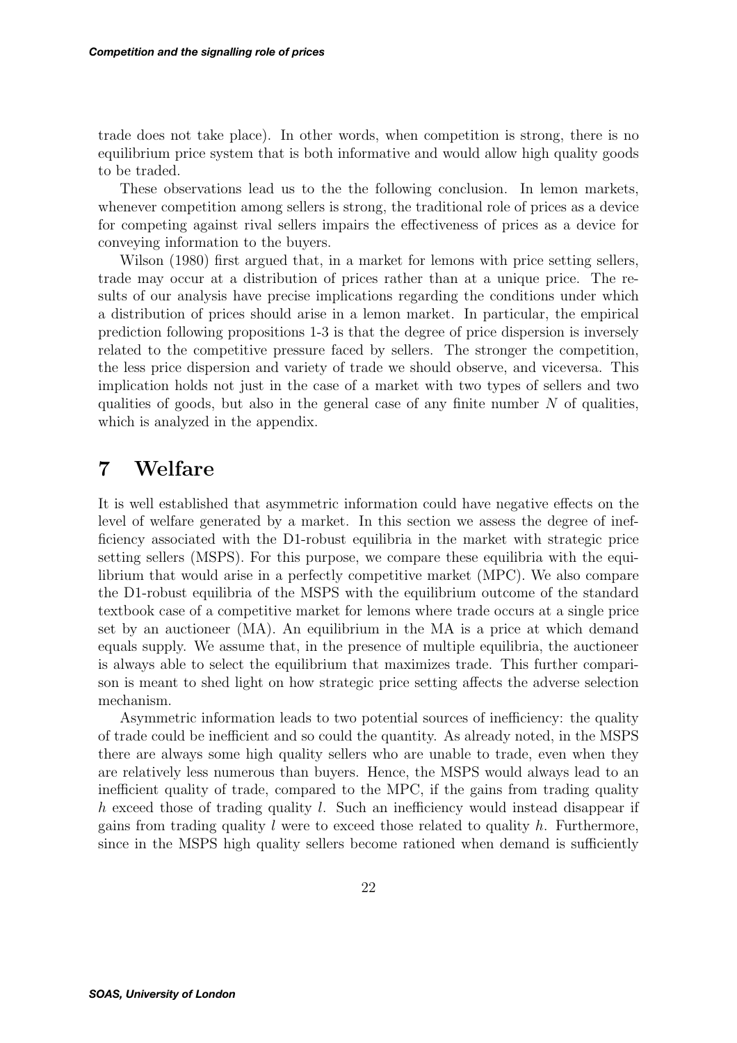trade does not take place). In other words, when competition is strong, there is no equilibrium price system that is both informative and would allow high quality goods to be traded.

These observations lead us to the the following conclusion. In lemon markets, whenever competition among sellers is strong, the traditional role of prices as a device for competing against rival sellers impairs the effectiveness of prices as a device for conveying information to the buyers.

Wilson (1980) first argued that, in a market for lemons with price setting sellers, trade may occur at a distribution of prices rather than at a unique price. The results of our analysis have precise implications regarding the conditions under which a distribution of prices should arise in a lemon market. In particular, the empirical prediction following propositions 1-3 is that the degree of price dispersion is inversely related to the competitive pressure faced by sellers. The stronger the competition, the less price dispersion and variety of trade we should observe, and viceversa. This implication holds not just in the case of a market with two types of sellers and two qualities of goods, but also in the general case of any finite number  $N$  of qualities, which is analyzed in the appendix.

## **7 Welfare**

It is well established that asymmetric information could have negative effects on the level of welfare generated by a market. In this section we assess the degree of inefficiency associated with the D1-robust equilibria in the market with strategic price setting sellers (MSPS). For this purpose, we compare these equilibria with the equilibrium that would arise in a perfectly competitive market (MPC). We also compare the D1-robust equilibria of the MSPS with the equilibrium outcome of the standard textbook case of a competitive market for lemons where trade occurs at a single price set by an auctioneer (MA). An equilibrium in the MA is a price at which demand equals supply. We assume that, in the presence of multiple equilibria, the auctioneer is always able to select the equilibrium that maximizes trade. This further comparison is meant to shed light on how strategic price setting affects the adverse selection mechanism.

Asymmetric information leads to two potential sources of inefficiency: the quality of trade could be inefficient and so could the quantity. As already noted, in the MSPS there are always some high quality sellers who are unable to trade, even when they are relatively less numerous than buyers. Hence, the MSPS would always lead to an inefficient quality of trade, compared to the MPC, if the gains from trading quality h exceed those of trading quality l. Such an inefficiency would instead disappear if gains from trading quality  $l$  were to exceed those related to quality  $h$ . Furthermore, since in the MSPS high quality sellers become rationed when demand is sufficiently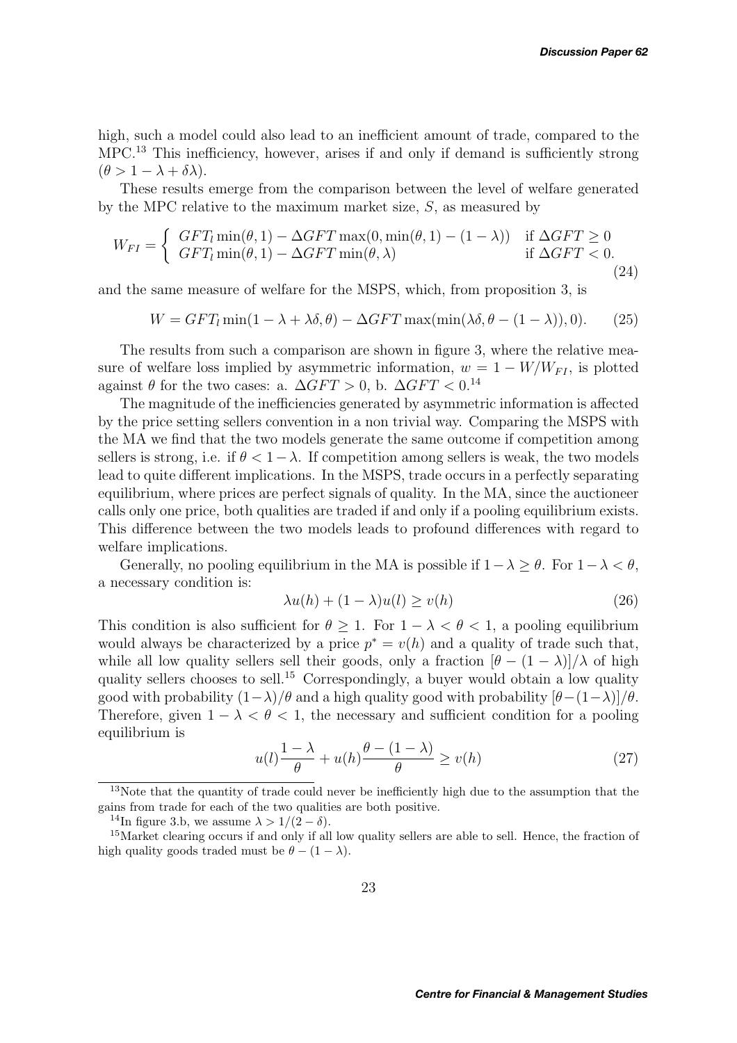high, such a model could also lead to an inefficient amount of trade, compared to the MPC.<sup>13</sup> This inefficiency, however, arises if and only if demand is sufficiently strong  $(\theta > 1 - \lambda + \delta \lambda).$ 

These results emerge from the comparison between the level of welfare generated by the MPC relative to the maximum market size,  $S$ , as measured by

$$
W_{FI} = \begin{cases} GFT_l \min(\theta, 1) - \Delta GFT \max(0, \min(\theta, 1) - (1 - \lambda)) & \text{if } \Delta GFT \ge 0\\ GFT_l \min(\theta, 1) - \Delta GFT \min(\theta, \lambda) & \text{if } \Delta GFT < 0. \end{cases}
$$
\n(24)

and the same measure of welfare for the MSPS, which, from proposition 3, is

$$
W = GFT_l \min(1 - \lambda + \lambda \delta, \theta) - \Delta GFT \max(\min(\lambda \delta, \theta - (1 - \lambda)), 0). \tag{25}
$$

The results from such a comparison are shown in figure 3, where the relative measure of welfare loss implied by asymmetric information,  $w = 1 - W/W_{FI}$ , is plotted against  $\theta$  for the two cases: a.  $\Delta GFT > 0$ , b.  $\Delta GFT < 0.14$ 

The magnitude of the inefficiencies generated by asymmetric information is affected by the price setting sellers convention in a non trivial way. Comparing the MSPS with the MA we find that the two models generate the same outcome if competition among sellers is strong, i.e. if  $\theta < 1-\lambda$ . If competition among sellers is weak, the two models lead to quite different implications. In the MSPS, trade occurs in a perfectly separating equilibrium, where prices are perfect signals of quality. In the MA, since the auctioneer calls only one price, both qualities are traded if and only if a pooling equilibrium exists. This difference between the two models leads to profound differences with regard to welfare implications.

Generally, no pooling equilibrium in the MA is possible if  $1-\lambda > \theta$ . For  $1-\lambda < \theta$ , a necessary condition is:

$$
\lambda u(h) + (1 - \lambda)u(l) \ge v(h) \tag{26}
$$

This condition is also sufficient for  $\theta \geq 1$ . For  $1 - \lambda < \theta < 1$ , a pooling equilibrium would always be characterized by a price  $p^* = v(h)$  and a quality of trade such that, while all low quality sellers sell their goods, only a fraction  $[\theta - (1 - \lambda)]/\lambda$  of high quality sellers chooses to sell.<sup>15</sup> Correspondingly, a buyer would obtain a low quality good with probability  $(1-\lambda)/\theta$  and a high quality good with probability  $[\theta-(1-\lambda)]/\theta$ . Therefore, given  $1 - \lambda < \theta < 1$ , the necessary and sufficient condition for a pooling equilibrium is

$$
u(l)\frac{1-\lambda}{\theta} + u(h)\frac{\theta - (1-\lambda)}{\theta} \ge v(h) \tag{27}
$$

<sup>&</sup>lt;sup>13</sup>Note that the quantity of trade could never be inefficiently high due to the assumption that the gains from trade for each of the two qualities are both positive.

<sup>&</sup>lt;sup>14</sup>In figure 3.b, we assume  $\lambda > 1/(2 - \delta)$ .

<sup>&</sup>lt;sup>15</sup>Market clearing occurs if and only if all low quality sellers are able to sell. Hence, the fraction of high quality goods traded must be  $\theta - (1 - \lambda)$ .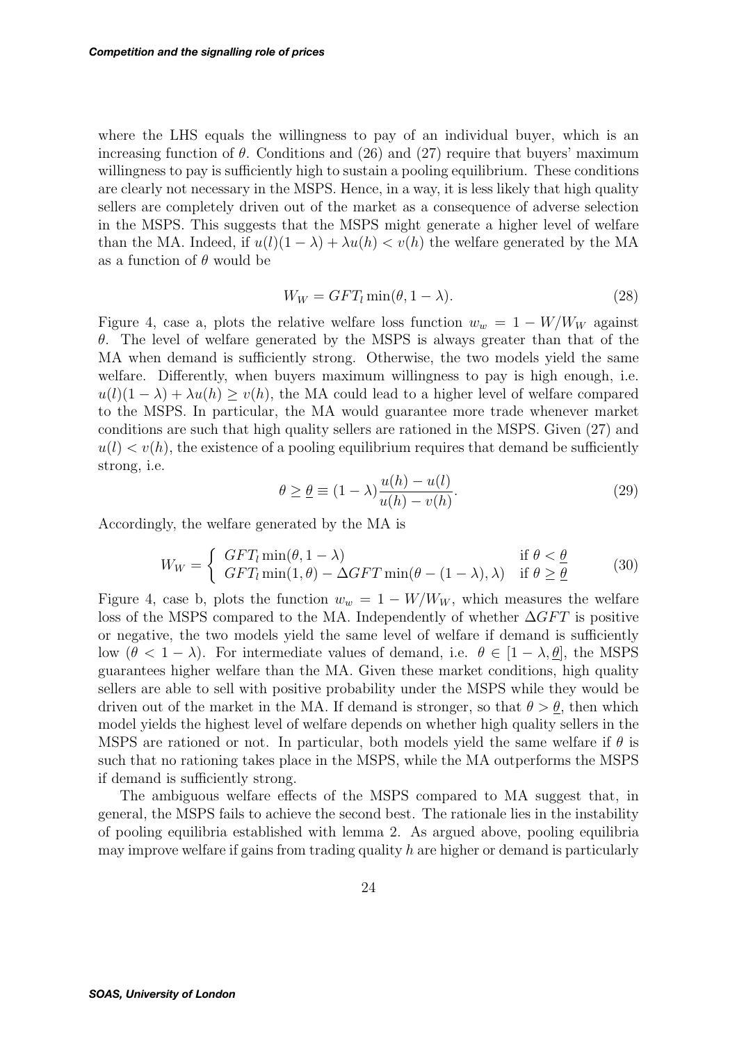where the LHS equals the willingness to pay of an individual buyer, which is an increasing function of  $\theta$ . Conditions and (26) and (27) require that buyers' maximum willingness to pay is sufficiently high to sustain a pooling equilibrium. These conditions are clearly not necessary in the MSPS. Hence, in a way, it is less likely that high quality sellers are completely driven out of the market as a consequence of adverse selection in the MSPS. This suggests that the MSPS might generate a higher level of welfare than the MA. Indeed, if  $u(l)(1 - \lambda) + \lambda u(h) < v(h)$  the welfare generated by the MA as a function of  $\theta$  would be

$$
W_W = GFT_l \min(\theta, 1 - \lambda). \tag{28}
$$

Figure 4, case a, plots the relative welfare loss function  $w_w = 1 - W/W_W$  against  $\theta$ . The level of welfare generated by the MSPS is always greater than that of the MA when demand is sufficiently strong. Otherwise, the two models yield the same welfare. Differently, when buyers maximum willingness to pay is high enough, i.e.  $u(l)(1 - \lambda) + \lambda u(h) > v(h)$ , the MA could lead to a higher level of welfare compared to the MSPS. In particular, the MA would guarantee more trade whenever market conditions are such that high quality sellers are rationed in the MSPS. Given (27) and  $u(l) < v(h)$ , the existence of a pooling equilibrium requires that demand be sufficiently strong, i.e.

$$
\theta \ge \underline{\theta} \equiv (1 - \lambda) \frac{u(h) - u(l)}{u(h) - v(h)}.
$$
\n(29)

Accordingly, the welfare generated by the MA is

$$
W_W = \begin{cases} GFT_l \min(\theta, 1 - \lambda) & \text{if } \theta < \underline{\theta} \\ GFT_l \min(1, \theta) - \Delta GFT \min(\theta - (1 - \lambda), \lambda) & \text{if } \theta \ge \underline{\theta} \end{cases}
$$
(30)

Figure 4, case b, plots the function  $w_w = 1 - W/W_W$ , which measures the welfare loss of the MSPS compared to the MA. Independently of whether  $\Delta GFT$  is positive or negative, the two models yield the same level of welfare if demand is sufficiently low  $(\theta < 1 - \lambda)$ . For intermediate values of demand, i.e.  $\theta \in [1 - \lambda, \theta]$ , the MSPS guarantees higher welfare than the MA. Given these market conditions, high quality sellers are able to sell with positive probability under the MSPS while they would be driven out of the market in the MA. If demand is stronger, so that  $\theta > \theta$ , then which model yields the highest level of welfare depends on whether high quality sellers in the MSPS are rationed or not. In particular, both models yield the same welfare if  $\theta$  is such that no rationing takes place in the MSPS, while the MA outperforms the MSPS if demand is sufficiently strong.

The ambiguous welfare effects of the MSPS compared to MA suggest that, in general, the MSPS fails to achieve the second best. The rationale lies in the instability of pooling equilibria established with lemma 2. As argued above, pooling equilibria may improve welfare if gains from trading quality  $h$  are higher or demand is particularly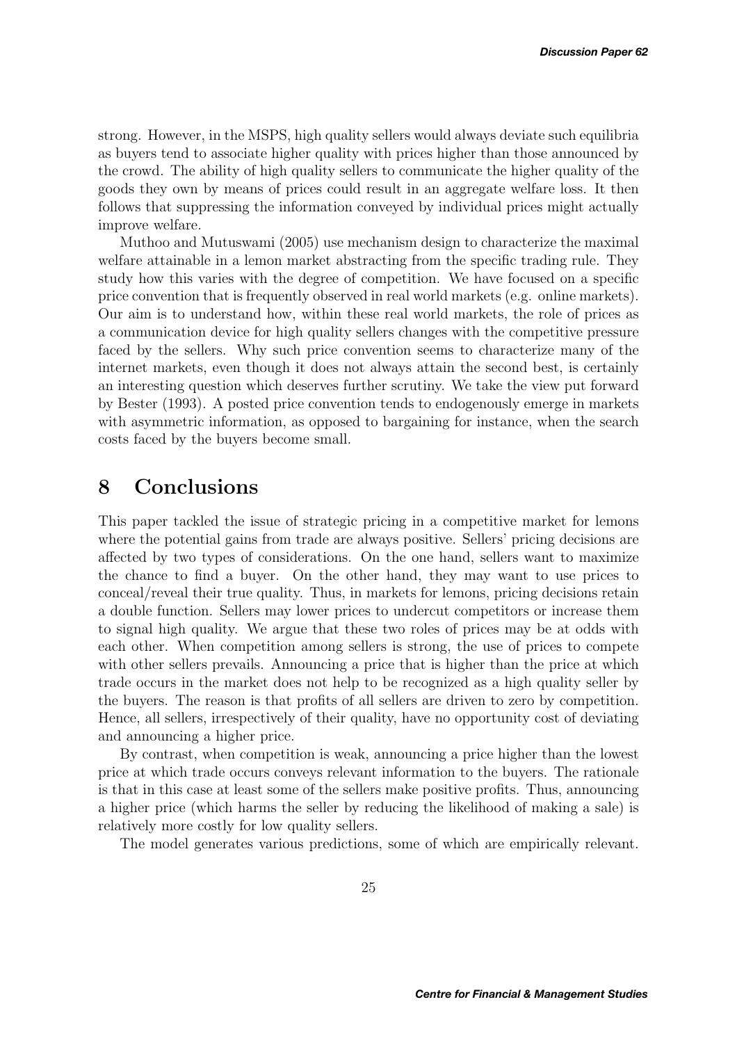strong. However, in the MSPS, high quality sellers would always deviate such equilibria as buyers tend to associate higher quality with prices higher than those announced by the crowd. The ability of high quality sellers to communicate the higher quality of the goods they own by means of prices could result in an aggregate welfare loss. It then follows that suppressing the information conveyed by individual prices might actually improve welfare.

Muthoo and Mutuswami (2005) use mechanism design to characterize the maximal welfare attainable in a lemon market abstracting from the specific trading rule. They study how this varies with the degree of competition. We have focused on a specific price convention that is frequently observed in real world markets (e.g. online markets). Our aim is to understand how, within these real world markets, the role of prices as a communication device for high quality sellers changes with the competitive pressure faced by the sellers. Why such price convention seems to characterize many of the internet markets, even though it does not always attain the second best, is certainly an interesting question which deserves further scrutiny. We take the view put forward by Bester (1993). A posted price convention tends to endogenously emerge in markets with asymmetric information, as opposed to bargaining for instance, when the search costs faced by the buyers become small.

# **8 Conclusions**

This paper tackled the issue of strategic pricing in a competitive market for lemons where the potential gains from trade are always positive. Sellers' pricing decisions are affected by two types of considerations. On the one hand, sellers want to maximize the chance to find a buyer. On the other hand, they may want to use prices to conceal/reveal their true quality. Thus, in markets for lemons, pricing decisions retain a double function. Sellers may lower prices to undercut competitors or increase them to signal high quality. We argue that these two roles of prices may be at odds with each other. When competition among sellers is strong, the use of prices to compete with other sellers prevails. Announcing a price that is higher than the price at which trade occurs in the market does not help to be recognized as a high quality seller by the buyers. The reason is that profits of all sellers are driven to zero by competition. Hence, all sellers, irrespectively of their quality, have no opportunity cost of deviating and announcing a higher price.

By contrast, when competition is weak, announcing a price higher than the lowest price at which trade occurs conveys relevant information to the buyers. The rationale is that in this case at least some of the sellers make positive profits. Thus, announcing a higher price (which harms the seller by reducing the likelihood of making a sale) is relatively more costly for low quality sellers.

The model generates various predictions, some of which are empirically relevant.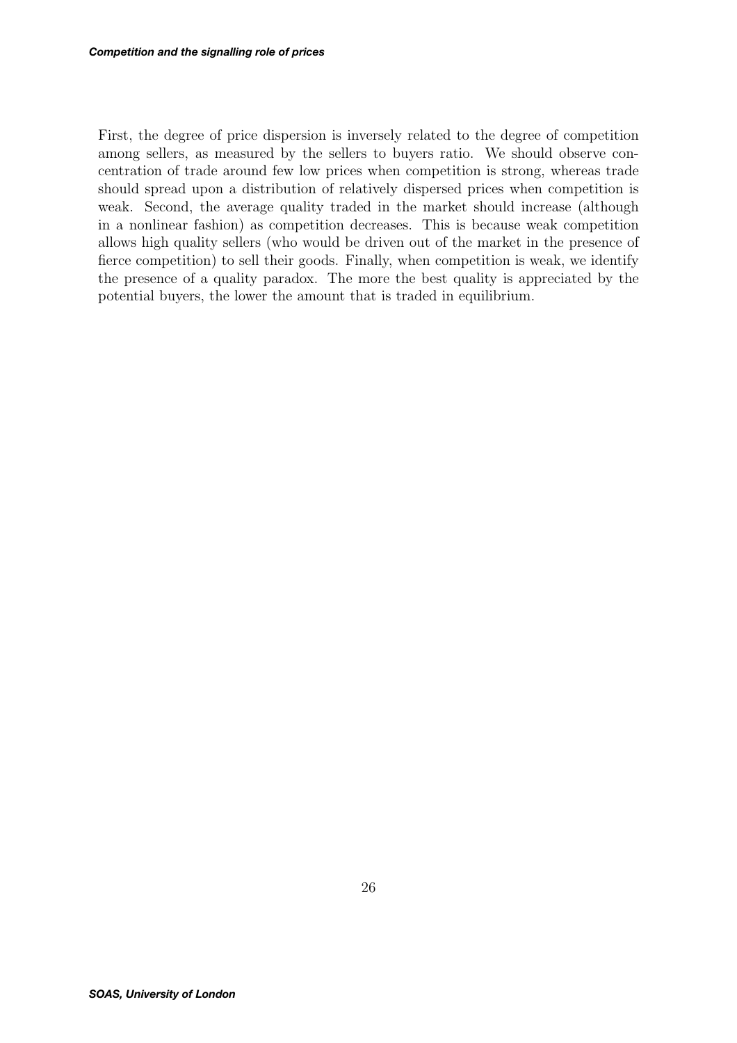First, the degree of price dispersion is inversely related to the degree of competition among sellers, as measured by the sellers to buyers ratio. We should observe concentration of trade around few low prices when competition is strong, whereas trade should spread upon a distribution of relatively dispersed prices when competition is weak. Second, the average quality traded in the market should increase (although in a nonlinear fashion) as competition decreases. This is because weak competition allows high quality sellers (who would be driven out of the market in the presence of fierce competition) to sell their goods. Finally, when competition is weak, we identify the presence of a quality paradox. The more the best quality is appreciated by the potential buyers, the lower the amount that is traded in equilibrium.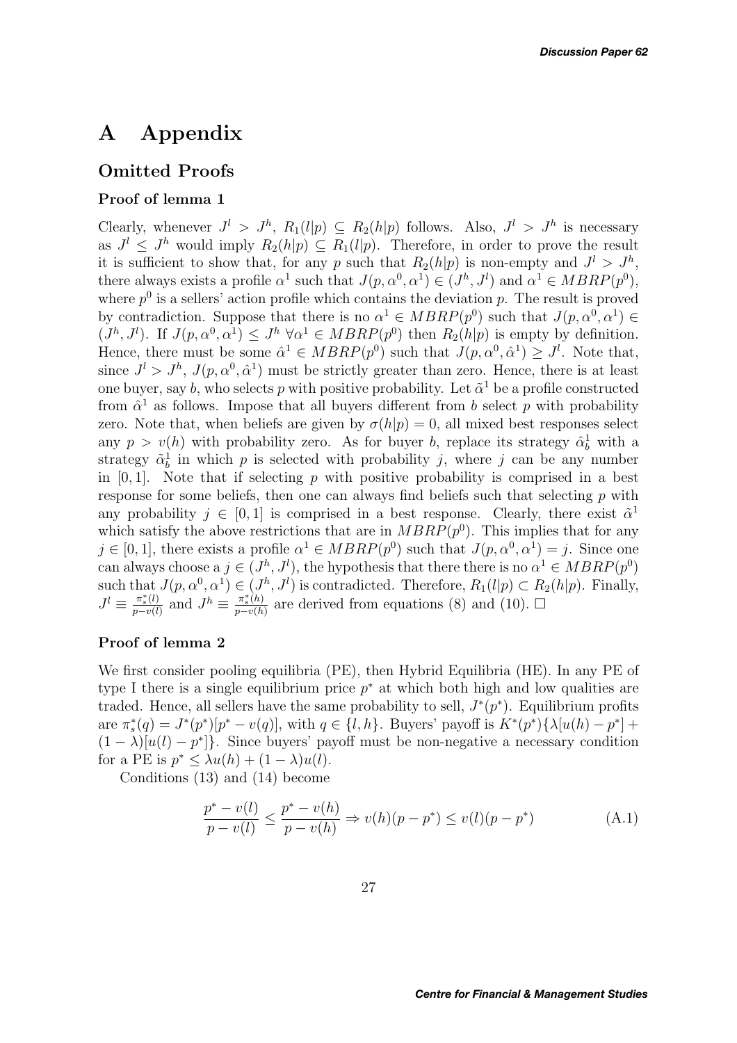# **A Appendix**

### **Omitted Proofs**

### **Proof of lemma 1**

Clearly, whenever  $J^l > J^h$ ,  $R_1(l|p) \subseteq R_2(h|p)$  follows. Also,  $J^l > J^h$  is necessary as  $J^l \leq J^h$  would imply  $R_2(h|p) \subseteq R_1(l|p)$ . Therefore, in order to prove the result it is sufficient to show that, for any p such that  $R_2(h|p)$  is non-empty and  $J^l > J^h$ , there always exists a profile  $\alpha^1$  such that  $J(p, \alpha^0, \alpha^1) \in (J^h, J^l)$  and  $\alpha^1 \in MBRP(p^0)$ , where  $p^0$  is a sellers' action profile which contains the deviation p. The result is proved by contradiction. Suppose that there is no  $\alpha^1 \in MBRP(p^0)$  such that  $J(p, \alpha^0, \alpha^1) \in$  $(J<sup>h</sup>, J<sup>l</sup>)$ . If  $J(p, \alpha^0, \alpha^1) \leq J<sup>h</sup> \forall \alpha^1 \in MBRP(p^0)$  then  $R_2(h|p)$  is empty by definition. Hence, there must be some  $\hat{\alpha}^1 \in MBRP(p^0)$  such that  $J(p, \alpha^0, \hat{\alpha}^1) \geq J^l$ . Note that, since  $J^l > J^h$ ,  $J(p, \alpha^0, \hat{\alpha}^1)$  must be strictly greater than zero. Hence, there is at least one buyer, say b, who selects p with positive probability. Let  $\tilde{\alpha}^1$  be a profile constructed from  $\hat{\alpha}^1$  as follows. Impose that all buyers different from b select p with probability zero. Note that, when beliefs are given by  $\sigma(h|p) = 0$ , all mixed best responses select any  $p > v(h)$  with probability zero. As for buyer b, replace its strategy  $\hat{\alpha}_b^1$  with a strategy  $\tilde{\alpha}_b^1$  in which p is selected with probability j, where j can be any number in  $[0, 1]$ . Note that if selecting p with positive probability is comprised in a best response for some beliefs, then one can always find beliefs such that selecting  $p$  with any probability  $j \in [0, 1]$  is comprised in a best response. Clearly, there exist  $\tilde{\alpha}^1$ which satisfy the above restrictions that are in  $MBRP(p^0)$ . This implies that for any  $j \in [0, 1]$ , there exists a profile  $\alpha^1 \in MBRP(p^0)$  such that  $J(p, \alpha^0, \alpha^1) = j$ . Since one can always choose a  $j \in (J^h, J^l)$ , the hypothesis that there there is no  $\alpha^1 \in MBRP(p^0)$ such that  $J(p, \alpha^0, \alpha^1) \in (J^h, J^l)$  is contradicted. Therefore,  $R_1(l|p) \subset R_2(h|p)$ . Finally,  $J^l \equiv \frac{\pi_s^*(l)}{p-v(l)}$  and  $J^h \equiv \frac{\pi_s^*(h)}{p-v(h)}$  are derived from equations (8) and (10).  $\Box$ 

### **Proof of lemma 2**

We first consider pooling equilibria (PE), then Hybrid Equilibria (HE). In any PE of type I there is a single equilibrium price  $p^*$  at which both high and low qualities are traded. Hence, all sellers have the same probability to sell,  $J^*(p^*)$ . Equilibrium profits are  $\pi_s^*(q) = J^*(p^*)[p^* - v(q)]$ , with  $q \in \{l, h\}$ . Buyers' payoff is  $K^*(p^*)\{\lambda[u(h) - p^*] +$  $(1 - \lambda)[u(l) - p^*]$ . Since buyers' payoff must be non-negative a necessary condition for a PE is  $p^* < \lambda u(h) + (1 - \lambda)u(l)$ .

Conditions (13) and (14) become

$$
\frac{p^* - v(l)}{p - v(l)} \le \frac{p^* - v(h)}{p - v(h)} \Rightarrow v(h)(p - p^*) \le v(l)(p - p^*)
$$
\n(A.1)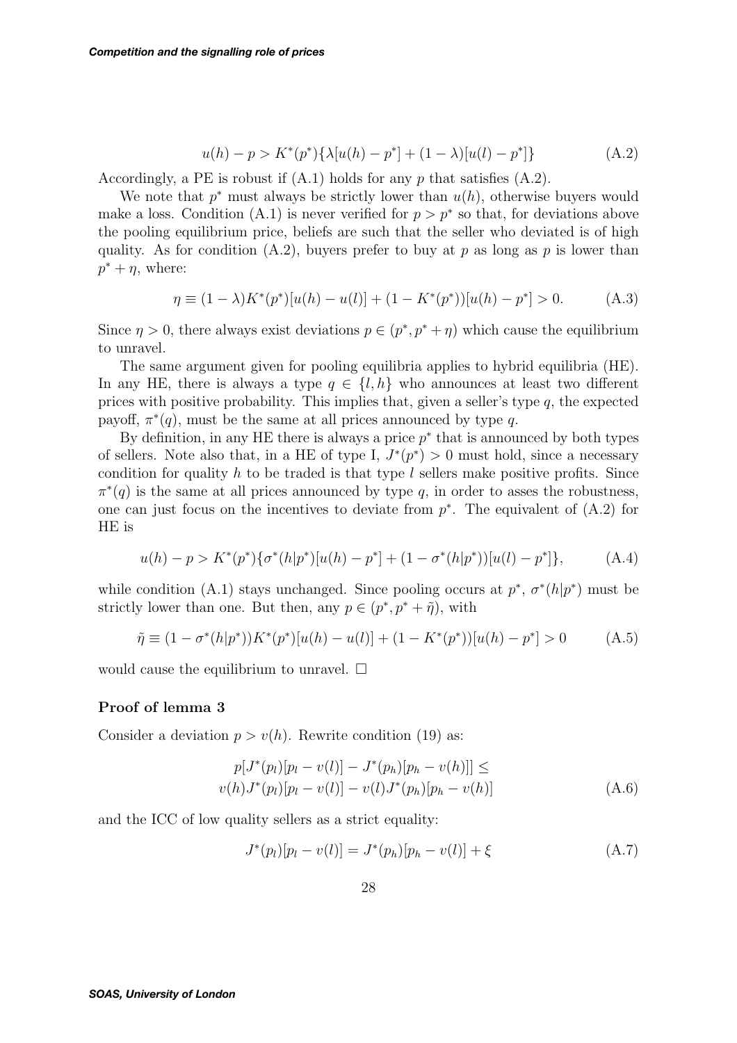$$
u(h) - p > K^*(p^*)\{\lambda[u(h) - p^*] + (1 - \lambda)[u(l) - p^*]\}\tag{A.2}
$$

Accordingly, a PE is robust if  $(A.1)$  holds for any p that satisfies  $(A.2)$ .

We note that  $p^*$  must always be strictly lower than  $u(h)$ , otherwise buyers would make a loss. Condition (A.1) is never verified for  $p > p^*$  so that, for deviations above the pooling equilibrium price, beliefs are such that the seller who deviated is of high quality. As for condition  $(A.2)$ , buyers prefer to buy at p as long as p is lower than  $p^* + \eta$ , where:

$$
\eta \equiv (1 - \lambda)K^*(p^*)[u(h) - u(l)] + (1 - K^*(p^*))[u(h) - p^*] > 0.
$$
 (A.3)

Since  $\eta > 0$ , there always exist deviations  $p \in (p^*, p^* + \eta)$  which cause the equilibrium to unravel.

The same argument given for pooling equilibria applies to hybrid equilibria (HE). In any HE, there is always a type  $q \in \{l, h\}$  who announces at least two different prices with positive probability. This implies that, given a seller's type  $q$ , the expected payoff,  $\pi^*(q)$ , must be the same at all prices announced by type q.

By definition, in any HE there is always a price  $p^*$  that is announced by both types of sellers. Note also that, in a HE of type I,  $J^*(p^*) > 0$  must hold, since a necessary condition for quality h to be traded is that type  $l$  sellers make positive profits. Since  $\pi^*(q)$  is the same at all prices announced by type q, in order to asses the robustness, one can just focus on the incentives to deviate from  $p^*$ . The equivalent of  $(A.2)$  for HE is

$$
u(h) - p > K^*(p^*)\{\sigma^*(h|p^*)[u(h) - p^*] + (1 - \sigma^*(h|p^*))[u(l) - p^*]\},\tag{A.4}
$$

while condition (A.1) stays unchanged. Since pooling occurs at  $p^*, \sigma^*(h|p^*)$  must be strictly lower than one. But then, any  $p \in (p^*, p^* + \tilde{\eta})$ , with

$$
\tilde{\eta} \equiv (1 - \sigma^*(h|p^*))K^*(p^*)[u(h) - u(l)] + (1 - K^*(p^*))[u(h) - p^*] > 0 \tag{A.5}
$$

would cause the equilibrium to unravel.  $\square$ 

### **Proof of lemma 3**

Consider a deviation  $p > v(h)$ . Rewrite condition (19) as:

$$
p[J^*(p_l)[p_l - v(l)] - J^*(p_h)[p_h - v(h)]] \le
$$
  

$$
v(h)J^*(p_l)[p_l - v(l)] - v(l)J^*(p_h)[p_h - v(h)]
$$
 (A.6)

and the ICC of low quality sellers as a strict equality:

$$
J^*(p_l)[p_l - v(l)] = J^*(p_h)[p_h - v(l)] + \xi
$$
\n(A.7)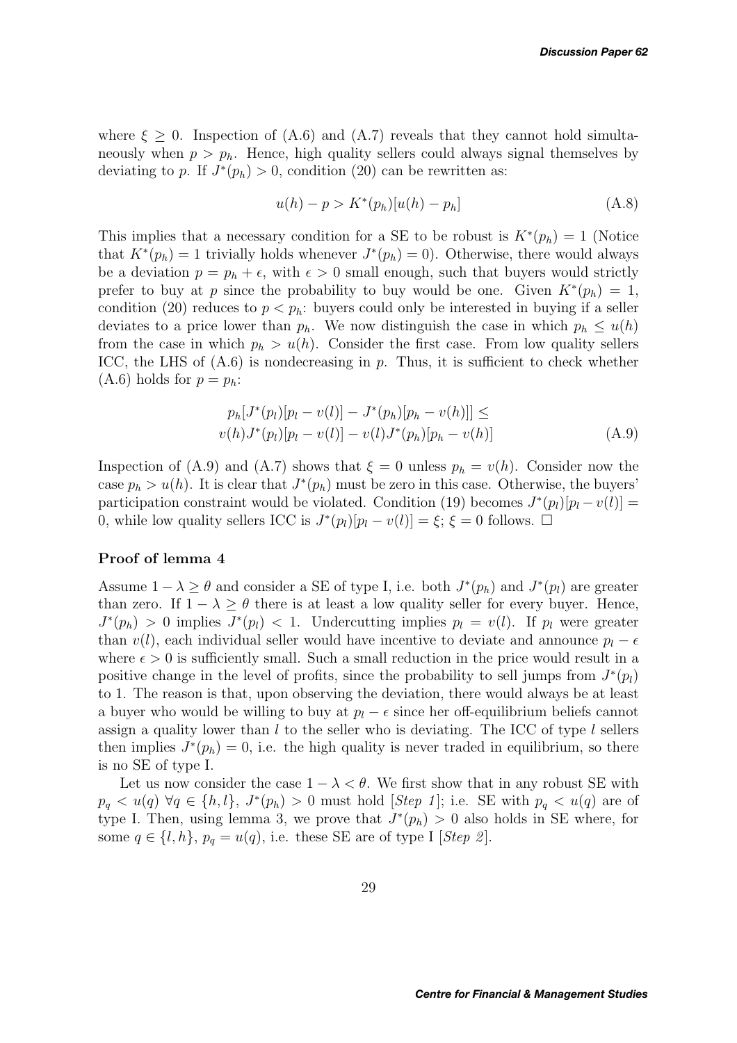where  $\xi > 0$ . Inspection of (A.6) and (A.7) reveals that they cannot hold simultaneously when  $p>p_h$ . Hence, high quality sellers could always signal themselves by deviating to p. If  $J^*(p_h) > 0$ , condition (20) can be rewritten as:

$$
u(h) - p > K^*(p_h)[u(h) - p_h]
$$
\n(A.8)

This implies that a necessary condition for a SE to be robust is  $K^*(p_h) = 1$  (Notice that  $K^*(p_h) = 1$  trivially holds whenever  $J^*(p_h) = 0$ . Otherwise, there would always be a deviation  $p = p_h + \epsilon$ , with  $\epsilon > 0$  small enough, such that buyers would strictly prefer to buy at p since the probability to buy would be one. Given  $K^*(p_h) = 1$ , condition (20) reduces to  $p < p<sub>h</sub>$ : buyers could only be interested in buying if a seller deviates to a price lower than  $p_h$ . We now distinguish the case in which  $p_h \leq u(h)$ from the case in which  $p_h > u(h)$ . Consider the first case. From low quality sellers ICC, the LHS of  $(A.6)$  is nondecreasing in  $p$ . Thus, it is sufficient to check whether  $(A.6)$  holds for  $p = p_h$ :

$$
p_h[J^*(p_l)[p_l - v(l)] - J^*(p_h)[p_h - v(h)]] \le
$$
  

$$
v(h)J^*(p_l)[p_l - v(l)] - v(l)J^*(p_h)[p_h - v(h)]
$$
 (A.9)

Inspection of (A.9) and (A.7) shows that  $\xi = 0$  unless  $p_h = v(h)$ . Consider now the case  $p_h > u(h)$ . It is clear that  $J^*(p_h)$  must be zero in this case. Otherwise, the buyers' participation constraint would be violated. Condition (19) becomes  $J^*(p_l)[p_l - v(l)] =$ 0, while low quality sellers ICC is  $J^*(p_l)[p_l - v(l)] = \xi; \xi = 0$  follows.  $\Box$ 

### **Proof of lemma 4**

Assume  $1 - \lambda \geq \theta$  and consider a SE of type I, i.e. both  $J^*(p_h)$  and  $J^*(p_l)$  are greater than zero. If  $1 - \lambda \geq \theta$  there is at least a low quality seller for every buyer. Hence,  $J^*(p_h) > 0$  implies  $J^*(p_l) < 1$ . Undercutting implies  $p_l = v(l)$ . If  $p_l$  were greater than  $v(l)$ , each individual seller would have incentive to deviate and announce  $p_l - \epsilon$ where  $\epsilon > 0$  is sufficiently small. Such a small reduction in the price would result in a positive change in the level of profits, since the probability to sell jumps from  $J^*(p_l)$ to 1. The reason is that, upon observing the deviation, there would always be at least a buyer who would be willing to buy at  $p_l - \epsilon$  since her off-equilibrium beliefs cannot assign a quality lower than  $l$  to the seller who is deviating. The ICC of type  $l$  sellers then implies  $J^*(p_h) = 0$ , i.e. the high quality is never traded in equilibrium, so there is no SE of type I.

Let us now consider the case  $1 - \lambda < \theta$ . We first show that in any robust SE with  $p_q < u(q) \; \forall q \in \{h, l\}, \; J^*(p_h) > 0$  must hold [*Step 1*]; i.e. SE with  $p_q < u(q)$  are of type I. Then, using lemma 3, we prove that  $J^*(p_h) > 0$  also holds in SE where, for some  $q \in \{l, h\}$ ,  $p_q = u(q)$ , i.e. these SE are of type I [*Step 2*].

29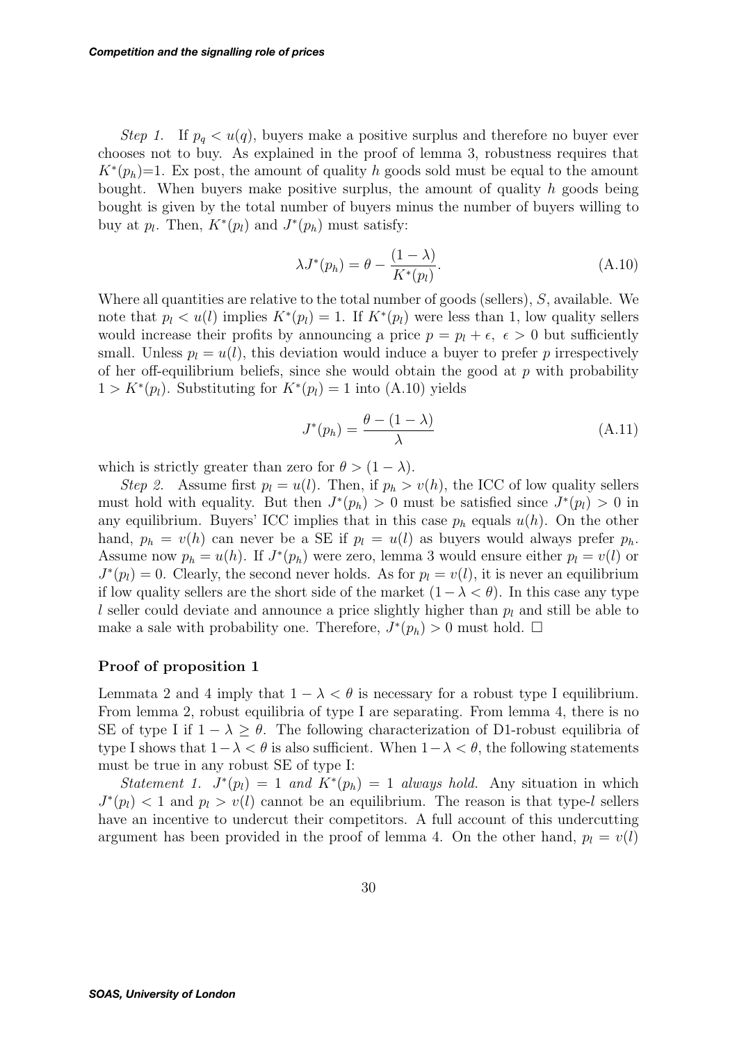*Step 1.* If  $p_q < u(q)$ , buyers make a positive surplus and therefore no buyer ever chooses not to buy. As explained in the proof of lemma 3, robustness requires that  $K^*(p_h)=1$ . Ex post, the amount of quality h goods sold must be equal to the amount bought. When buyers make positive surplus, the amount of quality  $h$  goods being bought is given by the total number of buyers minus the number of buyers willing to buy at  $p_l$ . Then,  $K^*(p_l)$  and  $J^*(p_h)$  must satisfy:

$$
\lambda J^*(p_h) = \theta - \frac{(1 - \lambda)}{K^*(p_l)}.
$$
\n(A.10)

Where all quantities are relative to the total number of goods (sellers),  $S$ , available. We note that  $p_l < u(l)$  implies  $K^*(p_l) = 1$ . If  $K^*(p_l)$  were less than 1, low quality sellers would increase their profits by announcing a price  $p = p_l + \epsilon, \epsilon > 0$  but sufficiently small. Unless  $p_l = u(l)$ , this deviation would induce a buyer to prefer p irrespectively of her off-equilibrium beliefs, since she would obtain the good at  $p$  with probability  $1 > K^*(p_l)$ . Substituting for  $K^*(p_l) = 1$  into (A.10) yields

$$
J^*(p_h) = \frac{\theta - (1 - \lambda)}{\lambda} \tag{A.11}
$$

which is strictly greater than zero for  $\theta > (1 - \lambda)$ .

*Step 2.* Assume first  $p_l = u(l)$ . Then, if  $p_h > v(h)$ , the ICC of low quality sellers must hold with equality. But then  $J^*(p_h) > 0$  must be satisfied since  $J^*(p_l) > 0$  in any equilibrium. Buyers' ICC implies that in this case  $p_h$  equals  $u(h)$ . On the other hand,  $p_h = v(h)$  can never be a SE if  $p_l = u(l)$  as buyers would always prefer  $p_h$ . Assume now  $p_h = u(h)$ . If  $J^*(p_h)$  were zero, lemma 3 would ensure either  $p_l = v(l)$  or  $J^*(p_l) = 0$ . Clearly, the second never holds. As for  $p_l = v(l)$ , it is never an equilibrium if low quality sellers are the short side of the market  $(1-\lambda < \theta)$ . In this case any type l seller could deviate and announce a price slightly higher than  $p_l$  and still be able to make a sale with probability one. Therefore,  $J^*(p_h) > 0$  must hold. □

### **Proof of proposition 1**

Lemmata 2 and 4 imply that  $1 - \lambda < \theta$  is necessary for a robust type I equilibrium. From lemma 2, robust equilibria of type I are separating. From lemma 4, there is no SE of type I if  $1 - \lambda \ge \theta$ . The following characterization of D1-robust equilibria of type I shows that  $1-\lambda < \theta$  is also sufficient. When  $1-\lambda < \theta$ , the following statements must be true in any robust SE of type I:

*Statement 1.*  $J^*(p_l) = 1$  *and*  $K^*(p_h) = 1$  *always hold.* Any situation in which  $J^*(p_l) < 1$  and  $p_l > v(l)$  cannot be an equilibrium. The reason is that type-l sellers have an incentive to undercut their competitors. A full account of this undercutting argument has been provided in the proof of lemma 4. On the other hand,  $p_l = v(l)$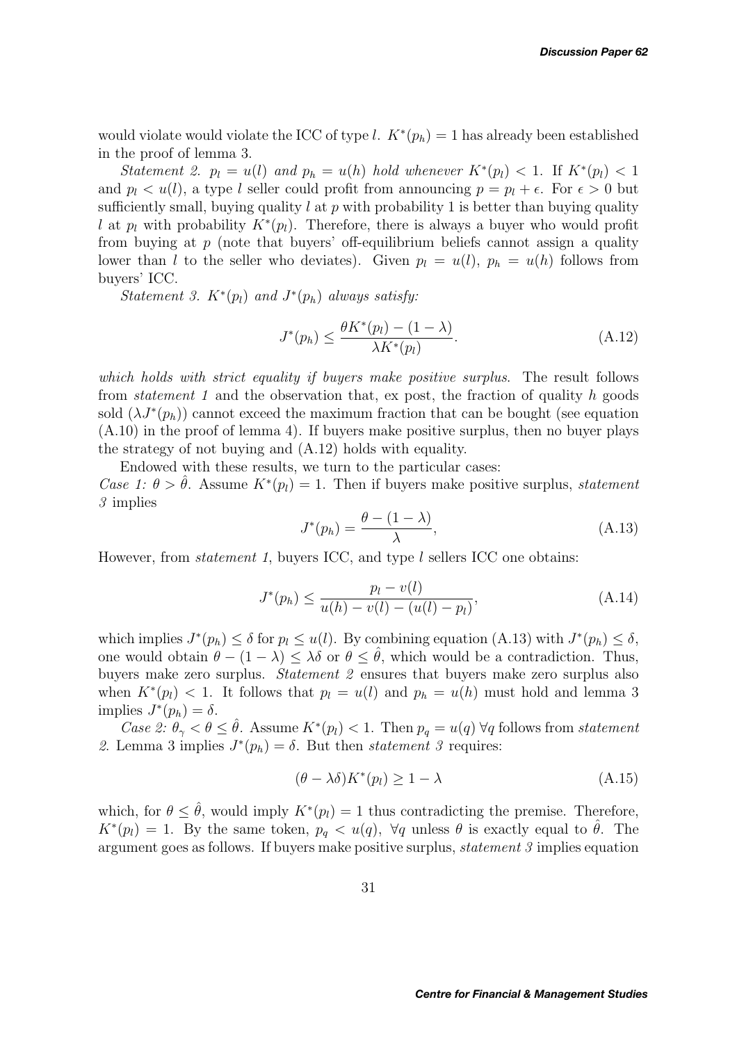would violate would violate the ICC of type l.  $K^*(p_h) = 1$  has already been established in the proof of lemma 3.

*Statement 2.*  $p_l = u(l)$  *and*  $p_h = u(h)$  *hold whenever*  $K^*(p_l) < 1$ . If  $K^*(p_l) < 1$ and  $p_l < u(l)$ , a type l seller could profit from announcing  $p = p_l + \epsilon$ . For  $\epsilon > 0$  but sufficiently small, buying quality l at p with probability 1 is better than buying quality l at  $p_l$  with probability  $K^*(p_l)$ . Therefore, there is always a buyer who would profit from buying at  $p$  (note that buyers' off-equilibrium beliefs cannot assign a quality lower than l to the seller who deviates). Given  $p_l = u(l)$ ,  $p_h = u(h)$  follows from buyers' ICC.

*Statement 3.*  $K^*(p_l)$  *and*  $J^*(p_h)$  *always satisfy:* 

$$
J^*(p_h) \le \frac{\theta K^*(p_l) - (1 - \lambda)}{\lambda K^*(p_l)}.
$$
\n(A.12)

*which holds with strict equality if buyers make positive surplus*. The result follows from *statement 1* and the observation that, ex post, the fraction of quality h goods sold  $(\lambda J^*(p_h))$  cannot exceed the maximum fraction that can be bought (see equation  $(A.10)$  in the proof of lemma 4). If buyers make positive surplus, then no buyer plays the strategy of not buying and (A.12) holds with equality.

Endowed with these results, we turn to the particular cases: *Case 1:*  $\theta > \hat{\theta}$ . Assume  $K^*(p_l) = 1$ . Then if buyers make positive surplus, *statement 3* implies

$$
J^*(p_h) = \frac{\theta - (1 - \lambda)}{\lambda},\tag{A.13}
$$

However, from *statement 1*, buyers ICC, and type l sellers ICC one obtains:

$$
J^*(p_h) \le \frac{p_l - v(l)}{u(h) - v(l) - (u(l) - p_l)},
$$
\n(A.14)

which implies  $J^*(p_h) \leq \delta$  for  $p_l \leq u(l)$ . By combining equation (A.13) with  $J^*(p_h) \leq \delta$ , one would obtain  $\theta - (1 - \lambda) \leq \lambda \delta$  or  $\theta \leq \hat{\theta}$ , which would be a contradiction. Thus, buyers make zero surplus. *Statement 2* ensures that buyers make zero surplus also when  $K^*(p_l) < 1$ . It follows that  $p_l = u(l)$  and  $p_h = u(h)$  must hold and lemma 3 implies  $J^*(p_h) = \delta$ .

*Case 2:*  $\theta_{\gamma} < \theta \leq \theta$ . Assume  $K^*(p_l) < 1$ . Then  $p_q = u(q) \,\forall q$  follows from *statement* 2. Lemma 3 implies  $J^*(p_h) = \delta$ . But then *statement 3* requires:

$$
(\theta - \lambda \delta) K^*(p_l) \ge 1 - \lambda \tag{A.15}
$$

which, for  $\theta \leq \hat{\theta}$ , would imply  $K^*(p_l) = 1$  thus contradicting the premise. Therefore,  $K^*(p_l) = 1$ . By the same token,  $p_q < u(q)$ ,  $\forall q$  unless  $\theta$  is exactly equal to  $\theta$ . The argument goes as follows. If buyers make positive surplus, *statement 3* implies equation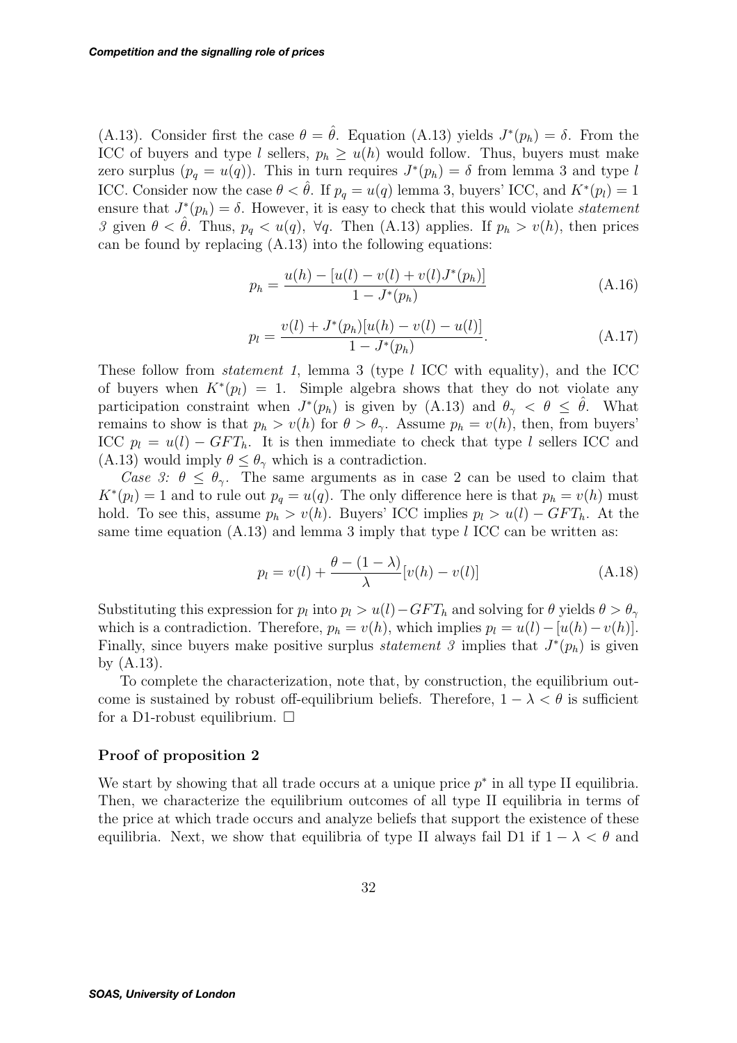(A.13). Consider first the case  $\theta = \hat{\theta}$ . Equation (A.13) yields  $J^*(p_h) = \delta$ . From the ICC of buyers and type l sellers,  $p_h \geq u(h)$  would follow. Thus, buyers must make zero surplus  $(p_q = u(q))$ . This in turn requires  $J^*(p_h) = \delta$  from lemma 3 and type l ICC. Consider now the case  $\theta < \theta$ . If  $p_q = u(q)$  lemma 3, buyers' ICC, and  $K^*(p_l) = 1$ ensure that  $J^*(p_h) = \delta$ . However, it is easy to check that this would violate *statement 3* given  $\theta < \theta$ . Thus,  $p_q < u(q)$ ,  $\forall q$ . Then (A.13) applies. If  $p_h > v(h)$ , then prices can be found by replacing (A.13) into the following equations:

$$
p_h = \frac{u(h) - [u(l) - v(l) + v(l)J^*(p_h)]}{1 - J^*(p_h)}
$$
\n(A.16)

$$
p_l = \frac{v(l) + J^*(p_h)[u(h) - v(l) - u(l)]}{1 - J^*(p_h)}.
$$
\n(A.17)

These follow from *statement 1*, lemma 3 (type l ICC with equality), and the ICC of buyers when  $K^*(p_l) = 1$ . Simple algebra shows that they do not violate any participation constraint when  $J^*(p_h)$  is given by (A.13) and  $\theta_{\gamma} < \theta \leq \theta$ . What remains to show is that  $p_h > v(h)$  for  $\theta > \theta_{\gamma}$ . Assume  $p_h = v(h)$ , then, from buyers' ICC  $p_l = u(l) - GFT_h$ . It is then immediate to check that type l sellers ICC and (A.13) would imply  $\theta \leq \theta_{\gamma}$  which is a contradiction.

*Case 3:*  $\theta \leq \theta_{\gamma}$ . The same arguments as in case 2 can be used to claim that  $K^*(p_l) = 1$  and to rule out  $p_q = u(q)$ . The only difference here is that  $p_h = v(h)$  must hold. To see this, assume  $p_h > v(h)$ . Buyers' ICC implies  $p_l > u(l) - GFT_h$ . At the same time equation  $(A.13)$  and lemma 3 imply that type l ICC can be written as:

$$
p_l = v(l) + \frac{\theta - (1 - \lambda)}{\lambda} [v(h) - v(l)] \tag{A.18}
$$

Substituting this expression for  $p_l$  into  $p_l > u(l) - GFT_h$  and solving for  $\theta$  yields  $\theta > \theta_\gamma$ which is a contradiction. Therefore,  $p_h = v(h)$ , which implies  $p_l = u(l) - [u(h) - v(h)]$ . Finally, since buyers make positive surplus *statement 3* implies that  $J^*(p_h)$  is given by (A.13).

To complete the characterization, note that, by construction, the equilibrium outcome is sustained by robust off-equilibrium beliefs. Therefore,  $1 - \lambda < \theta$  is sufficient for a D1-robust equilibrium.  $\square$ 

#### **Proof of proposition 2**

We start by showing that all trade occurs at a unique price  $p^*$  in all type II equilibria. Then, we characterize the equilibrium outcomes of all type II equilibria in terms of the price at which trade occurs and analyze beliefs that support the existence of these equilibria. Next, we show that equilibria of type II always fail D1 if  $1 - \lambda < \theta$  and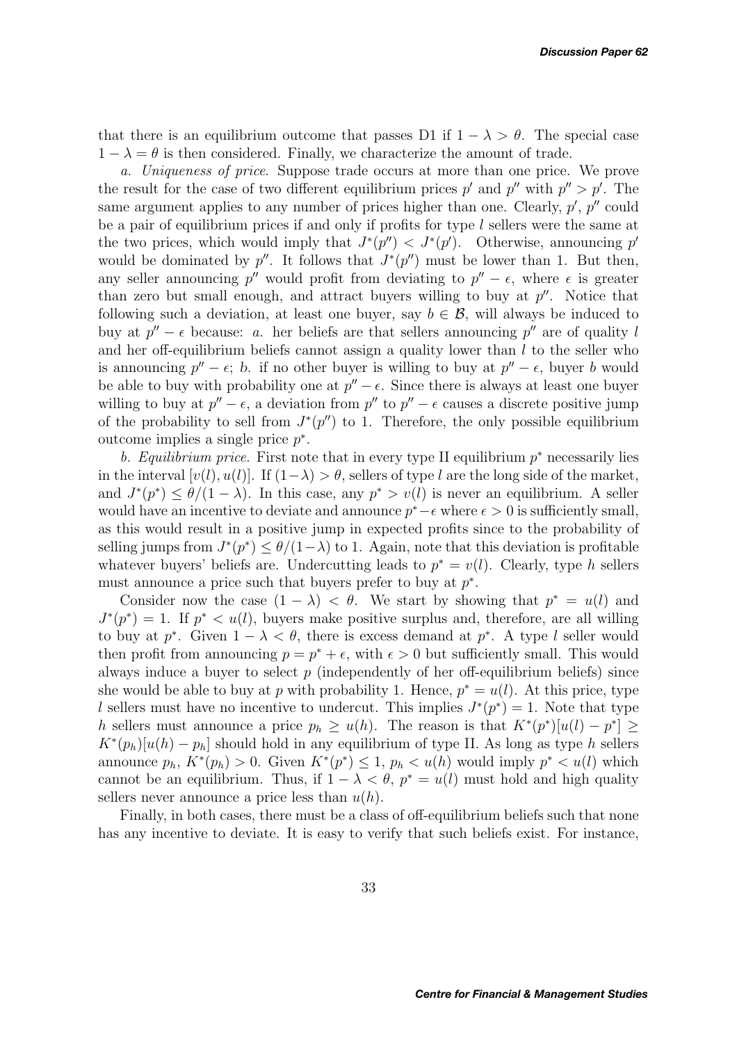that there is an equilibrium outcome that passes D1 if  $1 - \lambda > \theta$ . The special case  $1 - \lambda = \theta$  is then considered. Finally, we characterize the amount of trade.

*a. Uniqueness of price*. Suppose trade occurs at more than one price. We prove the result for the case of two different equilibrium prices  $p'$  and  $p''$  with  $p'' > p'$ . The same argument applies to any number of prices higher than one. Clearly,  $p'$ ,  $p''$  could be a pair of equilibrium prices if and only if profits for type  $l$  sellers were the same at the two prices, which would imply that  $J^*(p'') < J^*(p')$ . Otherwise, announcing p' would be dominated by p''. It follows that  $J^*(p'')$  must be lower than 1. But then, any seller announcing p'' would profit from deviating to  $p'' - \epsilon$ , where  $\epsilon$  is greater than zero but small enough, and attract buyers willing to buy at  $p''$ . Notice that following such a deviation, at least one buyer, say  $b \in \mathcal{B}$ , will always be induced to buy at  $p'' - \epsilon$  because: *a*. her beliefs are that sellers announcing p'' are of quality l and her off-equilibrium beliefs cannot assign a quality lower than  $l$  to the seller who is announcing  $p'' - \epsilon$ ; b. if no other buyer is willing to buy at  $p'' - \epsilon$ , buyer b would be able to buy with probability one at  $p'' - \epsilon$ . Since there is always at least one buyer willing to buy at  $p'' - \epsilon$ , a deviation from  $p''$  to  $p'' - \epsilon$  causes a discrete positive jump of the probability to sell from  $J^*(p'')$  to 1. Therefore, the only possible equilibrium outcome implies a single price  $p^*$ .

*b. Equilibrium price.* First note that in every type II equilibrium p<sup>∗</sup> necessarily lies in the interval  $[v(l), u(l)]$ . If  $(1-\lambda) > \theta$ , sellers of type l are the long side of the market, and  $J^*(p^*) \leq \theta/(1-\lambda)$ . In this case, any  $p^* > v(l)$  is never an equilibrium. A seller would have an incentive to deviate and announce  $p^* - \epsilon$  where  $\epsilon > 0$  is sufficiently small, as this would result in a positive jump in expected profits since to the probability of selling jumps from  $J^*(p^*) \leq \theta/(1-\lambda)$  to 1. Again, note that this deviation is profitable whatever buyers' beliefs are. Undercutting leads to  $p^* = v(l)$ . Clearly, type h sellers must announce a price such that buyers prefer to buy at  $p^*$ .

Consider now the case  $(1 - \lambda) < \theta$ . We start by showing that  $p^* = u(l)$  and  $J^*(p^*) = 1$ . If  $p^* \lt u(l)$ , buyers make positive surplus and, therefore, are all willing to buy at  $p^*$ . Given  $1 - \lambda < \theta$ , there is excess demand at  $p^*$ . A type l seller would then profit from announcing  $p = p^* + \epsilon$ , with  $\epsilon > 0$  but sufficiently small. This would always induce a buyer to select  $p$  (independently of her off-equilibrium beliefs) since she would be able to buy at p with probability 1. Hence,  $p^* = u(l)$ . At this price, type l sellers must have no incentive to undercut. This implies  $J^*(p^*) = 1$ . Note that type h sellers must announce a price  $p_h \geq u(h)$ . The reason is that  $K^*(p^*)[u(l) - p^*] \geq$  $K^*(p_h)[u(h) - p_h]$  should hold in any equilibrium of type II. As long as type h sellers announce  $p_h$ ,  $K^*(p_h) > 0$ . Given  $K^*(p^*) \leq 1$ ,  $p_h < u(h)$  would imply  $p^* < u(l)$  which cannot be an equilibrium. Thus, if  $1 - \lambda < \theta$ ,  $p^* = u(l)$  must hold and high quality sellers never announce a price less than  $u(h)$ .

Finally, in both cases, there must be a class of off-equilibrium beliefs such that none has any incentive to deviate. It is easy to verify that such beliefs exist. For instance,

33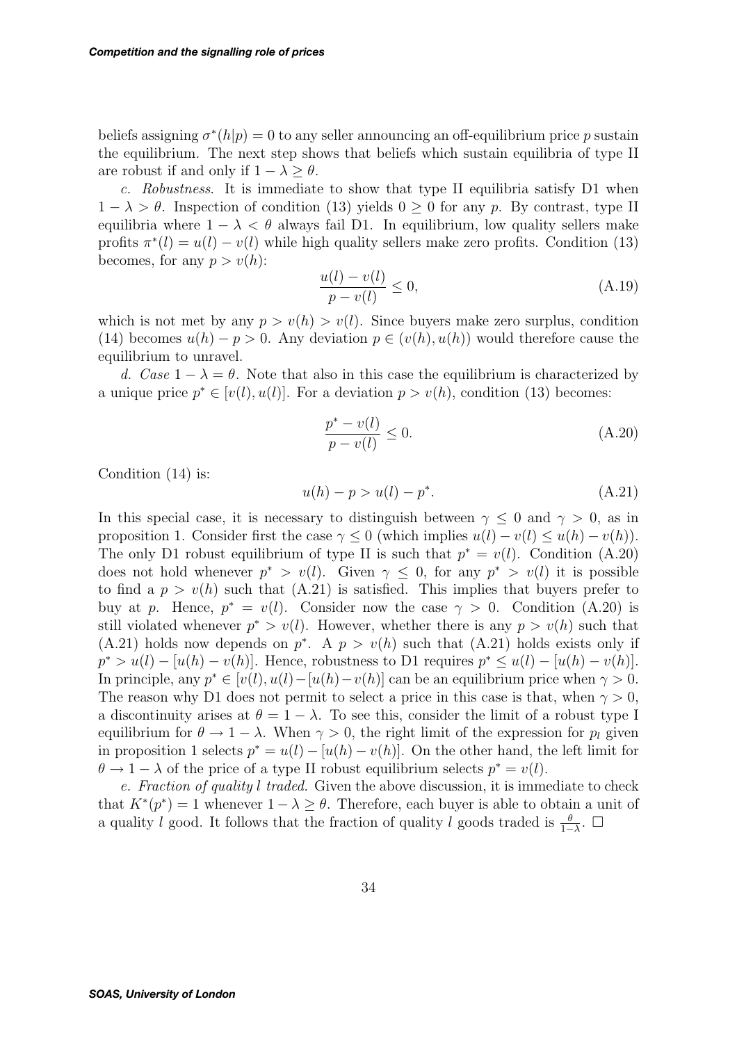beliefs assigning  $\sigma^*(h|p) = 0$  to any seller announcing an off-equilibrium price p sustain the equilibrium. The next step shows that beliefs which sustain equilibria of type II are robust if and only if  $1 - \lambda > \theta$ .

*c. Robustness*. It is immediate to show that type II equilibria satisfy D1 when  $1 - \lambda > \theta$ . Inspection of condition (13) yields 0 > 0 for any p. By contrast, type II equilibria where  $1 - \lambda < \theta$  always fail D1. In equilibrium, low quality sellers make profits  $\pi^*(l) = u(l) - v(l)$  while high quality sellers make zero profits. Condition (13) becomes, for any  $p > v(h)$ :

$$
\frac{u(l) - v(l)}{p - v(l)} \le 0,\tag{A.19}
$$

which is not met by any  $p > v(h) > v(l)$ . Since buyers make zero surplus, condition (14) becomes  $u(h) - p > 0$ . Any deviation  $p \in (v(h), u(h))$  would therefore cause the equilibrium to unravel.

*d.* Case  $1 - \lambda = \theta$ . Note that also in this case the equilibrium is characterized by a unique price  $p^* \in [v(l), u(l)]$ . For a deviation  $p > v(h)$ , condition (13) becomes:

$$
\frac{p^* - v(l)}{p - v(l)} \le 0.
$$
\n(A.20)

Condition (14) is:

$$
u(h) - p > u(l) - p^*.
$$
\n(A.21)

In this special case, it is necessary to distinguish between  $\gamma \leq 0$  and  $\gamma > 0$ , as in proposition 1. Consider first the case  $\gamma \leq 0$  (which implies  $u(l) - v(l) \leq u(h) - v(h)$ ). The only D1 robust equilibrium of type II is such that  $p^* = v(l)$ . Condition (A.20) does not hold whenever  $p^* > v(l)$ . Given  $\gamma \leq 0$ , for any  $p^* > v(l)$  it is possible to find a  $p > v(h)$  such that (A.21) is satisfied. This implies that buyers prefer to buy at p. Hence,  $p^* = v(l)$ . Consider now the case  $\gamma > 0$ . Condition (A.20) is still violated whenever  $p^* > v(l)$ . However, whether there is any  $p > v(h)$  such that (A.21) holds now depends on  $p^*$ . A  $p > v(h)$  such that (A.21) holds exists only if  $p^* > u(l) - [u(h) - v(h)]$ . Hence, robustness to D1 requires  $p^* \leq u(l) - [u(h) - v(h)]$ . In principle, any  $p^* \in [v(l), u(l) - [u(h) - v(h)]$  can be an equilibrium price when  $\gamma > 0$ . The reason why D1 does not permit to select a price in this case is that, when  $\gamma > 0$ , a discontinuity arises at  $\theta = 1 - \lambda$ . To see this, consider the limit of a robust type I equilibrium for  $\theta \to 1 - \lambda$ . When  $\gamma > 0$ , the right limit of the expression for  $p_l$  given in proposition 1 selects  $p^* = u(l) - [u(h) - v(h)]$ . On the other hand, the left limit for  $\theta \to 1 - \lambda$  of the price of a type II robust equilibrium selects  $p^* = v(l)$ .

*e. Fraction of quality* l *traded.* Given the above discussion, it is immediate to check that  $K^*(p^*) = 1$  whenever  $1 - \lambda \geq \theta$ . Therefore, each buyer is able to obtain a unit of a quality l good. It follows that the fraction of quality l goods traded is  $\frac{\theta}{1-\lambda}$ .  $\Box$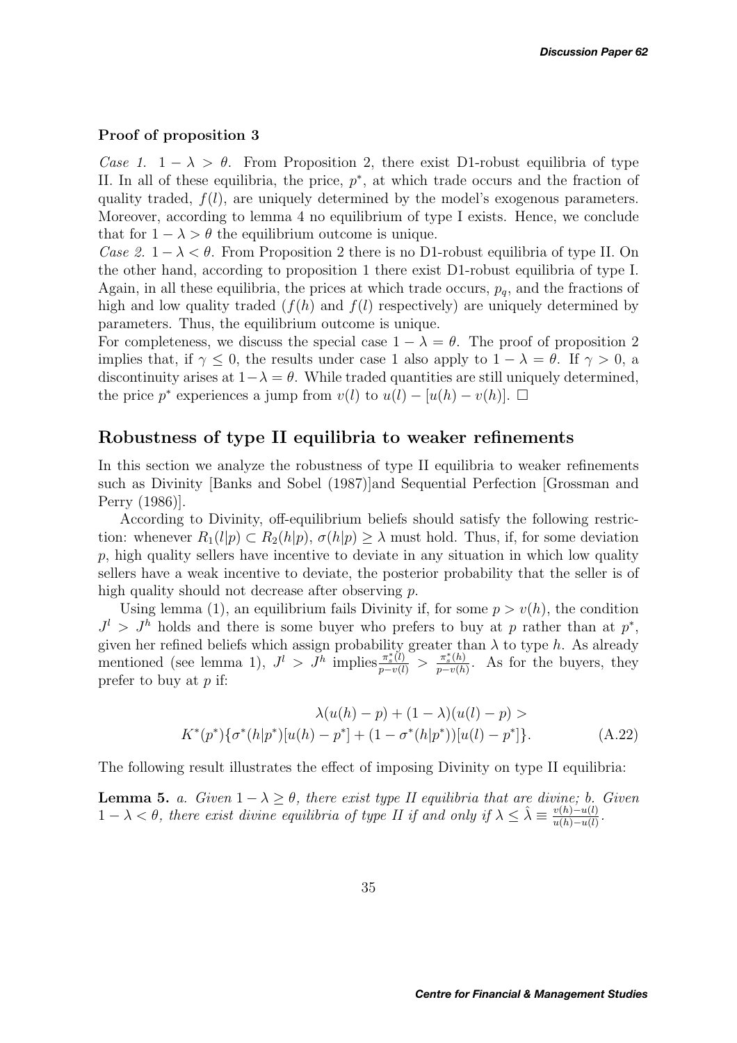#### **Proof of proposition 3**

*Case 1.*  $1 - \lambda > \theta$ . From Proposition 2, there exist D1-robust equilibria of type II. In all of these equilibria, the price,  $p^*$ , at which trade occurs and the fraction of quality traded,  $f(l)$ , are uniquely determined by the model's exogenous parameters. Moreover, according to lemma 4 no equilibrium of type I exists. Hence, we conclude that for  $1 - \lambda > \theta$  the equilibrium outcome is unique.

*Case 2.*  $1 - \lambda < \theta$ . From Proposition 2 there is no D1-robust equilibria of type II. On the other hand, according to proposition 1 there exist D1-robust equilibria of type I. Again, in all these equilibria, the prices at which trade occurs,  $p<sub>q</sub>$ , and the fractions of high and low quality traded  $(f(h)$  and  $f(l)$  respectively) are uniquely determined by parameters. Thus, the equilibrium outcome is unique.

For completeness, we discuss the special case  $1 - \lambda = \theta$ . The proof of proposition 2 implies that, if  $\gamma$  < 0, the results under case 1 also apply to  $1 - \lambda = \theta$ . If  $\gamma > 0$ , a discontinuity arises at  $1-\lambda = \theta$ . While traded quantities are still uniquely determined, the price p<sup>\*</sup> experiences a jump from  $v(l)$  to  $u(l) - [u(h) - v(h)]$ .  $\Box$ 

### **Robustness of type II equilibria to weaker refinements**

In this section we analyze the robustness of type II equilibria to weaker refinements such as Divinity [Banks and Sobel (1987)]and Sequential Perfection [Grossman and Perry (1986)].

According to Divinity, off-equilibrium beliefs should satisfy the following restriction: whenever  $R_1(l|p) \subset R_2(h|p)$ ,  $\sigma(h|p) \geq \lambda$  must hold. Thus, if, for some deviation  $p$ , high quality sellers have incentive to deviate in any situation in which low quality sellers have a weak incentive to deviate, the posterior probability that the seller is of high quality should not decrease after observing p.

Using lemma (1), an equilibrium fails Divinity if, for some  $p>v(h)$ , the condition  $J^l > J^h$  holds and there is some buyer who prefers to buy at p rather than at p<sup>\*</sup>, given her refined beliefs which assign probability greater than  $\lambda$  to type h. As already mentioned (see lemma 1),  $J^l > J^h$  implies  $\frac{\pi_s^*(l)}{p-v(l)} > \frac{\pi_s^*(h)}{p-v(h)}$ . As for the buyers, they prefer to buy at  $p$  if:

$$
\lambda(u(h) - p) + (1 - \lambda)(u(l) - p) >
$$
  

$$
K^*(p^*)\{\sigma^*(h|p^*)[u(h) - p^*] + (1 - \sigma^*(h|p^*))[u(l) - p^*]\}.
$$
 (A.22)

The following result illustrates the effect of imposing Divinity on type II equilibria:

**Lemma 5.** *a.* Given  $1 - \lambda \geq \theta$ , there exist type II equilibria that are divine; b. Given  $1 - \lambda < \theta$ , there exist divine equilibria of type II if and only if  $\lambda \leq \hat{\lambda} \equiv \frac{v(h) - u(l)}{u(h) - u(l)}$ .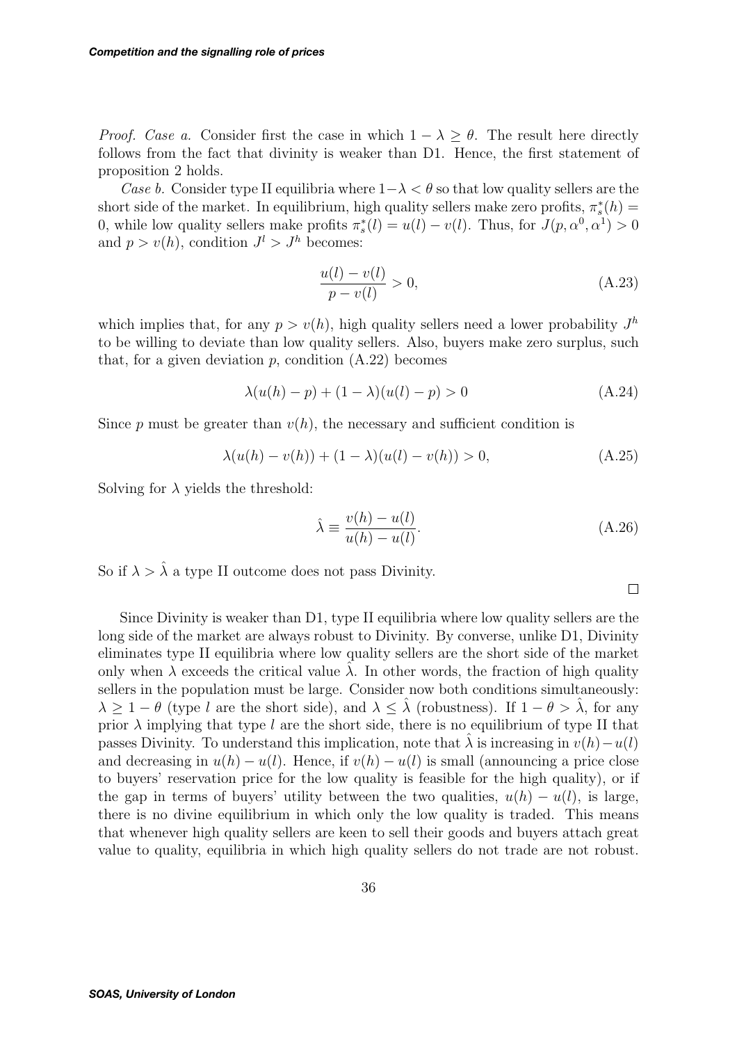*Proof. Case a.* Consider first the case in which  $1 - \lambda > \theta$ . The result here directly follows from the fact that divinity is weaker than D1. Hence, the first statement of proposition 2 holds.

*Case b.* Consider type II equilibria where  $1-\lambda < \theta$  so that low quality sellers are the short side of the market. In equilibrium, high quality sellers make zero profits,  $\pi_s^*(h)$ 0, while low quality sellers make profits  $\pi_s^*(l) = u(l) - v(l)$ . Thus, for  $J(p, \alpha^0, \alpha^1) > 0$ and  $p > v(h)$ , condition  $J^l > J^h$  becomes:

$$
\frac{u(l) - v(l)}{p - v(l)} > 0,
$$
\n(A.23)

which implies that, for any  $p>v(h)$ , high quality sellers need a lower probability  $J^h$ to be willing to deviate than low quality sellers. Also, buyers make zero surplus, such that, for a given deviation  $p$ , condition  $(A.22)$  becomes

$$
\lambda(u(h) - p) + (1 - \lambda)(u(l) - p) > 0 \tag{A.24}
$$

Since p must be greater than  $v(h)$ , the necessary and sufficient condition is

$$
\lambda(u(h) - v(h)) + (1 - \lambda)(u(l) - v(h)) > 0,
$$
\n(A.25)

Solving for  $\lambda$  yields the threshold:

$$
\hat{\lambda} \equiv \frac{v(h) - u(l)}{u(h) - u(l)}.\tag{A.26}
$$

 $\Box$ 

So if  $\lambda > \hat{\lambda}$  a type II outcome does not pass Divinity.

Since Divinity is weaker than D1, type II equilibria where low quality sellers are the long side of the market are always robust to Divinity. By converse, unlike D1, Divinity eliminates type II equilibria where low quality sellers are the short side of the market only when  $\lambda$  exceeds the critical value  $\lambda$ . In other words, the fraction of high quality sellers in the population must be large. Consider now both conditions simultaneously:  $\lambda \geq 1 - \theta$  (type l are the short side), and  $\lambda \leq \hat{\lambda}$  (robustness). If  $1 - \theta > \hat{\lambda}$ , for any prior  $\lambda$  implying that type l are the short side, there is no equilibrium of type II that passes Divinity. To understand this implication, note that  $\lambda$  is increasing in  $v(h)-u(l)$ and decreasing in  $u(h) - u(l)$ . Hence, if  $v(h) - u(l)$  is small (announcing a price close to buyers' reservation price for the low quality is feasible for the high quality), or if the gap in terms of buyers' utility between the two qualities,  $u(h) - u(l)$ , is large, there is no divine equilibrium in which only the low quality is traded. This means that whenever high quality sellers are keen to sell their goods and buyers attach great value to quality, equilibria in which high quality sellers do not trade are not robust.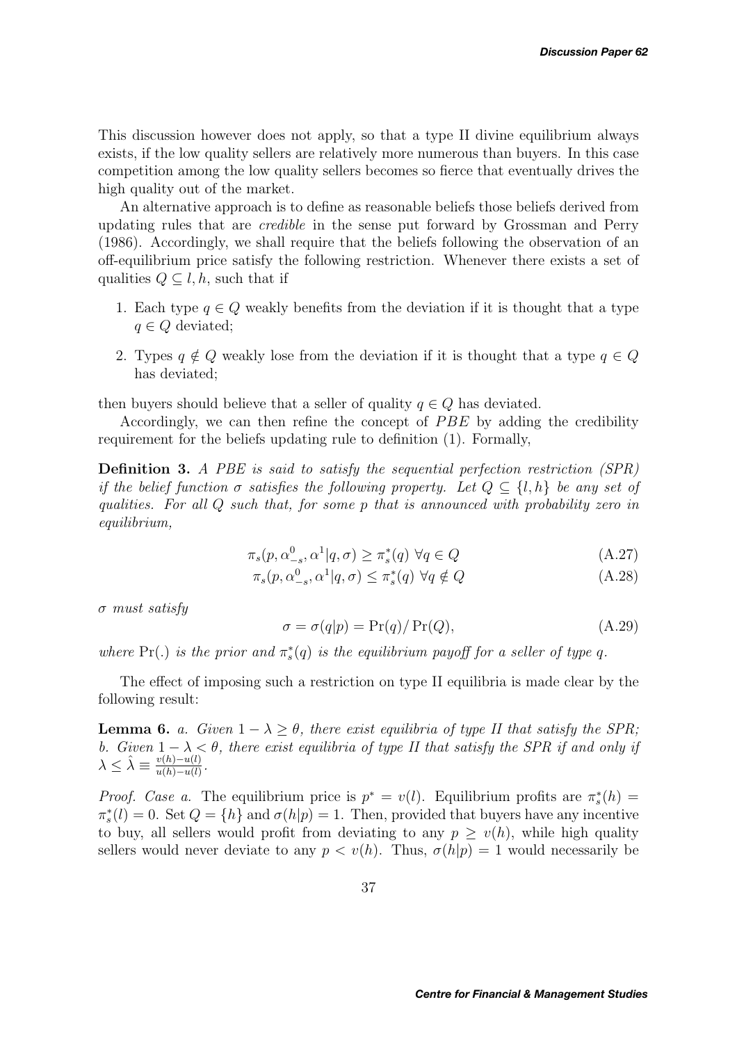This discussion however does not apply, so that a type II divine equilibrium always exists, if the low quality sellers are relatively more numerous than buyers. In this case competition among the low quality sellers becomes so fierce that eventually drives the high quality out of the market.

An alternative approach is to define as reasonable beliefs those beliefs derived from updating rules that are *credible* in the sense put forward by Grossman and Perry (1986). Accordingly, we shall require that the beliefs following the observation of an off-equilibrium price satisfy the following restriction. Whenever there exists a set of qualities  $Q \subset l, h$ , such that if

- 1. Each type  $q \in Q$  weakly benefits from the deviation if it is thought that a type  $q \in Q$  deviated;
- 2. Types  $q \notin Q$  weakly lose from the deviation if it is thought that a type  $q \in Q$ has deviated;

then buyers should believe that a seller of quality  $q \in Q$  has deviated.

Accordingly, we can then refine the concept of PBE by adding the credibility requirement for the beliefs updating rule to definition (1). Formally,

**Definition 3.** *A PBE is said to satisfy the sequential perfection restriction (SPR) if the belief function*  $\sigma$  *satisfies the following property. Let*  $Q \subseteq \{l, h\}$  *be any set of qualities. For all* Q *such that, for some* p *that is announced with probability zero in equilibrium,*

$$
\pi_s(p, \alpha_{-s}^0, \alpha^1 | q, \sigma) \ge \pi_s^*(q) \ \forall q \in Q \tag{A.27}
$$

$$
\pi_s(p, \alpha_{-s}^0, \alpha^1 | q, \sigma) \le \pi_s^*(q) \ \forall q \notin Q \tag{A.28}
$$

σ *must satisfy*

$$
\sigma = \sigma(q|p) = \Pr(q) / \Pr(Q), \tag{A.29}
$$

*where*  $Pr(.)$  *is the prior and*  $\pi_s^*(q)$  *is the equilibrium payoff for a seller of type q.* 

The effect of imposing such a restriction on type II equilibria is made clear by the following result:

**Lemma 6.** *a.* Given  $1 - \lambda \geq \theta$ , there exist equilibria of type II that satisfy the SPR; *b.* Given  $1 - \lambda < \theta$ , there exist equilibria of type II that satisfy the SPR if and only if  $\lambda \leq \hat{\lambda} \equiv \frac{v(h) - u(l)}{u(h) - u(l)}.$ 

*Proof. Case a.* The equilibrium price is  $p^* = v(l)$ . Equilibrium profits are  $\pi_s^*(h) =$  $\pi_s^*(l) = 0$ . Set  $Q = \{h\}$  and  $\sigma(h|p) = 1$ . Then, provided that buyers have any incentive to buy, all sellers would profit from deviating to any  $p \geq v(h)$ , while high quality sellers would never deviate to any  $p < v(h)$ . Thus,  $\sigma(h|p) = 1$  would necessarily be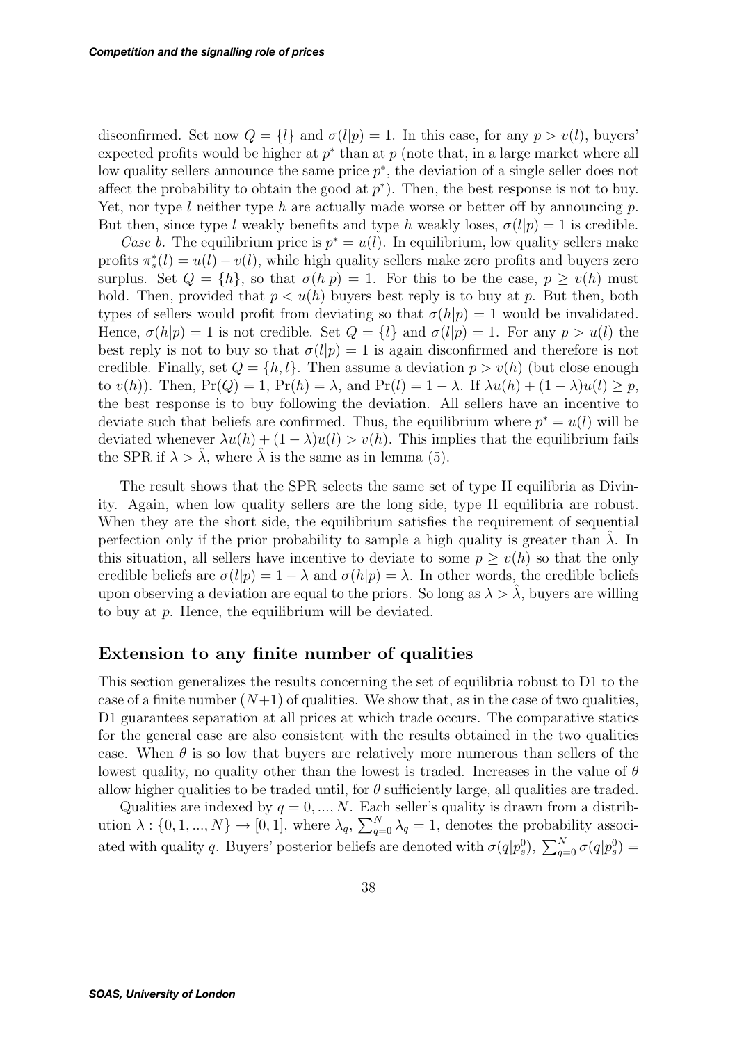disconfirmed. Set now  $Q = \{l\}$  and  $\sigma(l|p) = 1$ . In this case, for any  $p > v(l)$ , buyers' expected profits would be higher at  $p^*$  than at p (note that, in a large market where all low quality sellers announce the same price  $p^*$ , the deviation of a single seller does not affect the probability to obtain the good at  $p^*$ ). Then, the best response is not to buy. Yet, nor type l neither type h are actually made worse or better off by announcing p. But then, since type l weakly benefits and type h weakly loses,  $\sigma(l|p) = 1$  is credible.

*Case b.* The equilibrium price is  $p^* = u(l)$ . In equilibrium, low quality sellers make profits  $\pi_s^*(l) = u(l) - v(l)$ , while high quality sellers make zero profits and buyers zero surplus. Set  $Q = \{h\}$ , so that  $\sigma(h|p) = 1$ . For this to be the case,  $p > v(h)$  must hold. Then, provided that  $p < u(h)$  buyers best reply is to buy at p. But then, both types of sellers would profit from deviating so that  $\sigma(h|p) = 1$  would be invalidated. Hence,  $\sigma(h|p) = 1$  is not credible. Set  $Q = \{l\}$  and  $\sigma(l|p) = 1$ . For any  $p > u(l)$  the best reply is not to buy so that  $\sigma(l|p) = 1$  is again disconfirmed and therefore is not credible. Finally, set  $Q = \{h, l\}$ . Then assume a deviation  $p > v(h)$  (but close enough to  $v(h)$ ). Then,  $Pr(Q) = 1$ ,  $Pr(h) = \lambda$ , and  $Pr(l) = 1 - \lambda$ . If  $\lambda u(h) + (1 - \lambda)u(l) \geq p$ , the best response is to buy following the deviation. All sellers have an incentive to deviate such that beliefs are confirmed. Thus, the equilibrium where  $p^* = u(l)$  will be deviated whenever  $\lambda u(h) + (1 - \lambda)u(l) > v(h)$ . This implies that the equilibrium fails the SPR if  $\lambda > \hat{\lambda}$ , where  $\hat{\lambda}$  is the same as in lemma (5).  $\Box$ 

The result shows that the SPR selects the same set of type II equilibria as Divinity. Again, when low quality sellers are the long side, type II equilibria are robust. When they are the short side, the equilibrium satisfies the requirement of sequential perfection only if the prior probability to sample a high quality is greater than  $\lambda$ . In this situation, all sellers have incentive to deviate to some  $p > v(h)$  so that the only credible beliefs are  $\sigma(l|p)=1 - \lambda$  and  $\sigma(h|p) = \lambda$ . In other words, the credible beliefs upon observing a deviation are equal to the priors. So long as  $\lambda > \lambda$ , buyers are willing to buy at  $p$ . Hence, the equilibrium will be deviated.

### **Extension to any finite number of qualities**

This section generalizes the results concerning the set of equilibria robust to D1 to the case of a finite number  $(N+1)$  of qualities. We show that, as in the case of two qualities, D1 guarantees separation at all prices at which trade occurs. The comparative statics for the general case are also consistent with the results obtained in the two qualities case. When  $\theta$  is so low that buyers are relatively more numerous than sellers of the lowest quality, no quality other than the lowest is traded. Increases in the value of  $\theta$ allow higher qualities to be traded until, for  $\theta$  sufficiently large, all qualities are traded.

Qualities are indexed by  $q = 0, ..., N$ . Each seller's quality is drawn from a distribution  $\lambda: \{0, 1, ..., N\} \to [0, 1]$ , where  $\lambda_q$ ,  $\sum_{q=0}^{N} \lambda_q = 1$ , denotes the probability associated with quality q. Buyers' posterior beliefs are denoted with  $\sigma(q|p_s^0)$ ,  $\sum_{q=0}^{N} \sigma(q|p_s^0)$  =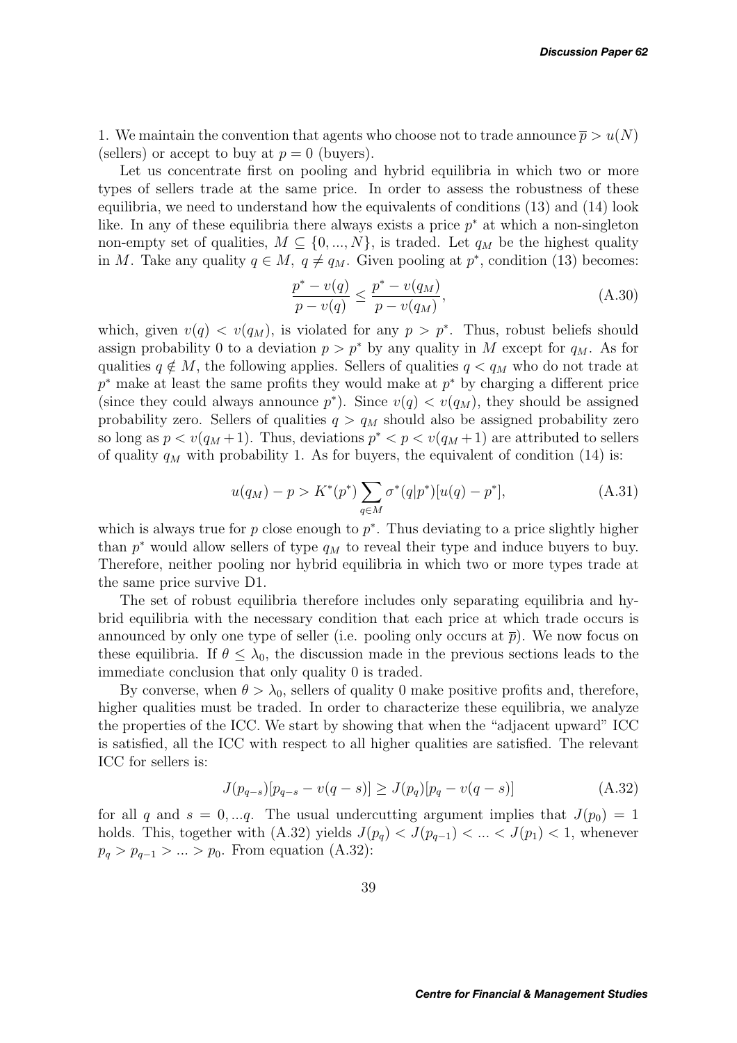1. We maintain the convention that agents who choose not to trade announce  $\overline{p} > u(N)$ (sellers) or accept to buy at  $p = 0$  (buyers).

Let us concentrate first on pooling and hybrid equilibria in which two or more types of sellers trade at the same price. In order to assess the robustness of these equilibria, we need to understand how the equivalents of conditions (13) and (14) look like. In any of these equilibria there always exists a price  $p^*$  at which a non-singleton non-empty set of qualities,  $M \subseteq \{0, ..., N\}$ , is traded. Let  $q_M$  be the highest quality in M. Take any quality  $q \in M$ ,  $q \neq q_M$ . Given pooling at  $p^*$ , condition (13) becomes:

$$
\frac{p^* - v(q)}{p - v(q)} \le \frac{p^* - v(q_M)}{p - v(q_M)},
$$
\n(A.30)

which, given  $v(q) < v(q_M)$ , is violated for any  $p > p^*$ . Thus, robust beliefs should assign probability 0 to a deviation  $p>p^*$  by any quality in M except for  $q_M$ . As for qualities  $q \notin M$ , the following applies. Sellers of qualities  $q < q_M$  who do not trade at  $p^*$  make at least the same profits they would make at  $p^*$  by charging a different price (since they could always announce  $p^*$ ). Since  $v(q) < v(q_M)$ , they should be assigned probability zero. Sellers of qualities  $q>q_M$  should also be assigned probability zero so long as  $p < v(q_M + 1)$ . Thus, deviations  $p^* < p < v(q_M + 1)$  are attributed to sellers of quality  $q_M$  with probability 1. As for buyers, the equivalent of condition (14) is:

$$
u(q_M) - p > K^*(p^*) \sum_{q \in M} \sigma^*(q|p^*) [u(q) - p^*], \tag{A.31}
$$

which is always true for p close enough to  $p^*$ . Thus deviating to a price slightly higher than  $p^*$  would allow sellers of type  $q_M$  to reveal their type and induce buyers to buy. Therefore, neither pooling nor hybrid equilibria in which two or more types trade at the same price survive D1.

The set of robust equilibria therefore includes only separating equilibria and hybrid equilibria with the necessary condition that each price at which trade occurs is announced by only one type of seller (i.e. pooling only occurs at  $\bar{p}$ ). We now focus on these equilibria. If  $\theta \leq \lambda_0$ , the discussion made in the previous sections leads to the immediate conclusion that only quality 0 is traded.

By converse, when  $\theta > \lambda_0$ , sellers of quality 0 make positive profits and, therefore, higher qualities must be traded. In order to characterize these equilibria, we analyze the properties of the ICC. We start by showing that when the "adjacent upward" ICC is satisfied, all the ICC with respect to all higher qualities are satisfied. The relevant ICC for sellers is:

$$
J(p_{q-s})[p_{q-s} - v(q-s)] \ge J(p_q)[p_q - v(q-s)] \tag{A.32}
$$

for all q and  $s = 0, \dots q$ . The usual undercutting argument implies that  $J(p_0) = 1$ holds. This, together with (A.32) yields  $J(p_q) < J(p_{q-1}) < ... < J(p_1) < 1$ , whenever  $p_q > p_{q-1} > ... > p_0$ . From equation (A.32):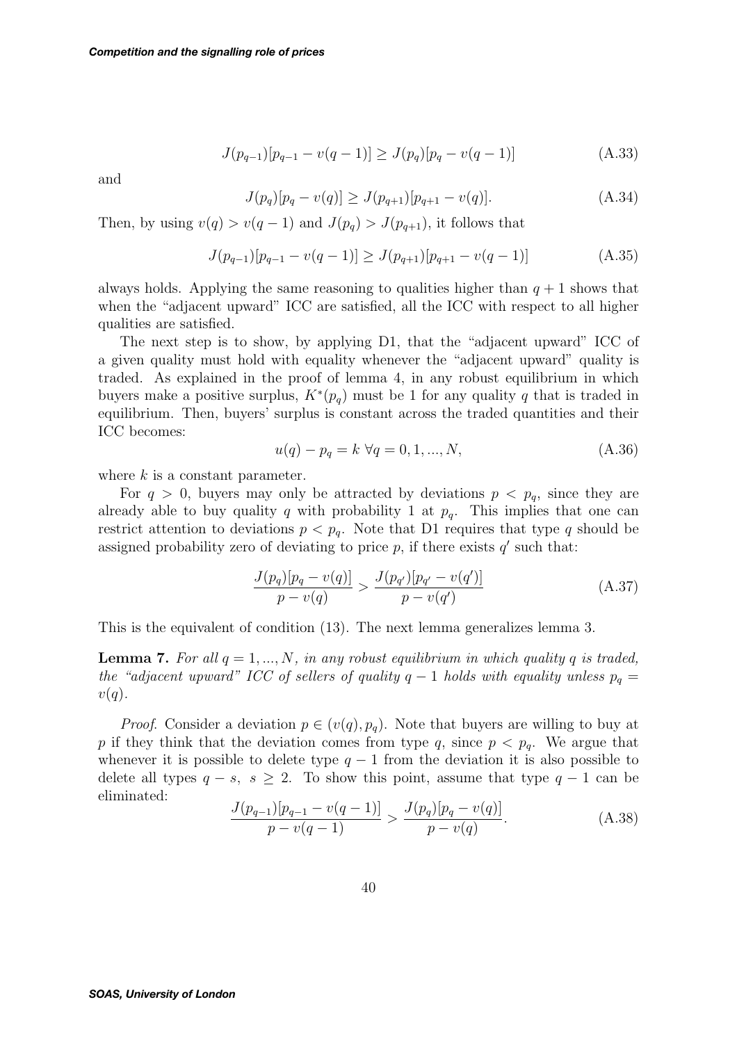$$
J(p_{q-1})[p_{q-1} - v(q-1)] \ge J(p_q)[p_q - v(q-1)] \tag{A.33}
$$

and

$$
J(p_q)[p_q - v(q)] \ge J(p_{q+1})[p_{q+1} - v(q)]. \tag{A.34}
$$

Then, by using  $v(q) > v(q-1)$  and  $J(p_q) > J(p_{q+1})$ , it follows that

$$
J(p_{q-1})[p_{q-1} - v(q-1)] \ge J(p_{q+1})[p_{q+1} - v(q-1)] \tag{A.35}
$$

always holds. Applying the same reasoning to qualities higher than  $q + 1$  shows that when the "adjacent upward" ICC are satisfied, all the ICC with respect to all higher qualities are satisfied.

The next step is to show, by applying D1, that the "adjacent upward" ICC of a given quality must hold with equality whenever the "adjacent upward" quality is traded. As explained in the proof of lemma 4, in any robust equilibrium in which buyers make a positive surplus,  $K^*(p_q)$  must be 1 for any quality q that is traded in equilibrium. Then, buyers' surplus is constant across the traded quantities and their ICC becomes:

$$
u(q) - p_q = k \ \forall q = 0, 1, ..., N,
$$
\n(A.36)

where  $k$  is a constant parameter.

For  $q > 0$ , buyers may only be attracted by deviations  $p < p_q$ , since they are already able to buy quality q with probability 1 at  $p_q$ . This implies that one can restrict attention to deviations  $p < p_q$ . Note that D1 requires that type q should be assigned probability zero of deviating to price  $p$ , if there exists  $q'$  such that:

$$
\frac{J(p_q)[p_q - v(q)]}{p - v(q)} > \frac{J(p_{q'})[p_{q'} - v(q')]}{p - v(q')}
$$
\n(A.37)

This is the equivalent of condition (13). The next lemma generalizes lemma 3.

**Lemma 7.** For all  $q = 1, ..., N$ , in any robust equilibrium in which quality q is traded, *the "adjacent upward" ICC of sellers of quality*  $q - 1$  *holds with equality unless*  $p_q =$  $v(q)$ .

*Proof.* Consider a deviation  $p \in (v(q), p_q)$ . Note that buyers are willing to buy at p if they think that the deviation comes from type q, since  $p < p_q$ . We argue that whenever it is possible to delete type  $q-1$  from the deviation it is also possible to delete all types  $q - s$ ,  $s \geq 2$ . To show this point, assume that type  $q - 1$  can be eliminated:

$$
\frac{J(p_{q-1})[p_{q-1} - v(q-1)]}{p - v(q-1)} > \frac{J(p_q)[p_q - v(q)]}{p - v(q)}.
$$
\n(A.38)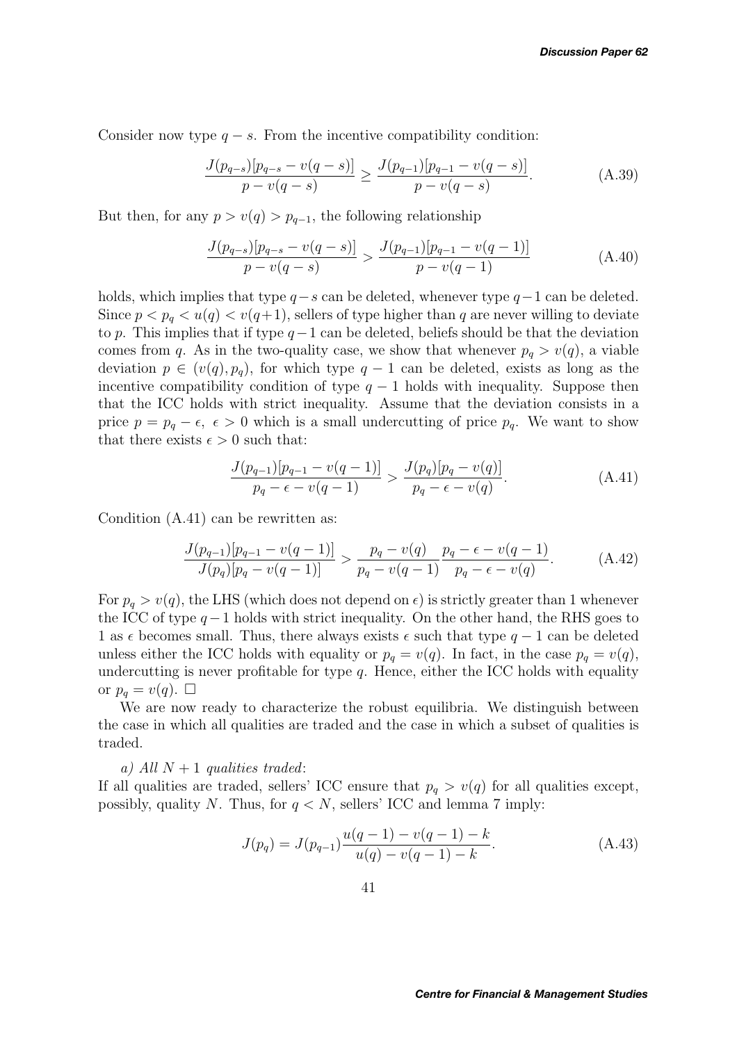Consider now type  $q - s$ . From the incentive compatibility condition:

$$
\frac{J(p_{q-s})[p_{q-s} - v(q-s)]}{p - v(q-s)} \ge \frac{J(p_{q-1})[p_{q-1} - v(q-s)]}{p - v(q-s)}.
$$
\n(A.39)

But then, for any  $p > v(q) > p_{q-1}$ , the following relationship

$$
\frac{J(p_{q-s})[p_{q-s} - v(q-s)]}{p - v(q-s)} > \frac{J(p_{q-1})[p_{q-1} - v(q-1)]}{p - v(q-1)}
$$
(A.40)

holds, which implies that type  $q-s$  can be deleted, whenever type  $q-1$  can be deleted. Since  $p < p_q < u(q) < v(q+1)$ , sellers of type higher than q are never willing to deviate to p. This implies that if type  $q-1$  can be deleted, beliefs should be that the deviation comes from q. As in the two-quality case, we show that whenever  $p_q > v(q)$ , a viable deviation  $p \in (v(q), p_q)$ , for which type  $q-1$  can be deleted, exists as long as the incentive compatibility condition of type  $q-1$  holds with inequality. Suppose then that the ICC holds with strict inequality. Assume that the deviation consists in a price  $p = p_q - \epsilon$ ,  $\epsilon > 0$  which is a small undercutting of price  $p_q$ . We want to show that there exists  $\epsilon > 0$  such that:

$$
\frac{J(p_{q-1})[p_{q-1} - v(q-1)]}{p_q - \epsilon - v(q-1)} > \frac{J(p_q)[p_q - v(q)]}{p_q - \epsilon - v(q)}.
$$
\n(A.41)

Condition (A.41) can be rewritten as:

$$
\frac{J(p_{q-1})[p_{q-1} - v(q-1)]}{J(p_q)[p_q - v(q-1)]} > \frac{p_q - v(q)}{p_q - v(q-1)} \frac{p_q - \epsilon - v(q-1)}{p_q - \epsilon - v(q)}.
$$
\n(A.42)

For  $p_q > v(q)$ , the LHS (which does not depend on  $\epsilon$ ) is strictly greater than 1 whenever the ICC of type  $q-1$  holds with strict inequality. On the other hand, the RHS goes to 1 as  $\epsilon$  becomes small. Thus, there always exists  $\epsilon$  such that type  $q-1$  can be deleted unless either the ICC holds with equality or  $p_q = v(q)$ . In fact, in the case  $p_q = v(q)$ , undercutting is never profitable for type  $q$ . Hence, either the ICC holds with equality or  $p_q = v(q)$ .  $\Box$ 

We are now ready to characterize the robust equilibria. We distinguish between the case in which all qualities are traded and the case in which a subset of qualities is traded.

#### *a)* All  $N + 1$  *qualities traded:*

If all qualities are traded, sellers' ICC ensure that  $p_q > v(q)$  for all qualities except, possibly, quality N. Thus, for  $q < N$ , sellers' ICC and lemma 7 imply:

$$
J(p_q) = J(p_{q-1}) \frac{u(q-1) - v(q-1) - k}{u(q) - v(q-1) - k}.
$$
 (A.43)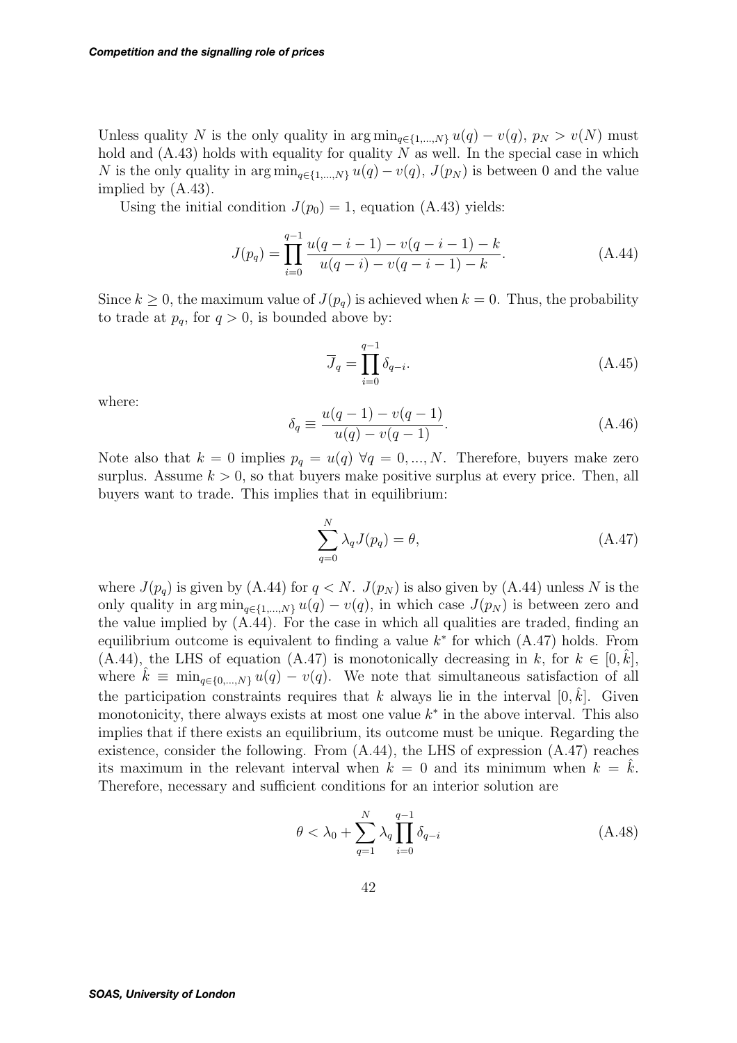Unless quality N is the only quality in  $\arg \min_{q \in \{1,\dots,N\}} u(q) - v(q)$ ,  $p_N > v(N)$  must hold and  $(A.43)$  holds with equality for quality N as well. In the special case in which N is the only quality in  $\arg \min_{q \in \{1,\dots,N\}} u(q) - v(q)$ ,  $J(p_N)$  is between 0 and the value implied by (A.43).

Using the initial condition  $J(p_0) = 1$ , equation (A.43) yields:

$$
J(p_q) = \prod_{i=0}^{q-1} \frac{u(q-i-1) - v(q-i-1) - k}{u(q-i) - v(q-i-1) - k}.
$$
 (A.44)

Since  $k \geq 0$ , the maximum value of  $J(p_q)$  is achieved when  $k = 0$ . Thus, the probability to trade at  $p_q$ , for  $q > 0$ , is bounded above by:

$$
\overline{J}_q = \prod_{i=0}^{q-1} \delta_{q-i}.\tag{A.45}
$$

where:

$$
\delta_q \equiv \frac{u(q-1) - v(q-1)}{u(q) - v(q-1)}.
$$
\n(A.46)

Note also that  $k = 0$  implies  $p_q = u(q) \ \forall q = 0, ..., N$ . Therefore, buyers make zero surplus. Assume  $k > 0$ , so that buyers make positive surplus at every price. Then, all buyers want to trade. This implies that in equilibrium:

$$
\sum_{q=0}^{N} \lambda_q J(p_q) = \theta,\tag{A.47}
$$

where  $J(p_q)$  is given by (A.44) for  $q < N$ .  $J(p_N)$  is also given by (A.44) unless N is the only quality in  $\arg \min_{q \in \{1,\ldots,N\}} u(q) - v(q)$ , in which case  $J(p_N)$  is between zero and the value implied by (A.44). For the case in which all qualities are traded, finding an equilibrium outcome is equivalent to finding a value  $k^*$  for which  $(A.47)$  holds. From (A.44), the LHS of equation (A.47) is monotonically decreasing in k, for  $k \in [0, \hat{k}]$ , where  $\hat{k} \equiv \min_{q \in \{0, ..., N\}} u(q) - v(q)$ . We note that simultaneous satisfaction of all the participation constraints requires that k always lie in the interval  $[0, \hat{k}]$ . Given monotonicity, there always exists at most one value  $k^*$  in the above interval. This also implies that if there exists an equilibrium, its outcome must be unique. Regarding the existence, consider the following. From (A.44), the LHS of expression (A.47) reaches its maximum in the relevant interval when  $k = 0$  and its minimum when  $k = \hat{k}$ . Therefore, necessary and sufficient conditions for an interior solution are

$$
\theta < \lambda_0 + \sum_{q=1}^{N} \lambda_q \prod_{i=0}^{q-1} \delta_{q-i} \tag{A.48}
$$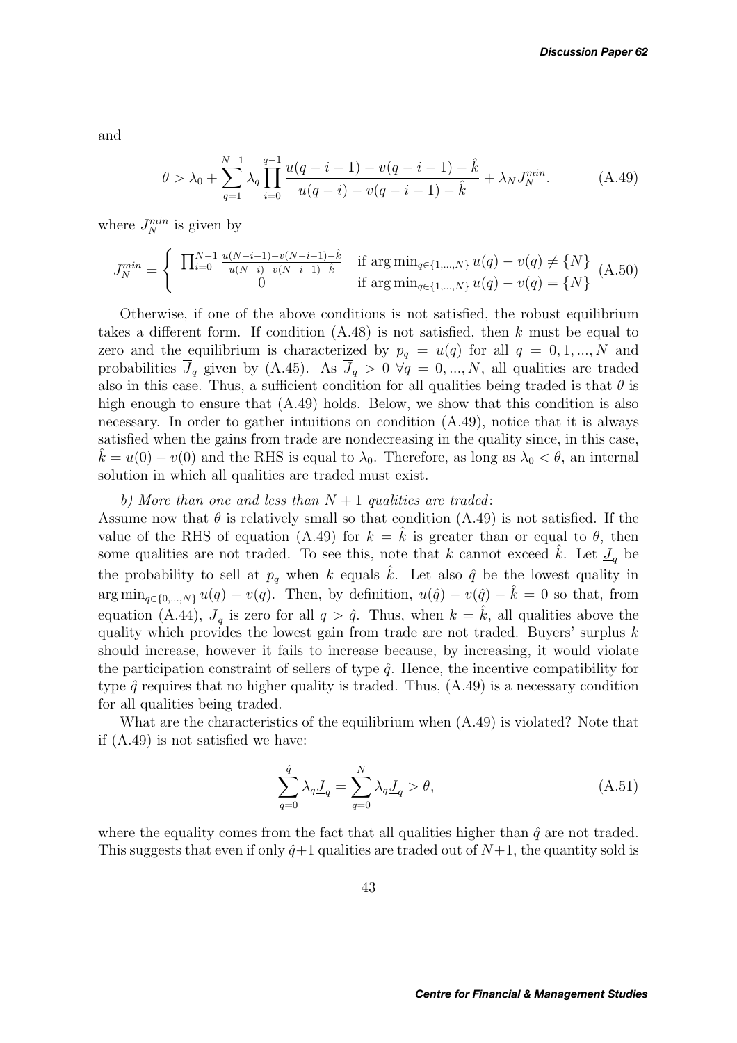and

$$
\theta > \lambda_0 + \sum_{q=1}^{N-1} \lambda_q \prod_{i=0}^{q-1} \frac{u(q-i-1) - v(q-i-1) - \hat{k}}{u(q-i) - v(q-i-1) - \hat{k}} + \lambda_N J_N^{min}.
$$
 (A.49)

where  $J_N^{min}$  is given by

$$
J_N^{min} = \begin{cases} \prod_{i=0}^{N-1} \frac{u(N-i-1) - v(N-i-1) - \hat{k}}{u(N-i) - v(N-i-1) - \hat{k}} & \text{if } \arg\min_{q \in \{1,\dots,N\}} u(q) - v(q) \neq \{N\} \\ 0 & \text{if } \arg\min_{q \in \{1,\dots,N\}} u(q) - v(q) = \{N\} \end{cases} (A.50)
$$

Otherwise, if one of the above conditions is not satisfied, the robust equilibrium takes a different form. If condition  $(A.48)$  is not satisfied, then k must be equal to zero and the equilibrium is characterized by  $p_q = u(q)$  for all  $q = 0, 1, ..., N$  and probabilities  $\overline{J}_q$  given by (A.45). As  $\overline{J}_q > 0$   $\forall q = 0, ..., N$ , all qualities are traded also in this case. Thus, a sufficient condition for all qualities being traded is that  $\theta$  is high enough to ensure that  $(A.49)$  holds. Below, we show that this condition is also necessary. In order to gather intuitions on condition (A.49), notice that it is always satisfied when the gains from trade are nondecreasing in the quality since, in this case,  $\hat{k} = u(0) - v(0)$  and the RHS is equal to  $\lambda_0$ . Therefore, as long as  $\lambda_0 < \theta$ , an internal solution in which all qualities are traded must exist.

*b) More than one and less than* N + 1 *qualities are traded*:

Assume now that  $\theta$  is relatively small so that condition (A.49) is not satisfied. If the value of the RHS of equation (A.49) for  $k = \hat{k}$  is greater than or equal to  $\theta$ , then some qualities are not traded. To see this, note that k cannot exceed  $\hat{k}$ . Let  $\mathcal{I}_q$  be the probability to sell at  $p_q$  when k equals  $\hat{k}$ . Let also  $\hat{q}$  be the lowest quality in  $\arg\min_{q\in\{0,\ldots,N\}}u(q)-v(q)$ . Then, by definition,  $u(\hat{q})-v(\hat{q})-\hat{k}=0$  so that, from equation (A.44),  $\mathcal{L}_q$  is zero for all  $q > \hat{q}$ . Thus, when  $k = \hat{k}$ , all qualities above the quality which provides the lowest gain from trade are not traded. Buyers' surplus  $k$ should increase, however it fails to increase because, by increasing, it would violate the participation constraint of sellers of type  $\hat{q}$ . Hence, the incentive compatibility for type  $\hat{q}$  requires that no higher quality is traded. Thus,  $(A.49)$  is a necessary condition for all qualities being traded.

What are the characteristics of the equilibrium when (A.49) is violated? Note that if (A.49) is not satisfied we have:

$$
\sum_{q=0}^{\hat{q}} \lambda_q \underline{J}_q = \sum_{q=0}^N \lambda_q \underline{J}_q > \theta,\tag{A.51}
$$

where the equality comes from the fact that all qualities higher than  $\hat{q}$  are not traded. This suggests that even if only  $\hat{q}+1$  qualities are traded out of  $N+1$ , the quantity sold is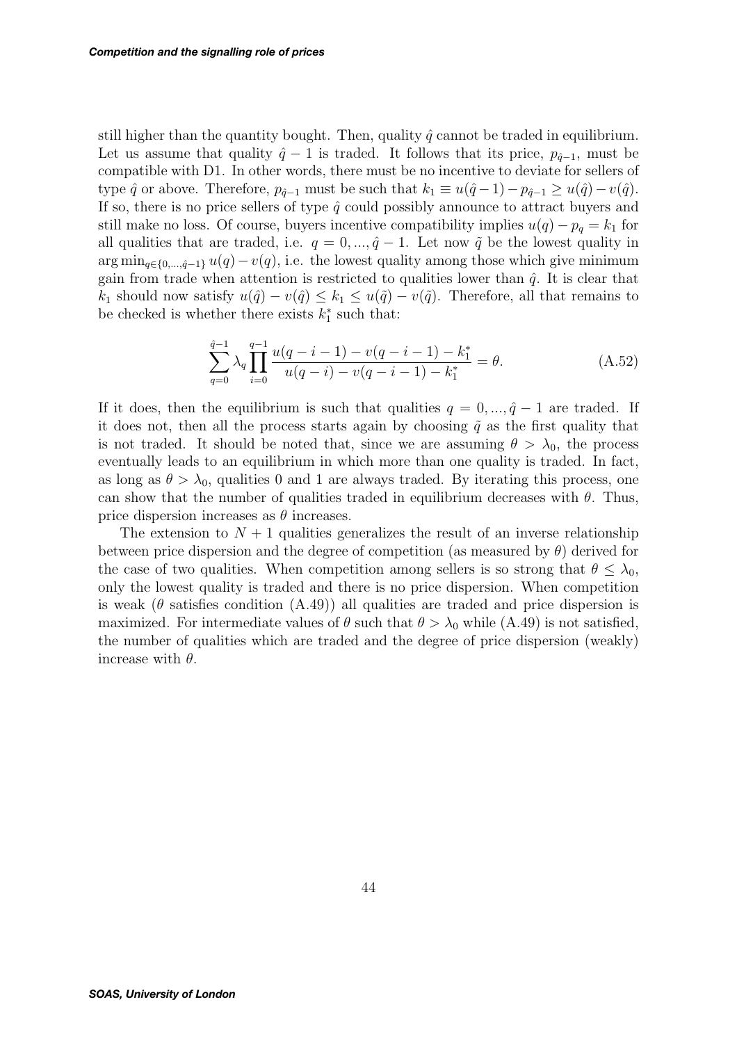still higher than the quantity bought. Then, quality  $\hat{q}$  cannot be traded in equilibrium. Let us assume that quality  $\hat{q} - 1$  is traded. It follows that its price,  $p_{\hat{q}-1}$ , must be compatible with D1. In other words, there must be no incentive to deviate for sellers of type  $\hat{q}$  or above. Therefore,  $p_{\hat{q}-1}$  must be such that  $k_1 \equiv u(\hat{q}-1)-p_{\hat{q}-1} \geq u(\hat{q})-v(\hat{q})$ . If so, there is no price sellers of type  $\hat{q}$  could possibly announce to attract buyers and still make no loss. Of course, buyers incentive compatibility implies  $u(q) - p_q = k_1$  for all qualities that are traded, i.e.  $q = 0, ..., \hat{q} - 1$ . Let now  $\tilde{q}$  be the lowest quality in arg min<sub>q∈{0,..., $\hat{q}$ -1}  $u(q) - v(q)$ , i.e. the lowest quality among those which give minimum</sub> gain from trade when attention is restricted to qualities lower than  $\hat{q}$ . It is clear that k<sub>1</sub> should now satisfy  $u(\hat{q}) - v(\hat{q}) \leq k_1 \leq u(\tilde{q}) - v(\tilde{q})$ . Therefore, all that remains to be checked is whether there exists  $k_1^*$  such that:

$$
\sum_{q=0}^{\hat{q}-1} \lambda_q \prod_{i=0}^{q-1} \frac{u(q-i-1) - v(q-i-1) - k_1^*}{u(q-i) - v(q-i-1) - k_1^*} = \theta.
$$
 (A.52)

If it does, then the equilibrium is such that qualities  $q = 0, ..., \hat{q} - 1$  are traded. If it does not, then all the process starts again by choosing  $\tilde{q}$  as the first quality that is not traded. It should be noted that, since we are assuming  $\theta > \lambda_0$ , the process eventually leads to an equilibrium in which more than one quality is traded. In fact, as long as  $\theta > \lambda_0$ , qualities 0 and 1 are always traded. By iterating this process, one can show that the number of qualities traded in equilibrium decreases with  $\theta$ . Thus, price dispersion increases as  $\theta$  increases.

The extension to  $N+1$  qualities generalizes the result of an inverse relationship between price dispersion and the degree of competition (as measured by  $\theta$ ) derived for the case of two qualities. When competition among sellers is so strong that  $\theta \leq \lambda_0$ , only the lowest quality is traded and there is no price dispersion. When competition is weak ( $\theta$  satisfies condition (A.49)) all qualities are traded and price dispersion is maximized. For intermediate values of  $\theta$  such that  $\theta > \lambda_0$  while (A.49) is not satisfied, the number of qualities which are traded and the degree of price dispersion (weakly) increase with  $\theta$ .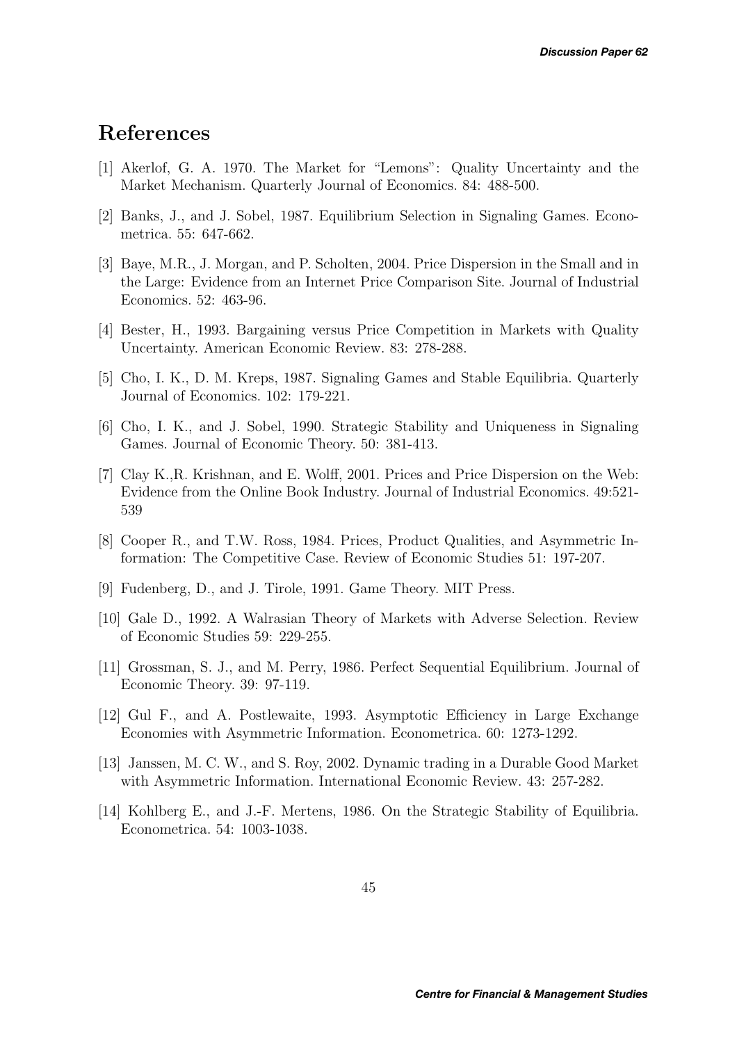# **References**

- [1] Akerlof, G. A. 1970. The Market for "Lemons": Quality Uncertainty and the Market Mechanism. Quarterly Journal of Economics. 84: 488-500.
- [2] Banks, J., and J. Sobel, 1987. Equilibrium Selection in Signaling Games. Econometrica. 55: 647-662.
- [3] Baye, M.R., J. Morgan, and P. Scholten, 2004. Price Dispersion in the Small and in the Large: Evidence from an Internet Price Comparison Site. Journal of Industrial Economics. 52: 463-96.
- [4] Bester, H., 1993. Bargaining versus Price Competition in Markets with Quality Uncertainty. American Economic Review. 83: 278-288.
- [5] Cho, I. K., D. M. Kreps, 1987. Signaling Games and Stable Equilibria. Quarterly Journal of Economics. 102: 179-221.
- [6] Cho, I. K., and J. Sobel, 1990. Strategic Stability and Uniqueness in Signaling Games. Journal of Economic Theory. 50: 381-413.
- [7] Clay K.,R. Krishnan, and E. Wolff, 2001. Prices and Price Dispersion on the Web: Evidence from the Online Book Industry. Journal of Industrial Economics. 49:521- 539
- [8] Cooper R., and T.W. Ross, 1984. Prices, Product Qualities, and Asymmetric Information: The Competitive Case. Review of Economic Studies 51: 197-207.
- [9] Fudenberg, D., and J. Tirole, 1991. Game Theory. MIT Press.
- [10] Gale D., 1992. A Walrasian Theory of Markets with Adverse Selection. Review of Economic Studies 59: 229-255.
- [11] Grossman, S. J., and M. Perry, 1986. Perfect Sequential Equilibrium. Journal of Economic Theory. 39: 97-119.
- [12] Gul F., and A. Postlewaite, 1993. Asymptotic Efficiency in Large Exchange Economies with Asymmetric Information. Econometrica. 60: 1273-1292.
- [13] Janssen, M. C. W., and S. Roy, 2002. Dynamic trading in a Durable Good Market with Asymmetric Information. International Economic Review. 43: 257-282.
- [14] Kohlberg E., and J.-F. Mertens, 1986. On the Strategic Stability of Equilibria. Econometrica. 54: 1003-1038.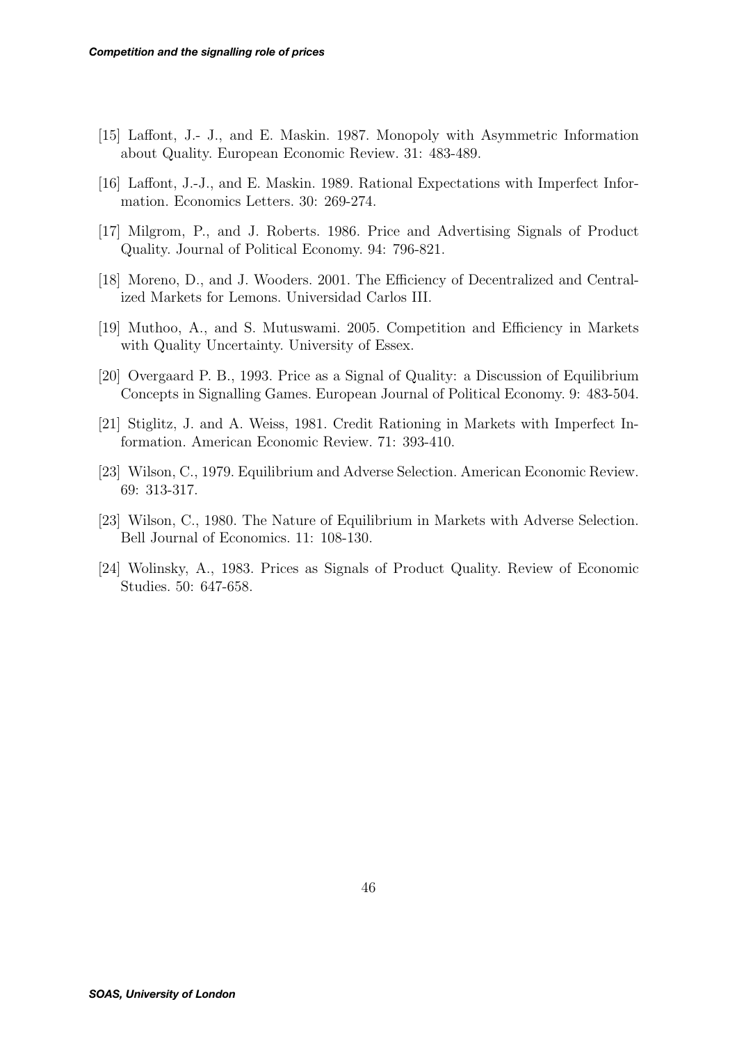- [15] Laffont, J.- J., and E. Maskin. 1987. Monopoly with Asymmetric Information about Quality. European Economic Review. 31: 483-489.
- [16] Laffont, J.-J., and E. Maskin. 1989. Rational Expectations with Imperfect Information. Economics Letters. 30: 269-274.
- [17] Milgrom, P., and J. Roberts. 1986. Price and Advertising Signals of Product Quality. Journal of Political Economy. 94: 796-821.
- [18] Moreno, D., and J. Wooders. 2001. The Efficiency of Decentralized and Centralized Markets for Lemons. Universidad Carlos III.
- [19] Muthoo, A., and S. Mutuswami. 2005. Competition and Efficiency in Markets with Quality Uncertainty. University of Essex.
- [20] Overgaard P. B., 1993. Price as a Signal of Quality: a Discussion of Equilibrium Concepts in Signalling Games. European Journal of Political Economy. 9: 483-504.
- [21] Stiglitz, J. and A. Weiss, 1981. Credit Rationing in Markets with Imperfect Information. American Economic Review. 71: 393-410.
- [23] Wilson, C., 1979. Equilibrium and Adverse Selection. American Economic Review. 69: 313-317.
- [23] Wilson, C., 1980. The Nature of Equilibrium in Markets with Adverse Selection. Bell Journal of Economics. 11: 108-130.
- [24] Wolinsky, A., 1983. Prices as Signals of Product Quality. Review of Economic Studies. 50: 647-658.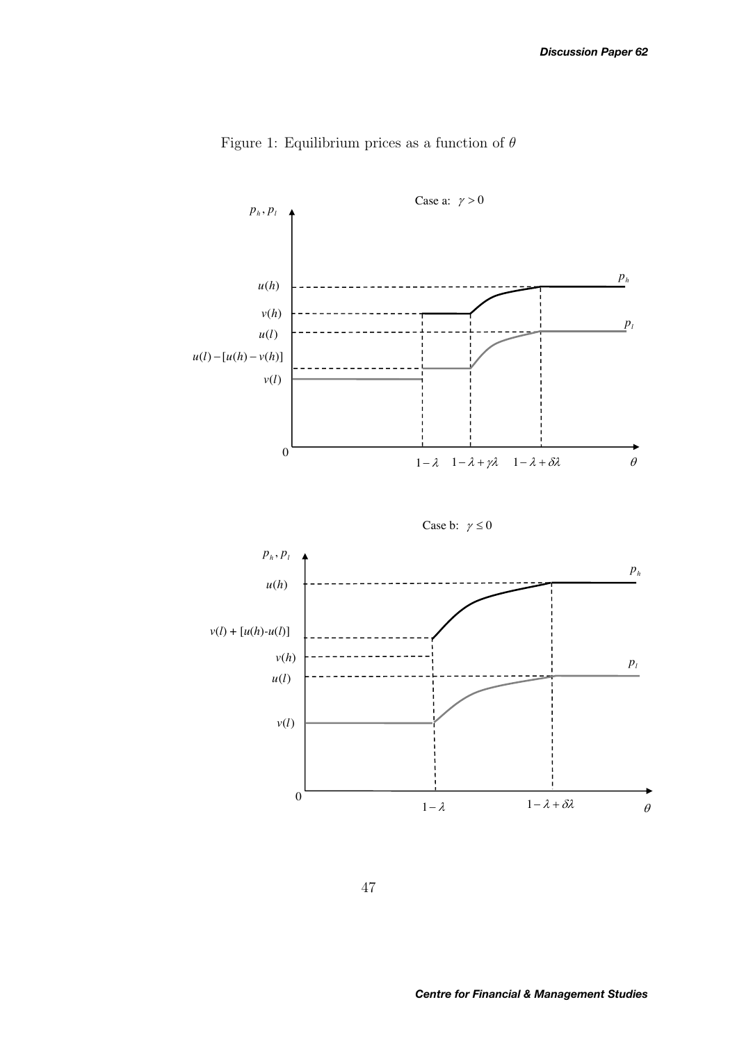

Figure 1: Equilibrium prices as a function of  $\theta$ 





47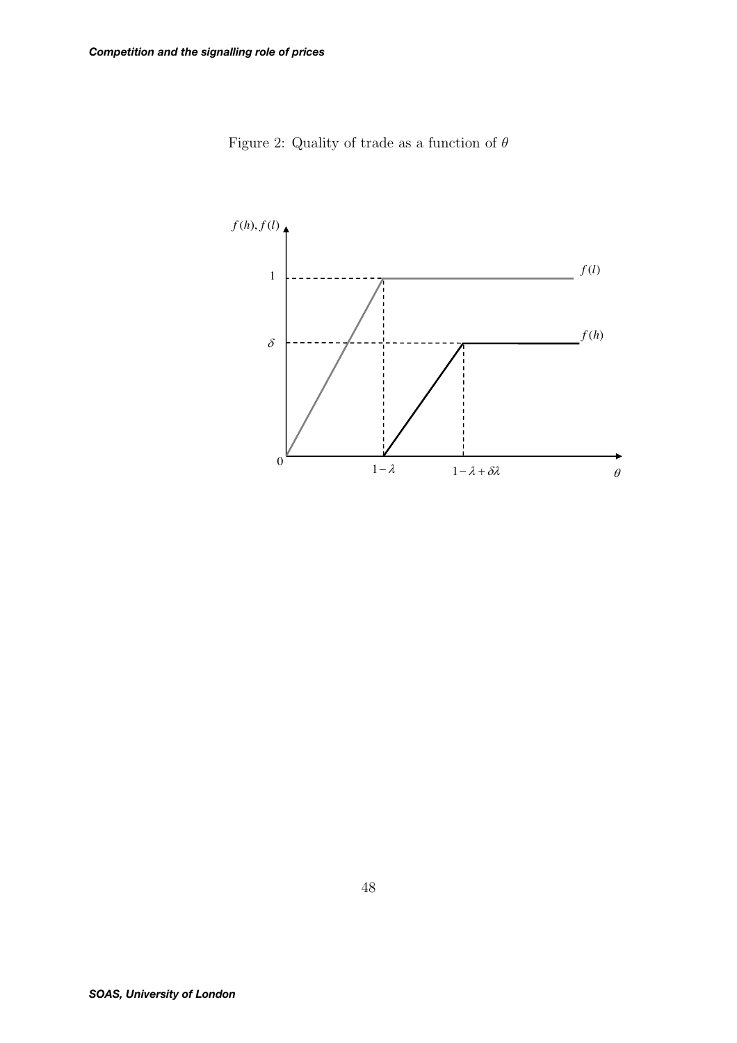

Figure 2: Quality of trade as a function of  $\theta$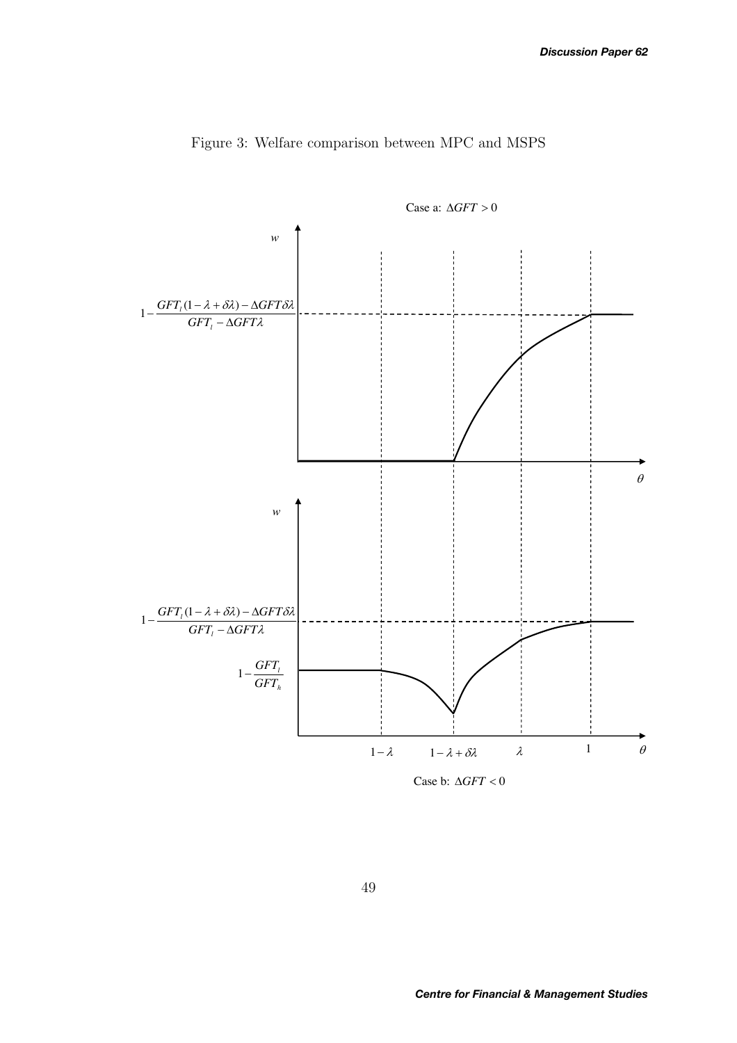

Figure 3: Welfare comparison between MPC and MSPS